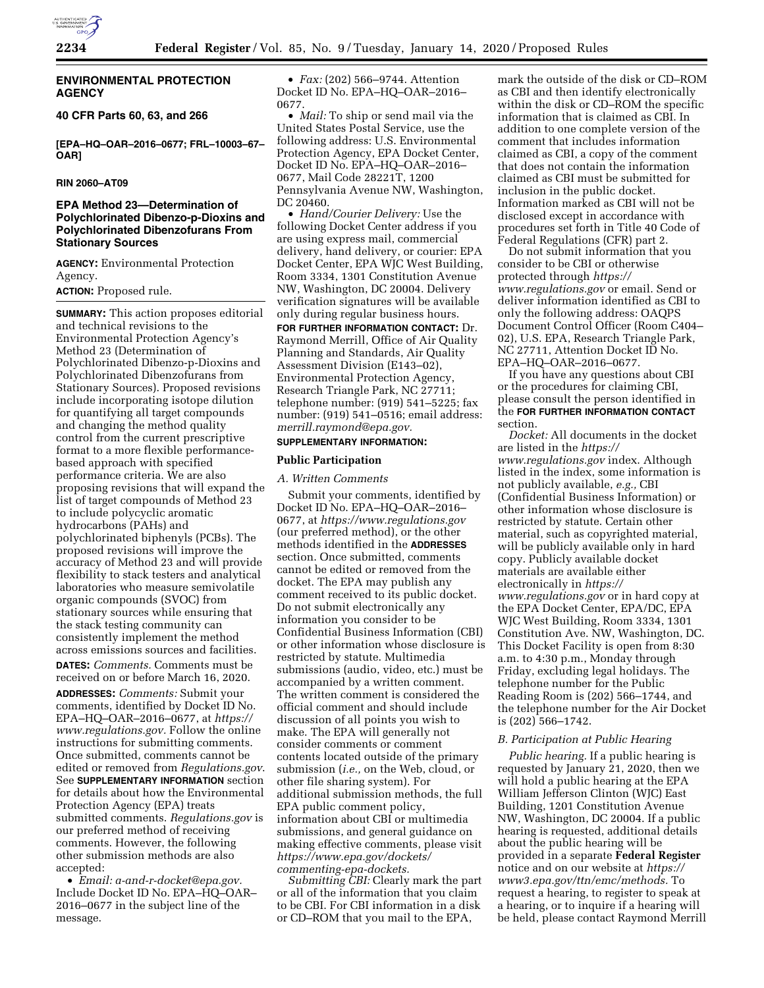

### **ENVIRONMENTAL PROTECTION AGENCY**

**40 CFR Parts 60, 63, and 266** 

**[EPA–HQ–OAR–2016–0677; FRL–10003–67– OAR]** 

### **RIN 2060–AT09**

# **EPA Method 23—Determination of Polychlorinated Dibenzo-p-Dioxins and Polychlorinated Dibenzofurans From Stationary Sources**

**AGENCY:** Environmental Protection Agency.

**ACTION:** Proposed rule.

**SUMMARY:** This action proposes editorial and technical revisions to the Environmental Protection Agency's Method 23 (Determination of Polychlorinated Dibenzo-p-Dioxins and Polychlorinated Dibenzofurans from Stationary Sources). Proposed revisions include incorporating isotope dilution for quantifying all target compounds and changing the method quality control from the current prescriptive format to a more flexible performancebased approach with specified performance criteria. We are also proposing revisions that will expand the list of target compounds of Method 23 to include polycyclic aromatic hydrocarbons (PAHs) and polychlorinated biphenyls (PCBs). The proposed revisions will improve the accuracy of Method 23 and will provide flexibility to stack testers and analytical laboratories who measure semivolatile organic compounds (SVOC) from stationary sources while ensuring that the stack testing community can consistently implement the method across emissions sources and facilities. **DATES:** *Comments.* Comments must be received on or before March 16, 2020. **ADDRESSES:** *Comments:* Submit your comments, identified by Docket ID No. EPA–HQ–OAR–2016–0677, at *[https://](https://www.regulations.gov) [www.regulations.gov.](https://www.regulations.gov)* Follow the online instructions for submitting comments. Once submitted, comments cannot be edited or removed from *Regulations.gov*. See **SUPPLEMENTARY INFORMATION** section for details about how the Environmental Protection Agency (EPA) treats submitted comments. *Regulations.gov* is our preferred method of receiving comments. However, the following other submission methods are also accepted:

• *Email: [a-and-r-docket@epa.gov.](mailto:a-and-r-docket@epa.gov)*  Include Docket ID No. EPA–HQ–OAR– 2016–0677 in the subject line of the message.

• *Fax:* (202) 566–9744. Attention Docket ID No. EPA–HQ–OAR–2016– 0677.

• *Mail:* To ship or send mail via the United States Postal Service, use the following address: U.S. Environmental Protection Agency, EPA Docket Center, Docket ID No. EPA–HQ–OAR–2016– 0677, Mail Code 28221T, 1200 Pennsylvania Avenue NW, Washington, DC 20460.

• *Hand/Courier Delivery:* Use the following Docket Center address if you are using express mail, commercial delivery, hand delivery, or courier: EPA Docket Center, EPA WJC West Building, Room 3334, 1301 Constitution Avenue NW, Washington, DC 20004. Delivery verification signatures will be available only during regular business hours.

**FOR FURTHER INFORMATION CONTACT:** Dr. Raymond Merrill, Office of Air Quality Planning and Standards, Air Quality Assessment Division (E143–02), Environmental Protection Agency, Research Triangle Park, NC 27711; telephone number: (919) 541–5225; fax number: (919) 541–0516; email address: *[merrill.raymond@epa.gov.](mailto:merrill.raymond@epa.gov)* 

### **SUPPLEMENTARY INFORMATION:**

#### **Public Participation**

#### *A. Written Comments*

Submit your comments, identified by Docket ID No. EPA–HQ–OAR–2016– 0677, at *<https://www.regulations.gov>*  (our preferred method), or the other methods identified in the **ADDRESSES** section. Once submitted, comments cannot be edited or removed from the docket. The EPA may publish any comment received to its public docket. Do not submit electronically any information you consider to be Confidential Business Information (CBI) or other information whose disclosure is restricted by statute. Multimedia submissions (audio, video, etc.) must be accompanied by a written comment. The written comment is considered the official comment and should include discussion of all points you wish to make. The EPA will generally not consider comments or comment contents located outside of the primary submission (*i.e.,* on the Web, cloud, or other file sharing system). For additional submission methods, the full EPA public comment policy, information about CBI or multimedia submissions, and general guidance on making effective comments, please visit *[https://www.epa.gov/dockets/](https://www.epa.gov/dockets/commenting-epa-dockets)  [commenting-epa-dockets.](https://www.epa.gov/dockets/commenting-epa-dockets)* 

*Submitting CBI:* Clearly mark the part or all of the information that you claim to be CBI. For CBI information in a disk or CD–ROM that you mail to the EPA,

mark the outside of the disk or CD–ROM as CBI and then identify electronically within the disk or CD–ROM the specific information that is claimed as CBI. In addition to one complete version of the comment that includes information claimed as CBI, a copy of the comment that does not contain the information claimed as CBI must be submitted for inclusion in the public docket. Information marked as CBI will not be disclosed except in accordance with procedures set forth in Title 40 Code of Federal Regulations (CFR) part 2.

Do not submit information that you consider to be CBI or otherwise protected through *[https://](https://www.regulations.gov) [www.regulations.gov](https://www.regulations.gov)* or email. Send or deliver information identified as CBI to only the following address: OAQPS Document Control Officer (Room C404– 02), U.S. EPA, Research Triangle Park, NC 27711, Attention Docket ID No. EPA–HQ–OAR–2016–0677.

If you have any questions about CBI or the procedures for claiming CBI, please consult the person identified in the **FOR FURTHER INFORMATION CONTACT** section.

*Docket:* All documents in the docket are listed in the *[https://](https://www.regulations.gov) [www.regulations.gov](https://www.regulations.gov)* index. Although listed in the index, some information is not publicly available, *e.g.,* CBI (Confidential Business Information) or other information whose disclosure is restricted by statute. Certain other material, such as copyrighted material, will be publicly available only in hard copy. Publicly available docket materials are available either electronically in *[https://](https://www.regulations.gov) [www.regulations.gov](https://www.regulations.gov)* or in hard copy at the EPA Docket Center, EPA/DC, EPA WJC West Building, Room 3334, 1301 Constitution Ave. NW, Washington, DC. This Docket Facility is open from 8:30 a.m. to 4:30 p.m., Monday through Friday, excluding legal holidays. The telephone number for the Public Reading Room is (202) 566–1744, and the telephone number for the Air Docket is (202) 566–1742.

#### *B. Participation at Public Hearing*

*Public hearing.* If a public hearing is requested by January 21, 2020, then we will hold a public hearing at the EPA William Jefferson Clinton (WJC) East Building, 1201 Constitution Avenue NW, Washington, DC 20004. If a public hearing is requested, additional details about the public hearing will be provided in a separate **Federal Register**  notice and on our website at *[https://](https://www3.epa.gov/ttn/emc/methods) [www3.epa.gov/ttn/emc/methods.](https://www3.epa.gov/ttn/emc/methods)* To request a hearing, to register to speak at a hearing, or to inquire if a hearing will be held, please contact Raymond Merrill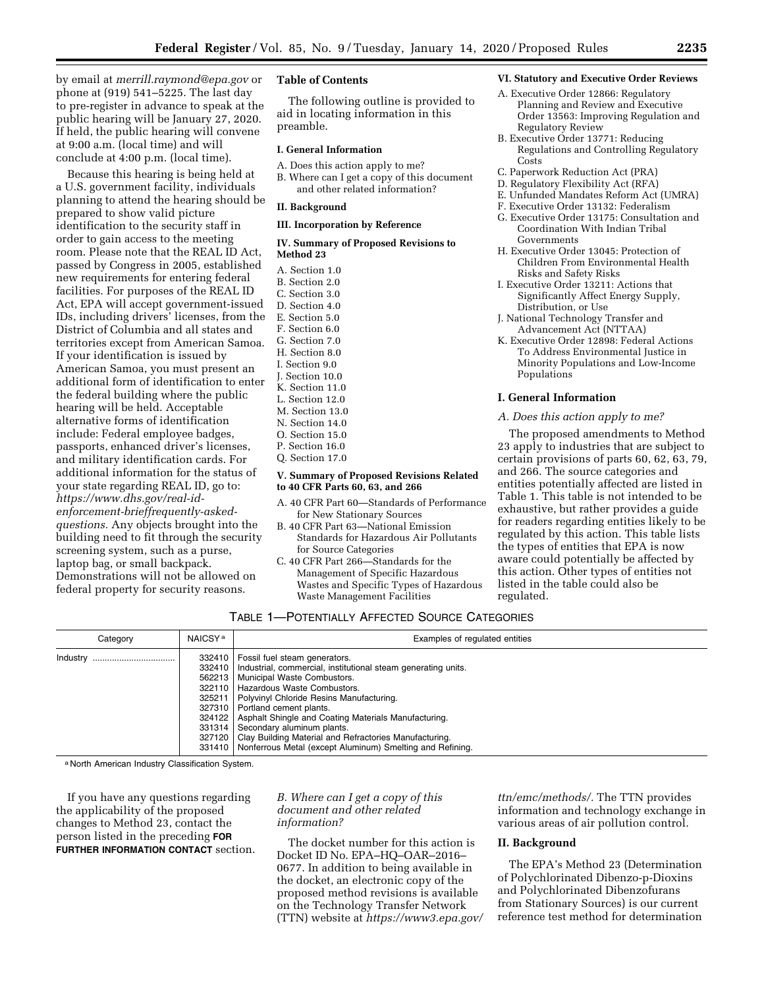by email at *[merrill.raymond@epa.gov](mailto:merrill.raymond@epa.gov)* or phone at (919) 541–5225. The last day to pre-register in advance to speak at the public hearing will be January 27, 2020. If held, the public hearing will convene at 9:00 a.m. (local time) and will conclude at 4:00 p.m. (local time).

Because this hearing is being held at a U.S. government facility, individuals planning to attend the hearing should be prepared to show valid picture identification to the security staff in order to gain access to the meeting room. Please note that the REAL ID Act, passed by Congress in 2005, established new requirements for entering federal facilities. For purposes of the REAL ID Act, EPA will accept government-issued IDs, including drivers' licenses, from the District of Columbia and all states and territories except from American Samoa. If your identification is issued by American Samoa, you must present an additional form of identification to enter the federal building where the public hearing will be held. Acceptable alternative forms of identification include: Federal employee badges, passports, enhanced driver's licenses, and military identification cards. For additional information for the status of your state regarding REAL ID, go to: *[https://www.dhs.gov/real-id](https://www.dhs.gov/real-id-enforcement-brieffrequently-asked-questions)[enforcement-brieffrequently-asked](https://www.dhs.gov/real-id-enforcement-brieffrequently-asked-questions)[questions.](https://www.dhs.gov/real-id-enforcement-brieffrequently-asked-questions)* Any objects brought into the building need to fit through the security screening system, such as a purse, laptop bag, or small backpack. Demonstrations will not be allowed on federal property for security reasons.

#### **Table of Contents**

The following outline is provided to aid in locating information in this preamble.

#### **I. General Information**

- A. Does this action apply to me?
- B. Where can I get a copy of this document and other related information?

#### **II. Background**

#### **III. Incorporation by Reference**

#### **IV. Summary of Proposed Revisions to Method 23**

- A. Section 1.0
- B. Section 2.0
- C. Section 3.0
- D. Section 4.0
- E. Section 5.0
- F. Section 6.0
- G. Section 7.0
- H. Section 8.0
- I. Section 9.0
- J. Section 10.0
- K. Section 11.0
- L. Section 12.0
- M. Section 13.0
- N. Section 14.0
- O. Section 15.0
- P. Section 16.0
- Q. Section 17.0

#### **V. Summary of Proposed Revisions Related to 40 CFR Parts 60, 63, and 266**

- A. 40 CFR Part 60—Standards of Performance for New Stationary Sources
- B. 40 CFR Part 63—National Emission Standards for Hazardous Air Pollutants for Source Categories
- C. 40 CFR Part 266—Standards for the Management of Specific Hazardous Wastes and Specific Types of Hazardous Waste Management Facilities

#### **VI. Statutory and Executive Order Reviews**

- A. Executive Order 12866: Regulatory Planning and Review and Executive Order 13563: Improving Regulation and Regulatory Review
- B. Executive Order 13771: Reducing Regulations and Controlling Regulatory Costs
- C. Paperwork Reduction Act (PRA)
- D. Regulatory Flexibility Act (RFA)
- E. Unfunded Mandates Reform Act (UMRA)
- F. Executive Order 13132: Federalism
- G. Executive Order 13175: Consultation and Coordination With Indian Tribal Governments
- H. Executive Order 13045: Protection of Children From Environmental Health Risks and Safety Risks
- I. Executive Order 13211: Actions that Significantly Affect Energy Supply, Distribution, or Use
- J. National Technology Transfer and Advancement Act (NTTAA)
- K. Executive Order 12898: Federal Actions To Address Environmental Justice in Minority Populations and Low-Income Populations

#### **I. General Information**

#### *A. Does this action apply to me?*

The proposed amendments to Method 23 apply to industries that are subject to certain provisions of parts 60, 62, 63, 79, and 266. The source categories and entities potentially affected are listed in Table 1. This table is not intended to be exhaustive, but rather provides a guide for readers regarding entities likely to be regulated by this action. This table lists the types of entities that EPA is now aware could potentially be affected by this action. Other types of entities not listed in the table could also be regulated.

TABLE 1—POTENTIALLY AFFECTED SOURCE CATEGORIES

| Category     | NAICSY <sup>a</sup>                                                                              | Examples of regulated entities                                                                                                                                                                                                                                                                                                                                                                                                                   |
|--------------|--------------------------------------------------------------------------------------------------|--------------------------------------------------------------------------------------------------------------------------------------------------------------------------------------------------------------------------------------------------------------------------------------------------------------------------------------------------------------------------------------------------------------------------------------------------|
| Industry<br> | 332410<br>332410<br>562213<br>322110<br>325211<br>327310<br>324122<br>331314<br>327120<br>331410 | Fossil fuel steam generators.<br>Industrial, commercial, institutional steam generating units.<br>Municipal Waste Combustors.<br>Hazardous Waste Combustors.<br>Polyvinyl Chloride Resins Manufacturing.<br>Portland cement plants.<br>Asphalt Shingle and Coating Materials Manufacturing.<br>Secondary aluminum plants.<br>Clay Building Material and Refractories Manufacturing.<br>Nonferrous Metal (except Aluminum) Smelting and Refining. |

a North American Industry Classification System.

If you have any questions regarding the applicability of the proposed changes to Method 23, contact the person listed in the preceding **FOR FURTHER INFORMATION CONTACT** section.

# *B. Where can I get a copy of this document and other related information?*

The docket number for this action is Docket ID No. EPA–HQ–OAR–2016– 0677. In addition to being available in the docket, an electronic copy of the proposed method revisions is available on the Technology Transfer Network (TTN) website at *[https://www3.epa.gov/](https://www3.epa.gov/ttn/emc/methods/)*  *[ttn/emc/methods/.](https://www3.epa.gov/ttn/emc/methods/)* The TTN provides information and technology exchange in various areas of air pollution control.

### **II. Background**

The EPA's Method 23 (Determination of Polychlorinated Dibenzo-p-Dioxins and Polychlorinated Dibenzofurans from Stationary Sources) is our current reference test method for determination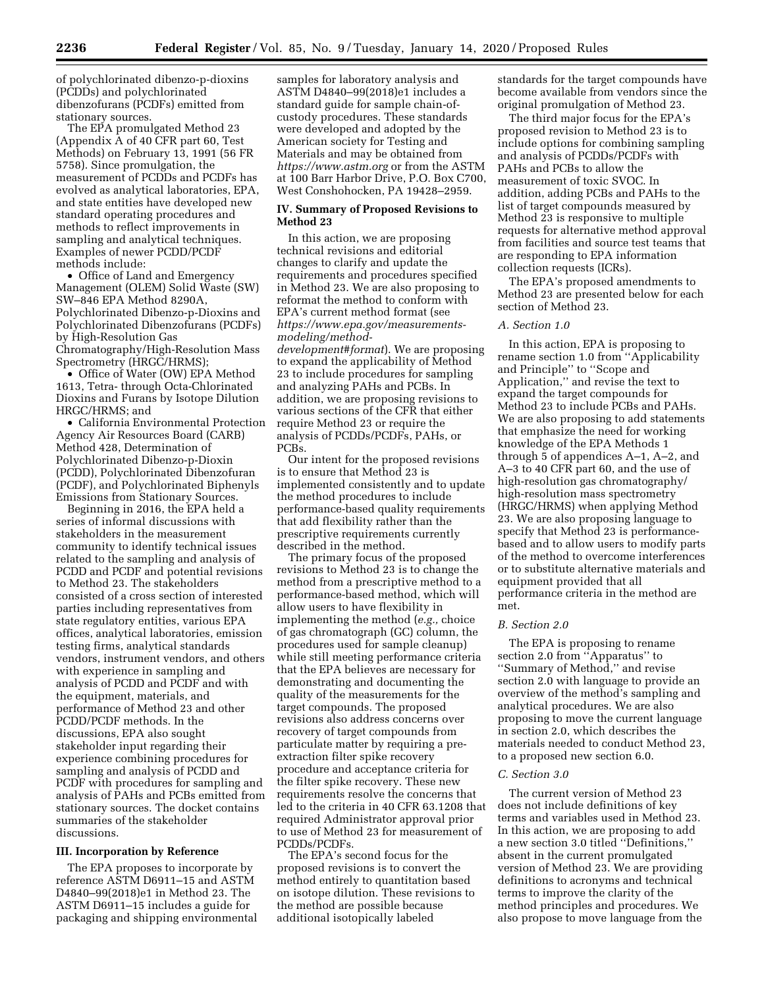of polychlorinated dibenzo-p-dioxins (PCDDs) and polychlorinated dibenzofurans (PCDFs) emitted from

stationary sources. The EPA promulgated Method 23 (Appendix A of 40 CFR part 60, Test Methods) on February 13, 1991 (56 FR 5758). Since promulgation, the measurement of PCDDs and PCDFs has evolved as analytical laboratories, EPA, and state entities have developed new standard operating procedures and methods to reflect improvements in sampling and analytical techniques. Examples of newer PCDD/PCDF methods include:

• Office of Land and Emergency Management (OLEM) Solid Waste (SW) SW–846 EPA Method 8290A, Polychlorinated Dibenzo-p-Dioxins and Polychlorinated Dibenzofurans (PCDFs) by High-Resolution Gas Chromatography/High-Resolution Mass Spectrometry (HRGC/HRMS);

• Office of Water (OW) EPA Method 1613, Tetra- through Octa-Chlorinated Dioxins and Furans by Isotope Dilution HRGC/HRMS; and

• California Environmental Protection Agency Air Resources Board (CARB) Method 428, Determination of Polychlorinated Dibenzo-p-Dioxin (PCDD), Polychlorinated Dibenzofuran (PCDF), and Polychlorinated Biphenyls Emissions from Stationary Sources.

Beginning in 2016, the EPA held a series of informal discussions with stakeholders in the measurement community to identify technical issues related to the sampling and analysis of PCDD and PCDF and potential revisions to Method 23. The stakeholders consisted of a cross section of interested parties including representatives from state regulatory entities, various EPA offices, analytical laboratories, emission testing firms, analytical standards vendors, instrument vendors, and others with experience in sampling and analysis of PCDD and PCDF and with the equipment, materials, and performance of Method 23 and other PCDD/PCDF methods. In the discussions, EPA also sought stakeholder input regarding their experience combining procedures for sampling and analysis of PCDD and PCDF with procedures for sampling and analysis of PAHs and PCBs emitted from stationary sources. The docket contains summaries of the stakeholder discussions.

#### **III. Incorporation by Reference**

The EPA proposes to incorporate by reference ASTM D6911–15 and ASTM D4840–99(2018)e1 in Method 23. The ASTM D6911–15 includes a guide for packaging and shipping environmental samples for laboratory analysis and ASTM D4840–99(2018)e1 includes a standard guide for sample chain-ofcustody procedures. These standards were developed and adopted by the American society for Testing and Materials and may be obtained from *<https://www.astm.org>* or from the ASTM at 100 Barr Harbor Drive, P.O. Box C700, West Conshohocken, PA 19428–2959.

#### **IV. Summary of Proposed Revisions to Method 23**

In this action, we are proposing technical revisions and editorial changes to clarify and update the requirements and procedures specified in Method 23. We are also proposing to reformat the method to conform with EPA's current method format (see *[https://www.epa.gov/measurements](https://www.epa.gov/measurements-modeling/method-development#format)[modeling/method](https://www.epa.gov/measurements-modeling/method-development#format)[development#format](https://www.epa.gov/measurements-modeling/method-development#format)*). We are proposing to expand the applicability of Method 23 to include procedures for sampling and analyzing PAHs and PCBs. In addition, we are proposing revisions to various sections of the CFR that either require Method 23 or require the analysis of PCDDs/PCDFs, PAHs, or PCBs.

Our intent for the proposed revisions is to ensure that Method 23 is implemented consistently and to update the method procedures to include performance-based quality requirements that add flexibility rather than the prescriptive requirements currently described in the method.

The primary focus of the proposed revisions to Method 23 is to change the method from a prescriptive method to a performance-based method, which will allow users to have flexibility in implementing the method (*e.g.,* choice of gas chromatograph (GC) column, the procedures used for sample cleanup) while still meeting performance criteria that the EPA believes are necessary for demonstrating and documenting the quality of the measurements for the target compounds. The proposed revisions also address concerns over recovery of target compounds from particulate matter by requiring a preextraction filter spike recovery procedure and acceptance criteria for the filter spike recovery. These new requirements resolve the concerns that led to the criteria in 40 CFR 63.1208 that required Administrator approval prior to use of Method 23 for measurement of PCDDs/PCDFs.

The EPA's second focus for the proposed revisions is to convert the method entirely to quantitation based on isotope dilution. These revisions to the method are possible because additional isotopically labeled

standards for the target compounds have become available from vendors since the original promulgation of Method 23.

The third major focus for the EPA's proposed revision to Method 23 is to include options for combining sampling and analysis of PCDDs/PCDFs with PAHs and PCBs to allow the measurement of toxic SVOC. In addition, adding PCBs and PAHs to the list of target compounds measured by Method 23 is responsive to multiple requests for alternative method approval from facilities and source test teams that are responding to EPA information collection requests (ICRs).

The EPA's proposed amendments to Method 23 are presented below for each section of Method 23.

### *A. Section 1.0*

In this action, EPA is proposing to rename section 1.0 from ''Applicability and Principle'' to ''Scope and Application,'' and revise the text to expand the target compounds for Method 23 to include PCBs and PAHs. We are also proposing to add statements that emphasize the need for working knowledge of the EPA Methods 1 through 5 of appendices A–1, A–2, and A–3 to 40 CFR part 60, and the use of high-resolution gas chromatography/ high-resolution mass spectrometry (HRGC/HRMS) when applying Method 23. We are also proposing language to specify that Method 23 is performancebased and to allow users to modify parts of the method to overcome interferences or to substitute alternative materials and equipment provided that all performance criteria in the method are met.

### *B. Section 2.0*

The EPA is proposing to rename section 2.0 from ''Apparatus'' to ''Summary of Method,'' and revise section 2.0 with language to provide an overview of the method's sampling and analytical procedures. We are also proposing to move the current language in section 2.0, which describes the materials needed to conduct Method 23, to a proposed new section 6.0.

#### *C. Section 3.0*

The current version of Method 23 does not include definitions of key terms and variables used in Method 23. In this action, we are proposing to add a new section 3.0 titled ''Definitions,'' absent in the current promulgated version of Method 23. We are providing definitions to acronyms and technical terms to improve the clarity of the method principles and procedures. We also propose to move language from the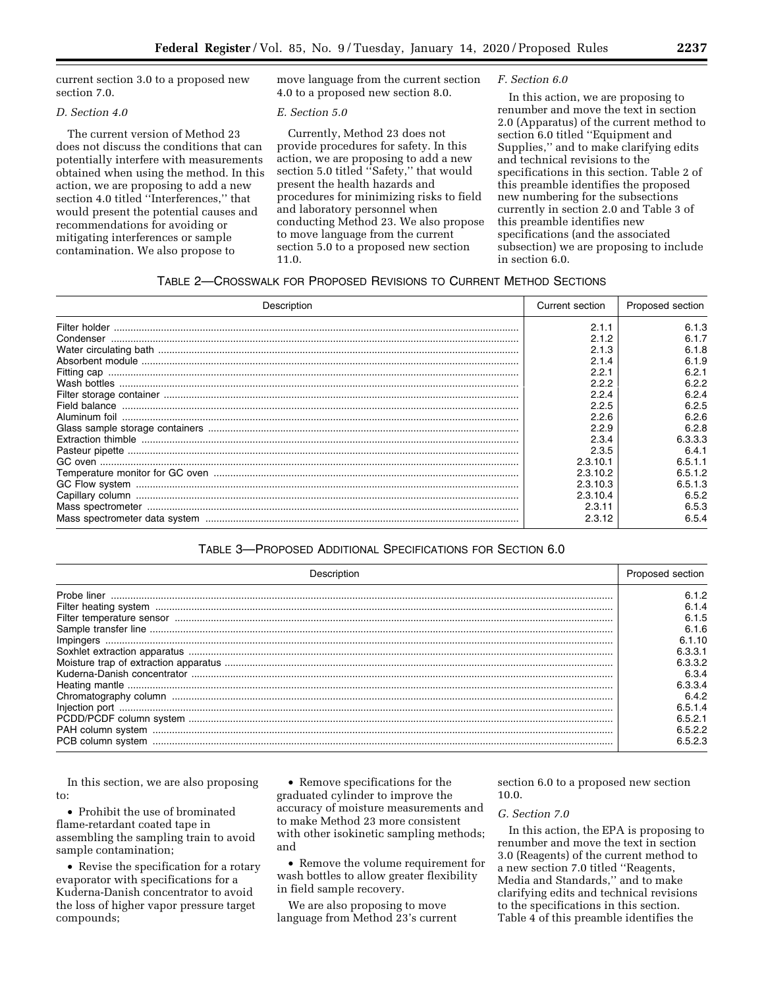current section 3.0 to a proposed new section 7.0.

# *D. Section 4.0*

The current version of Method 23 does not discuss the conditions that can potentially interfere with measurements obtained when using the method. In this action, we are proposing to add a new section 4.0 titled ''Interferences,'' that would present the potential causes and recommendations for avoiding or mitigating interferences or sample contamination. We also propose to

move language from the current section 4.0 to a proposed new section 8.0.

#### *E. Section 5.0*

Currently, Method 23 does not provide procedures for safety. In this action, we are proposing to add a new section 5.0 titled "Safety," that would present the health hazards and procedures for minimizing risks to field and laboratory personnel when conducting Method 23. We also propose to move language from the current section 5.0 to a proposed new section 11.0.

#### *F. Section 6.0*

In this action, we are proposing to renumber and move the text in section 2.0 (Apparatus) of the current method to section 6.0 titled ''Equipment and Supplies,'' and to make clarifying edits and technical revisions to the specifications in this section. Table 2 of this preamble identifies the proposed new numbering for the subsections currently in section 2.0 and Table 3 of this preamble identifies new specifications (and the associated subsection) we are proposing to include in section 6.0.

# TABLE 2—CROSSWALK FOR PROPOSED REVISIONS TO CURRENT METHOD SECTIONS

| Description | Current section | Proposed section |
|-------------|-----------------|------------------|
|             | 2.1.1           | 6.1.3            |
|             | 2.1.2           | 6.1.7            |
|             | 2.1.3           | 6.1.8            |
|             | 2.1.4           | 6.1.9            |
|             | 2.2.1           | 6.2.1            |
|             | 2.2.2           | 6.2.2            |
|             | 2.2.4           | 6.2.4            |
|             | 2.2.5           | 6.2.5            |
|             | 2.2.6           | 6.2.6            |
|             | 2.2.9           | 6.2.8            |
|             | 2.3.4           | 6.3.3.3          |
|             | 2.3.5           | 6.4.1            |
|             | 2.3.10.1        | 6.5.1.1          |
|             | 2.3.10.2        | 6.5.1.2          |
|             | 2.3.10.3        | 6.5.1.3          |
|             | 2.3.10.4        | 6.5.2            |
|             | 2.3.11          | 6.5.3            |
|             | 2.3.12          | 6.5.4            |

# TABLE 3—PROPOSED ADDITIONAL SPECIFICATIONS FOR SECTION 6.0

| <b>Description</b> | Proposed section |
|--------------------|------------------|
|                    | 6.1.2            |
|                    |                  |
|                    | 6.1.5            |
|                    | 6.1.6            |
|                    | 6.1.10           |
|                    | 6.3.3.1          |
|                    | 6.3.3.2          |
|                    | 6.3.4            |
|                    | 6.3.3.4          |
|                    | 6.4.2            |
|                    | 6.5.1.4          |
|                    | 6.5.2.1          |
|                    | 6.5.2.2          |
|                    | 6.5.2.3          |

In this section, we are also proposing to:

• Prohibit the use of brominated flame-retardant coated tape in assembling the sampling train to avoid sample contamination;

• Revise the specification for a rotary evaporator with specifications for a Kuderna-Danish concentrator to avoid the loss of higher vapor pressure target compounds;

• Remove specifications for the graduated cylinder to improve the accuracy of moisture measurements and to make Method 23 more consistent with other isokinetic sampling methods; and

• Remove the volume requirement for wash bottles to allow greater flexibility in field sample recovery.

We are also proposing to move language from Method 23's current section 6.0 to a proposed new section 10.0.

#### *G. Section 7.0*

In this action, the EPA is proposing to renumber and move the text in section 3.0 (Reagents) of the current method to a new section 7.0 titled ''Reagents, Media and Standards,'' and to make clarifying edits and technical revisions to the specifications in this section. Table 4 of this preamble identifies the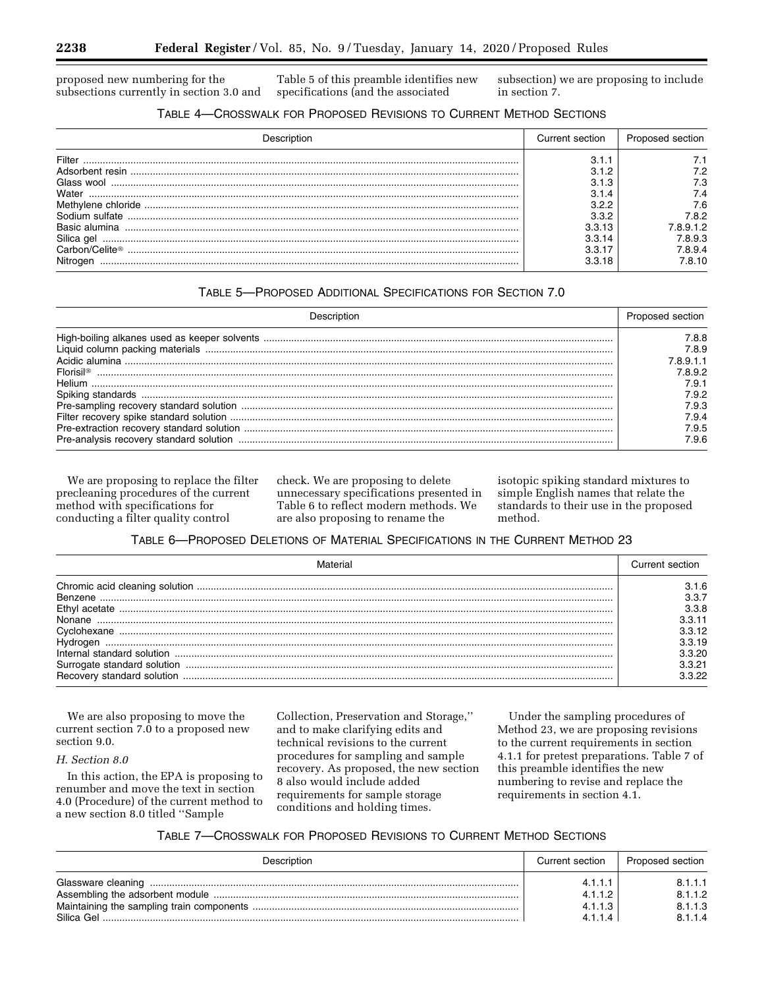proposed new numbering for the subsections currently in section 3.0 and

Table 5 of this preamble identifies new specifications (and the associated

subsection) we are proposing to include in section 7.

# TABLE 4—CROSSWALK FOR PROPOSED REVISIONS TO CURRENT METHOD SECTIONS

|               | Current section | Proposed section |
|---------------|-----------------|------------------|
| Filter        | З.              |                  |
| rbent resın   |                 |                  |
| Glass wool    | .3              | 7.3              |
| Water         |                 |                  |
|               |                 | 7.6              |
| m sulfate.    |                 | 7.8.2            |
| Rasic alumina | 3.3.13          | 8912'            |
| Silica gel    | 3.3.14          | 7.8.9.3          |
|               | 3.3.17          | 7894             |
| Nitrogen      | 3.3.18          | 8.10             |

# TABLE 5—PROPOSED ADDITIONAL SPECIFICATIONS FOR SECTION 7.0

|                       | Proposed section |
|-----------------------|------------------|
|                       | 7.8.8            |
|                       | 7.8.9            |
|                       | 8911             |
| Florisil <sup>®</sup> | 7.8.9.2          |
| Helium                | 7.9.1            |
|                       | 7.9.2            |
|                       | 7.9.3            |
|                       | 7.9.4            |
|                       | 7.9.5            |
|                       | 7.9.6            |

We are proposing to replace the filter precleaning procedures of the current method with specifications for conducting a filter quality control

check. We are proposing to delete unnecessary specifications presented in Table 6 to reflect modern methods. We are also proposing to rename the

isotopic spiking standard mixtures to simple English names that relate the standards to their use in the proposed method.

# TABLE 6—PROPOSED DELETIONS OF MATERIAL SPECIFICATIONS IN THE CURRENT METHOD 23

|                                               | Current section                                                         |
|-----------------------------------------------|-------------------------------------------------------------------------|
| Benzene<br>Ethv<br>Recovery standard solution | 3.1.6<br>3.3.8<br>311<br>1.3.12<br>1.3.19<br>3.3.20<br>3.3.21<br>l 3 22 |

We are also proposing to move the current section 7.0 to a proposed new section 9.0.

# *H. Section 8.0*

In this action, the EPA is proposing to renumber and move the text in section 4.0 (Procedure) of the current method to a new section 8.0 titled ''Sample

Collection, Preservation and Storage,'' and to make clarifying edits and technical revisions to the current procedures for sampling and sample recovery. As proposed, the new section 8 also would include added requirements for sample storage conditions and holding times.

Under the sampling procedures of Method 23, we are proposing revisions to the current requirements in section 4.1.1 for pretest preparations. Table 7 of this preamble identifies the new numbering to revise and replace the requirements in section 4.1.

# TABLE 7—CROSSWALK FOR PROPOSED REVISIONS TO CURRENT METHOD SECTIONS

| Description        | Current section | Proposed section |
|--------------------|-----------------|------------------|
| Glassware cleaning | 4.1.1.1         | 8.1.1.1          |
|                    | 4.1.1.2         | 8.1.1.2          |
|                    | 4.1.1.3         | 8.1.1.3          |
| Silica Gel         | 4114            | 8.1.1.4          |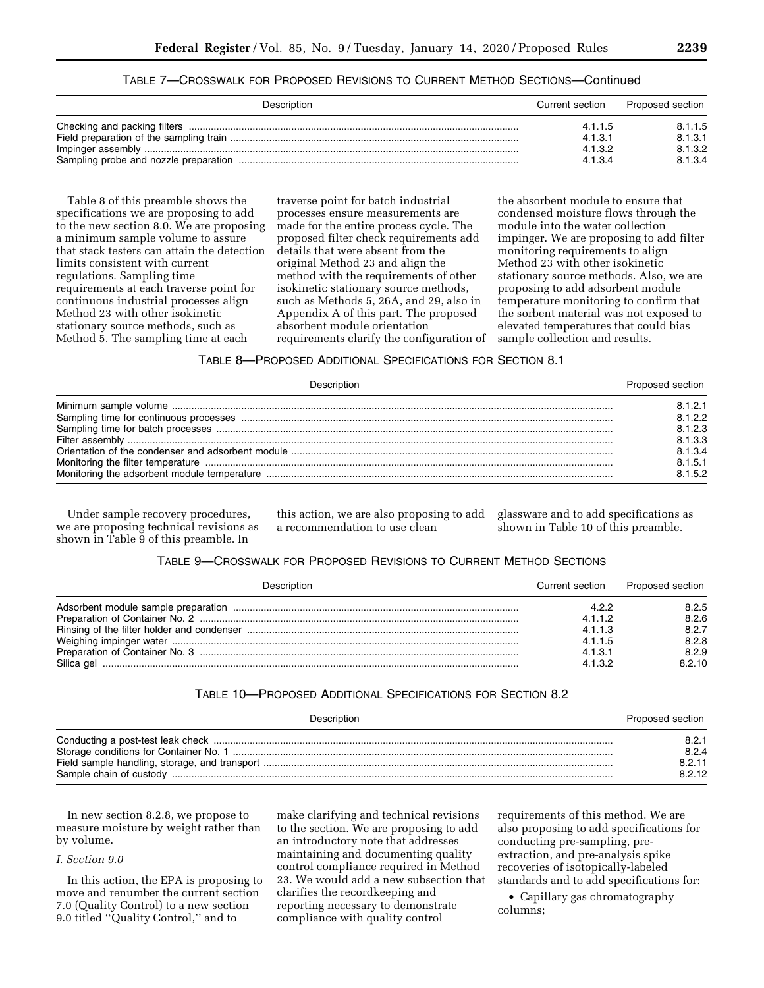| TABLE 7—CROSSWALK FOR PROPOSED REVISIONS TO CURRENT METHOD SECTIONS—Continued |  |  |  |
|-------------------------------------------------------------------------------|--|--|--|
|-------------------------------------------------------------------------------|--|--|--|

| Description | Current section | Proposed section |
|-------------|-----------------|------------------|
|             | 4.1.1.5         | 8.1.1.5          |
|             | 4.1.3.1         | 8.1.3.1          |
|             | 4.1.3.2         | 8.1.3.2          |
|             | 4.1.3.4         | 8.1.3.4          |

Table 8 of this preamble shows the specifications we are proposing to add to the new section 8.0. We are proposing a minimum sample volume to assure that stack testers can attain the detection limits consistent with current regulations. Sampling time requirements at each traverse point for continuous industrial processes align Method 23 with other isokinetic stationary source methods, such as Method 5. The sampling time at each

traverse point for batch industrial processes ensure measurements are made for the entire process cycle. The proposed filter check requirements add details that were absent from the original Method 23 and align the method with the requirements of other isokinetic stationary source methods, such as Methods 5, 26A, and 29, also in Appendix A of this part. The proposed absorbent module orientation requirements clarify the configuration of

the absorbent module to ensure that condensed moisture flows through the module into the water collection impinger. We are proposing to add filter monitoring requirements to align Method 23 with other isokinetic stationary source methods. Also, we are proposing to add adsorbent module temperature monitoring to confirm that the sorbent material was not exposed to elevated temperatures that could bias sample collection and results.

| TABLE 8—PROPOSED ADDITIONAL SPECIFICATIONS FOR SECTION 8.1 |  |
|------------------------------------------------------------|--|
|------------------------------------------------------------|--|

| Description                                                                                                    | Proposed section |
|----------------------------------------------------------------------------------------------------------------|------------------|
|                                                                                                                | 8.1.2.1          |
|                                                                                                                | 8.1.2.2          |
|                                                                                                                | 8.1.2.3          |
|                                                                                                                | 8.1.3.3          |
|                                                                                                                | 8.1.3.4          |
| Monitoring the filter temperature measurements contained a state of the state of the state of the state of the | 8.1.5.1          |
|                                                                                                                | 8152             |

Under sample recovery procedures, we are proposing technical revisions as shown in Table 9 of this preamble. In

this action, we are also proposing to add a recommendation to use clean

glassware and to add specifications as shown in Table 10 of this preamble.

| Description | Current section                                              | Proposed section                                    |
|-------------|--------------------------------------------------------------|-----------------------------------------------------|
| Silica gel  | 4.2.2<br>4.1.1.2<br>4.1.1.3<br>4.1.1.5<br>4.1.3.1<br>4.1.3.2 | 8.2.5<br>8.2.6<br>8.2.7<br>8.2.8<br>8.2.9<br>8.2.10 |

# TABLE 10—PROPOSED ADDITIONAL SPECIFICATIONS FOR SECTION 8.2

| Description | Proposed section |
|-------------|------------------|
|             | 8.2.1            |
|             | 8.2.4            |
|             | 8.2.11           |
|             | 8.2.12           |

In new section 8.2.8, we propose to measure moisture by weight rather than by volume.

#### *I. Section 9.0*

In this action, the EPA is proposing to move and renumber the current section 7.0 (Quality Control) to a new section 9.0 titled ''Quality Control,'' and to

make clarifying and technical revisions to the section. We are proposing to add an introductory note that addresses maintaining and documenting quality control compliance required in Method 23. We would add a new subsection that clarifies the recordkeeping and reporting necessary to demonstrate compliance with quality control

requirements of this method. We are also proposing to add specifications for conducting pre-sampling, preextraction, and pre-analysis spike recoveries of isotopically-labeled standards and to add specifications for:

• Capillary gas chromatography columns;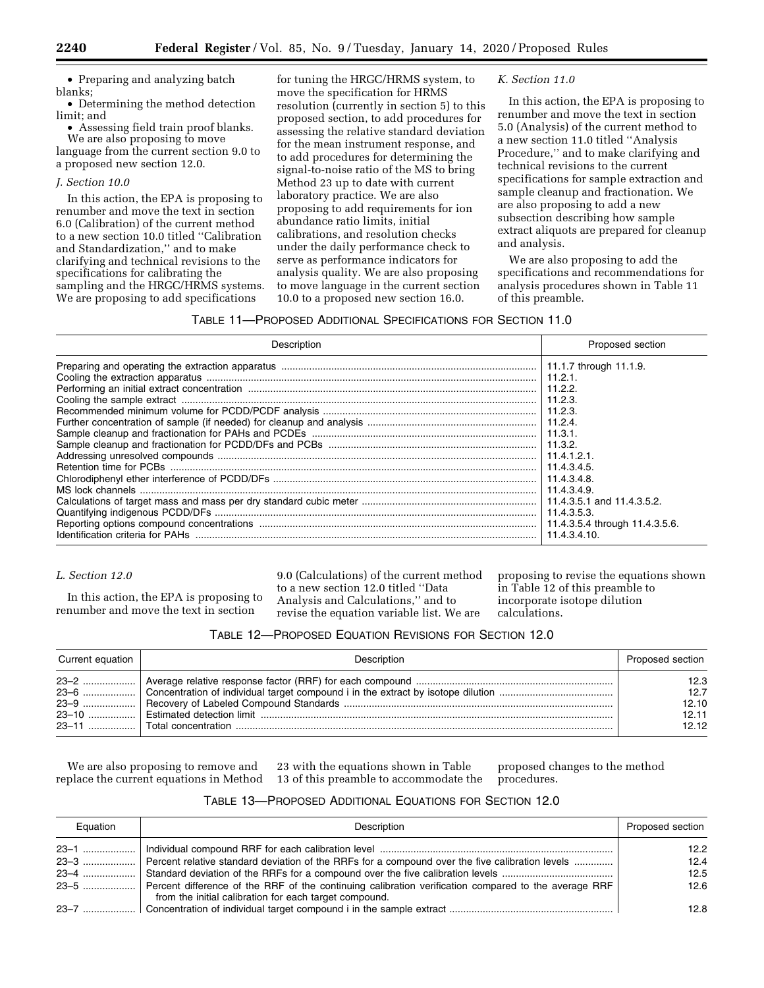• Preparing and analyzing batch blanks;

• Determining the method detection limit; and

• Assessing field train proof blanks. We are also proposing to move

language from the current section 9.0 to a proposed new section 12.0.

### *J. Section 10.0*

In this action, the EPA is proposing to renumber and move the text in section 6.0 (Calibration) of the current method to a new section 10.0 titled ''Calibration and Standardization,'' and to make clarifying and technical revisions to the specifications for calibrating the sampling and the HRGC/HRMS systems. We are proposing to add specifications

for tuning the HRGC/HRMS system, to move the specification for HRMS resolution (currently in section 5) to this proposed section, to add procedures for assessing the relative standard deviation for the mean instrument response, and to add procedures for determining the signal-to-noise ratio of the MS to bring Method 23 up to date with current laboratory practice. We are also proposing to add requirements for ion abundance ratio limits, initial calibrations, and resolution checks under the daily performance check to serve as performance indicators for analysis quality. We are also proposing to move language in the current section 10.0 to a proposed new section 16.0.

# *K. Section 11.0*

In this action, the EPA is proposing to renumber and move the text in section 5.0 (Analysis) of the current method to a new section 11.0 titled ''Analysis Procedure,'' and to make clarifying and technical revisions to the current specifications for sample extraction and sample cleanup and fractionation. We are also proposing to add a new subsection describing how sample extract aliquots are prepared for cleanup and analysis.

We are also proposing to add the specifications and recommendations for analysis procedures shown in Table 11 of this preamble.

# TABLE 11—PROPOSED ADDITIONAL SPECIFICATIONS FOR SECTION 11.0

| Proposed section                                                                                       |
|--------------------------------------------------------------------------------------------------------|
| 11.2.2.<br>11.2.3.<br>$ $ 11.4.3.4.8.<br>11.4.3.4.9.<br>11.4.3.5.4 through 11.4.3.5.6.<br>11.4.3.4.10. |
|                                                                                                        |

# *L. Section 12.0*

In this action, the EPA is proposing to renumber and move the text in section

9.0 (Calculations) of the current method to a new section 12.0 titled ''Data Analysis and Calculations,'' and to revise the equation variable list. We are

proposing to revise the equations shown in Table 12 of this preamble to incorporate isotope dilution calculations.

|  |  | TABLE 12-PROPOSED EQUATION REVISIONS FOR SECTION 12.0 |
|--|--|-------------------------------------------------------|
|--|--|-------------------------------------------------------|

| Current equation | Description | Proposed section                        |
|------------------|-------------|-----------------------------------------|
|                  |             | 12.3<br>12.7<br>12.10<br>12.11<br>12.12 |

We are also proposing to remove and replace the current equations in Method

23 with the equations shown in Table 13 of this preamble to accommodate the

proposed changes to the method procedures.

| TABLE 13-PROPOSED ADDITIONAL EQUATIONS FOR SECTION 12.0 |  |  |  |  |
|---------------------------------------------------------|--|--|--|--|
|---------------------------------------------------------|--|--|--|--|

| Equation | Description                                                                                                                                                          | Proposed section  |
|----------|----------------------------------------------------------------------------------------------------------------------------------------------------------------------|-------------------|
|          |                                                                                                                                                                      | 12.2 <sub>2</sub> |
|          | [10] Percent relative standard deviation of the RRFs for a compound over the five calibration levels                                                                 | 12.4              |
|          |                                                                                                                                                                      | 12.5              |
|          | 23-5  Percent difference of the RRF of the continuing calibration verification compared to the average RRF<br>from the initial calibration for each target compound. | 12.6              |
|          |                                                                                                                                                                      | 12.8              |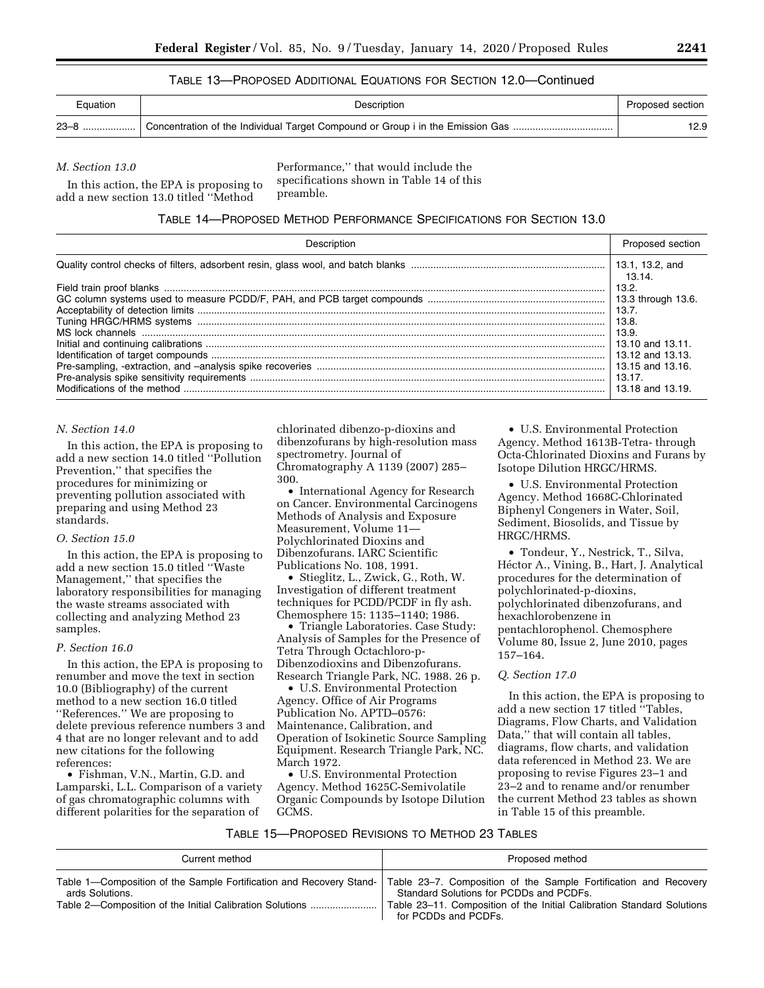# TABLE 13—PROPOSED ADDITIONAL EQUATIONS FOR SECTION 12.0—Continued

| Equation | Description                                                                    | Proposed section |
|----------|--------------------------------------------------------------------------------|------------------|
| $23 - 8$ | Concentration of the Individual Target Compound or Group i in the Emission Gas | 12.9             |

#### *M. Section 13.0*

In this action, the EPA is proposing to add a new section 13.0 titled ''Method

Performance,'' that would include the specifications shown in Table 14 of this preamble.

### TABLE 14—PROPOSED METHOD PERFORMANCE SPECIFICATIONS FOR SECTION 13.0

| Description | Proposed section          |
|-------------|---------------------------|
|             | 13.1, 13.2, and<br>13.14. |
|             | 13.2.<br>13.7.            |
|             | 13.8.<br>13.9.            |
|             |                           |
|             | 13.18 and 13.19.          |

#### *N. Section 14.0*

In this action, the EPA is proposing to add a new section 14.0 titled ''Pollution Prevention,'' that specifies the procedures for minimizing or preventing pollution associated with preparing and using Method 23 standards.

#### *O. Section 15.0*

In this action, the EPA is proposing to add a new section 15.0 titled ''Waste Management,'' that specifies the laboratory responsibilities for managing the waste streams associated with collecting and analyzing Method 23 samples.

#### *P. Section 16.0*

In this action, the EPA is proposing to renumber and move the text in section 10.0 (Bibliography) of the current method to a new section 16.0 titled ''References.'' We are proposing to delete previous reference numbers 3 and 4 that are no longer relevant and to add new citations for the following references:

• Fishman, V.N., Martin, G.D. and Lamparski, L.L. Comparison of a variety of gas chromatographic columns with different polarities for the separation of

chlorinated dibenzo-p-dioxins and dibenzofurans by high-resolution mass spectrometry. Journal of Chromatography A 1139 (2007) 285– 300.

• International Agency for Research on Cancer. Environmental Carcinogens Methods of Analysis and Exposure Measurement, Volume 11— Polychlorinated Dioxins and Dibenzofurans. IARC Scientific Publications No. 108, 1991.

• Stieglitz, L., Zwick, G., Roth, W. Investigation of different treatment techniques for PCDD/PCDF in fly ash. Chemosphere 15: 1135–1140; 1986.

• Triangle Laboratories. Case Study: Analysis of Samples for the Presence of Tetra Through Octachloro-p-Dibenzodioxins and Dibenzofurans. Research Triangle Park, NC. 1988. 26 p.

• U.S. Environmental Protection Agency. Office of Air Programs Publication No. APTD–0576: Maintenance, Calibration, and Operation of Isokinetic Source Sampling Equipment. Research Triangle Park, NC. March 1972.

• U.S. Environmental Protection Agency. Method 1625C-Semivolatile Organic Compounds by Isotope Dilution GCMS.

• U.S. Environmental Protection Agency. Method 1613B-Tetra- through Octa-Chlorinated Dioxins and Furans by Isotope Dilution HRGC/HRMS.

• U.S. Environmental Protection Agency. Method 1668C-Chlorinated Biphenyl Congeners in Water, Soil, Sediment, Biosolids, and Tissue by HRGC/HRMS.

• Tondeur, Y., Nestrick, T., Silva, Héctor A., Vining, B., Hart, J. Analytical procedures for the determination of polychlorinated-p-dioxins, polychlorinated dibenzofurans, and hexachlorobenzene in pentachlorophenol. Chemosphere Volume 80, Issue 2, June 2010, pages 157–164.

### *Q. Section 17.0*

In this action, the EPA is proposing to add a new section 17 titled ''Tables, Diagrams, Flow Charts, and Validation Data,'' that will contain all tables, diagrams, flow charts, and validation data referenced in Method 23. We are proposing to revise Figures 23–1 and 23–2 and to rename and/or renumber the current Method 23 tables as shown in Table 15 of this preamble.

| Current method                                                                         | Proposed method                                                                                                                     |
|----------------------------------------------------------------------------------------|-------------------------------------------------------------------------------------------------------------------------------------|
| Table 1—Composition of the Sample Fortification and Recovery Stand-<br>ards Solutions. | Table 23–7. Composition of the Sample Fortification and Recovery<br>Standard Solutions for PCDDs and PCDFs.<br>for PCDDs and PCDFs. |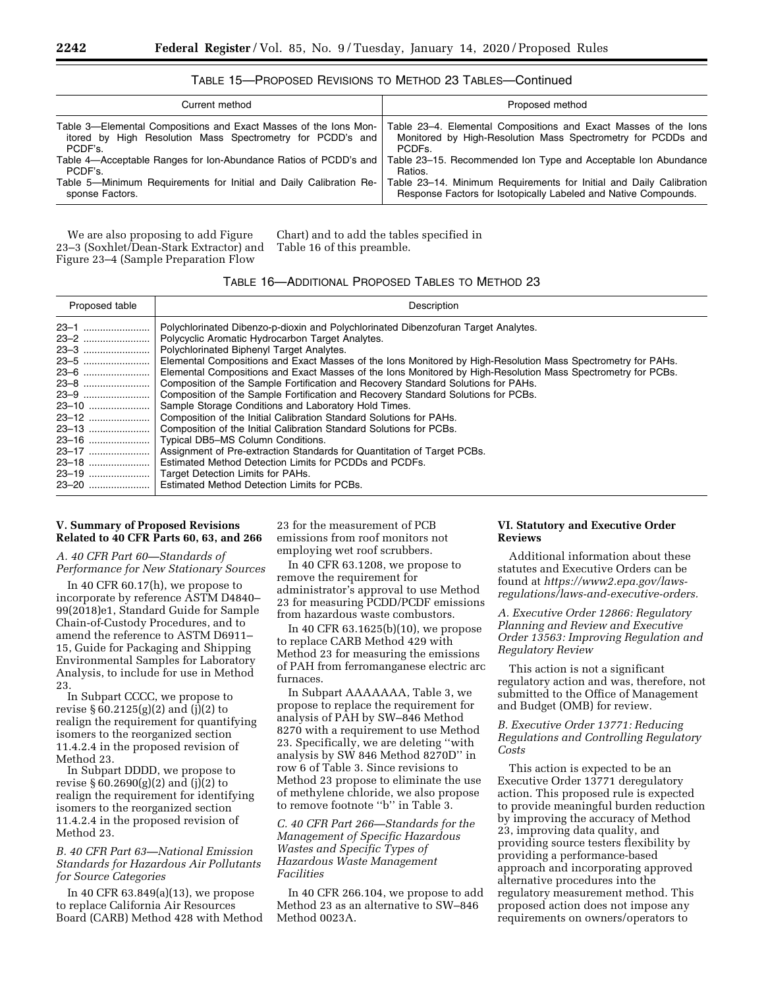| Current method                                                                                                                                                                                                                                                                                                   | Proposed method                                                                                                                                                                                                                                                                                                                                                             |
|------------------------------------------------------------------------------------------------------------------------------------------------------------------------------------------------------------------------------------------------------------------------------------------------------------------|-----------------------------------------------------------------------------------------------------------------------------------------------------------------------------------------------------------------------------------------------------------------------------------------------------------------------------------------------------------------------------|
| Table 3—Elemental Compositions and Exact Masses of the lons Mon-<br>itored by High Resolution Mass Spectrometry for PCDD's and<br>PCDF's<br>Table 4-Acceptable Ranges for Ion-Abundance Ratios of PCDD's and<br>PCDF's.<br>Table 5—Minimum Requirements for Initial and Daily Calibration Re-<br>sponse Factors. | Table 23–4. Elemental Compositions and Exact Masses of the lons<br>Monitored by High-Resolution Mass Spectrometry for PCDDs and<br>PCDE <sub>S</sub><br>Table 23–15. Recommended Ion Type and Acceptable Ion Abundance<br>Ratios.<br>Table 23-14. Minimum Requirements for Initial and Daily Calibration<br>Response Factors for Isotopically Labeled and Native Compounds. |
|                                                                                                                                                                                                                                                                                                                  |                                                                                                                                                                                                                                                                                                                                                                             |

# TABLE 15—PROPOSED REVISIONS TO METHOD 23 TABLES—Continued

We are also proposing to add Figure 23–3 (Soxhlet/Dean-Stark Extractor) and Figure 23–4 (Sample Preparation Flow

Chart) and to add the tables specified in Table 16 of this preamble.

# TABLE 16—ADDITIONAL PROPOSED TABLES TO METHOD 23

| Proposed table | Description                                                                                                  |
|----------------|--------------------------------------------------------------------------------------------------------------|
| 23–1           | Polychlorinated Dibenzo-p-dioxin and Polychlorinated Dibenzofuran Target Analytes.                           |
|                | Polycyclic Aromatic Hydrocarbon Target Analytes.                                                             |
|                | Polychlorinated Biphenyl Target Analytes.                                                                    |
|                | Elemental Compositions and Exact Masses of the lons Monitored by High-Resolution Mass Spectrometry for PAHs. |
| 23–6           | Elemental Compositions and Exact Masses of the lons Monitored by High-Resolution Mass Spectrometry for PCBs. |
|                |                                                                                                              |
|                | Composition of the Sample Fortification and Recovery Standard Solutions for PCBs.                            |
| <b>23–10</b>   | Sample Storage Conditions and Laboratory Hold Times.                                                         |
| 23–12          | Composition of the Initial Calibration Standard Solutions for PAHs.                                          |
|                | Composition of the Initial Calibration Standard Solutions for PCBs.                                          |
| 23–16          | Typical DB5-MS Column Conditions.                                                                            |
| 23–17          | Assignment of Pre-extraction Standards for Quantitation of Target PCBs.                                      |
|                | Estimated Method Detection Limits for PCDDs and PCDFs.                                                       |
| 23–19          | Target Detection Limits for PAHs.                                                                            |
|                | <b>Estimated Method Detection Limits for PCBs.</b>                                                           |

### **V. Summary of Proposed Revisions Related to 40 CFR Parts 60, 63, and 266**

*A. 40 CFR Part 60—Standards of Performance for New Stationary Sources* 

In 40 CFR 60.17(h), we propose to incorporate by reference ASTM D4840– 99(2018)e1, Standard Guide for Sample Chain-of-Custody Procedures, and to amend the reference to ASTM D6911– 15, Guide for Packaging and Shipping Environmental Samples for Laboratory Analysis, to include for use in Method 23.

In Subpart CCCC, we propose to revise § 60.2125(g)(2) and (j)(2) to realign the requirement for quantifying isomers to the reorganized section 11.4.2.4 in the proposed revision of Method 23.

In Subpart DDDD, we propose to revise § 60.2690(g)(2) and (j)(2) to realign the requirement for identifying isomers to the reorganized section 11.4.2.4 in the proposed revision of Method 23.

*B. 40 CFR Part 63—National Emission Standards for Hazardous Air Pollutants for Source Categories* 

In 40 CFR 63.849(a)(13), we propose to replace California Air Resources Board (CARB) Method 428 with Method

23 for the measurement of PCB emissions from roof monitors not employing wet roof scrubbers.

In 40 CFR 63.1208, we propose to remove the requirement for administrator's approval to use Method 23 for measuring PCDD/PCDF emissions from hazardous waste combustors.

In 40 CFR 63.1625(b)(10), we propose to replace CARB Method 429 with Method 23 for measuring the emissions of PAH from ferromanganese electric arc furnaces.

In Subpart AAAAAAA, Table 3, we propose to replace the requirement for analysis of PAH by SW–846 Method 8270 with a requirement to use Method 23. Specifically, we are deleting ''with analysis by SW 846 Method 8270D'' in row 6 of Table 3. Since revisions to Method 23 propose to eliminate the use of methylene chloride, we also propose to remove footnote ''b'' in Table 3.

*C. 40 CFR Part 266—Standards for the Management of Specific Hazardous Wastes and Specific Types of Hazardous Waste Management Facilities* 

In 40 CFR 266.104, we propose to add Method 23 as an alternative to SW–846 Method 0023A.

# **VI. Statutory and Executive Order Reviews**

Additional information about these statutes and Executive Orders can be found at *[https://www2.epa.gov/laws](https://www2.epa.gov/laws-regulations/laws-and-executive-orders)[regulations/laws-and-executive-orders.](https://www2.epa.gov/laws-regulations/laws-and-executive-orders)* 

*A. Executive Order 12866: Regulatory Planning and Review and Executive Order 13563: Improving Regulation and Regulatory Review* 

This action is not a significant regulatory action and was, therefore, not submitted to the Office of Management and Budget (OMB) for review.

*B. Executive Order 13771: Reducing Regulations and Controlling Regulatory Costs* 

This action is expected to be an Executive Order 13771 deregulatory action. This proposed rule is expected to provide meaningful burden reduction by improving the accuracy of Method 23, improving data quality, and providing source testers flexibility by providing a performance-based approach and incorporating approved alternative procedures into the regulatory measurement method. This proposed action does not impose any requirements on owners/operators to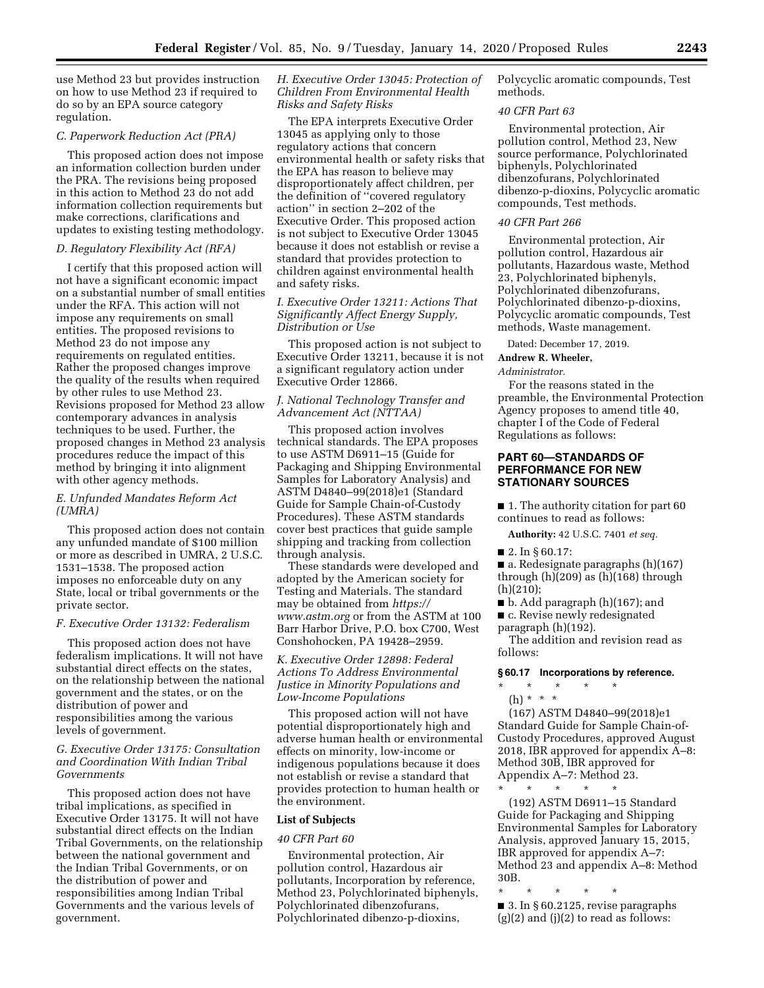use Method 23 but provides instruction on how to use Method 23 if required to do so by an EPA source category regulation.

#### *C. Paperwork Reduction Act (PRA)*

This proposed action does not impose an information collection burden under the PRA. The revisions being proposed in this action to Method 23 do not add information collection requirements but make corrections, clarifications and updates to existing testing methodology.

#### *D. Regulatory Flexibility Act (RFA)*

I certify that this proposed action will not have a significant economic impact on a substantial number of small entities under the RFA. This action will not impose any requirements on small entities. The proposed revisions to Method 23 do not impose any requirements on regulated entities. Rather the proposed changes improve the quality of the results when required by other rules to use Method 23. Revisions proposed for Method 23 allow contemporary advances in analysis techniques to be used. Further, the proposed changes in Method 23 analysis procedures reduce the impact of this method by bringing it into alignment with other agency methods.

### *E. Unfunded Mandates Reform Act (UMRA)*

This proposed action does not contain any unfunded mandate of \$100 million or more as described in UMRA, 2 U.S.C. 1531–1538. The proposed action imposes no enforceable duty on any State, local or tribal governments or the private sector.

#### *F. Executive Order 13132: Federalism*

This proposed action does not have federalism implications. It will not have substantial direct effects on the states, on the relationship between the national government and the states, or on the distribution of power and responsibilities among the various levels of government.

#### *G. Executive Order 13175: Consultation and Coordination With Indian Tribal Governments*

This proposed action does not have tribal implications, as specified in Executive Order 13175. It will not have substantial direct effects on the Indian Tribal Governments, on the relationship between the national government and the Indian Tribal Governments, or on the distribution of power and responsibilities among Indian Tribal Governments and the various levels of government.

*H. Executive Order 13045: Protection of Children From Environmental Health Risks and Safety Risks* 

The EPA interprets Executive Order 13045 as applying only to those regulatory actions that concern environmental health or safety risks that the EPA has reason to believe may disproportionately affect children, per the definition of ''covered regulatory action'' in section 2–202 of the Executive Order. This proposed action is not subject to Executive Order 13045 because it does not establish or revise a standard that provides protection to children against environmental health and safety risks.

### *I. Executive Order 13211: Actions That Significantly Affect Energy Supply, Distribution or Use*

This proposed action is not subject to Executive Order 13211, because it is not a significant regulatory action under Executive Order 12866.

### *J. National Technology Transfer and Advancement Act (NTTAA)*

This proposed action involves technical standards. The EPA proposes to use ASTM D6911–15 (Guide for Packaging and Shipping Environmental Samples for Laboratory Analysis) and ASTM D4840–99(2018)e1 (Standard Guide for Sample Chain-of-Custody Procedures). These ASTM standards cover best practices that guide sample shipping and tracking from collection through analysis.

These standards were developed and adopted by the American society for Testing and Materials. The standard may be obtained from *[https://](https://www.astm.org) [www.astm.org](https://www.astm.org)* or from the ASTM at 100 Barr Harbor Drive, P.O. box C700, West Conshohocken, PA 19428–2959.

# *K. Executive Order 12898: Federal Actions To Address Environmental Justice in Minority Populations and Low-Income Populations*

This proposed action will not have potential disproportionately high and adverse human health or environmental effects on minority, low-income or indigenous populations because it does not establish or revise a standard that provides protection to human health or the environment.

#### **List of Subjects**

#### *40 CFR Part 60*

Environmental protection, Air pollution control, Hazardous air pollutants, Incorporation by reference, Method 23, Polychlorinated biphenyls, Polychlorinated dibenzofurans, Polychlorinated dibenzo-p-dioxins,

Polycyclic aromatic compounds, Test methods.

### *40 CFR Part 63*

Environmental protection, Air pollution control, Method 23, New source performance, Polychlorinated biphenyls, Polychlorinated dibenzofurans, Polychlorinated dibenzo-p-dioxins, Polycyclic aromatic compounds, Test methods.

#### *40 CFR Part 266*

Environmental protection, Air pollution control, Hazardous air pollutants, Hazardous waste, Method 23, Polychlorinated biphenyls, Polychlorinated dibenzofurans, Polychlorinated dibenzo-p-dioxins, Polycyclic aromatic compounds, Test methods, Waste management.

Dated: December 17, 2019.

#### **Andrew R. Wheeler,**

*Administrator.* 

For the reasons stated in the preamble, the Environmental Protection Agency proposes to amend title 40, chapter I of the Code of Federal Regulations as follows:

# **PART 60—STANDARDS OF PERFORMANCE FOR NEW STATIONARY SOURCES**

■ 1. The authority citation for part 60 continues to read as follows:

**Authority:** 42 U.S.C. 7401 *et seq.* 

 $\blacksquare$  2. In § 60.17:

■ a. Redesignate paragraphs (h)(167) through (h)(209) as (h)(168) through (h)(210);

■ b. Add paragraph (h)(167); and ■ c. Revise newly redesignated

paragraph (h)(192).

The addition and revision read as follows:

### **§ 60.17 Incorporations by reference.**

- \* \* \* \* \*
	- (h) \* \* \*

(167) ASTM D4840–99(2018)e1 Standard Guide for Sample Chain-of-Custody Procedures, approved August 2018, IBR approved for appendix A–8: Method 30B, IBR approved for Appendix A–7: Method 23.

\* \* \* \* \* (192) ASTM D6911–15 Standard Guide for Packaging and Shipping Environmental Samples for Laboratory Analysis, approved January 15, 2015, IBR approved for appendix A–7: Method 23 and appendix A–8: Method 30B.

\* \* \* \* \*

■ 3. In § 60.2125, revise paragraphs  $(g)(2)$  and  $(j)(2)$  to read as follows: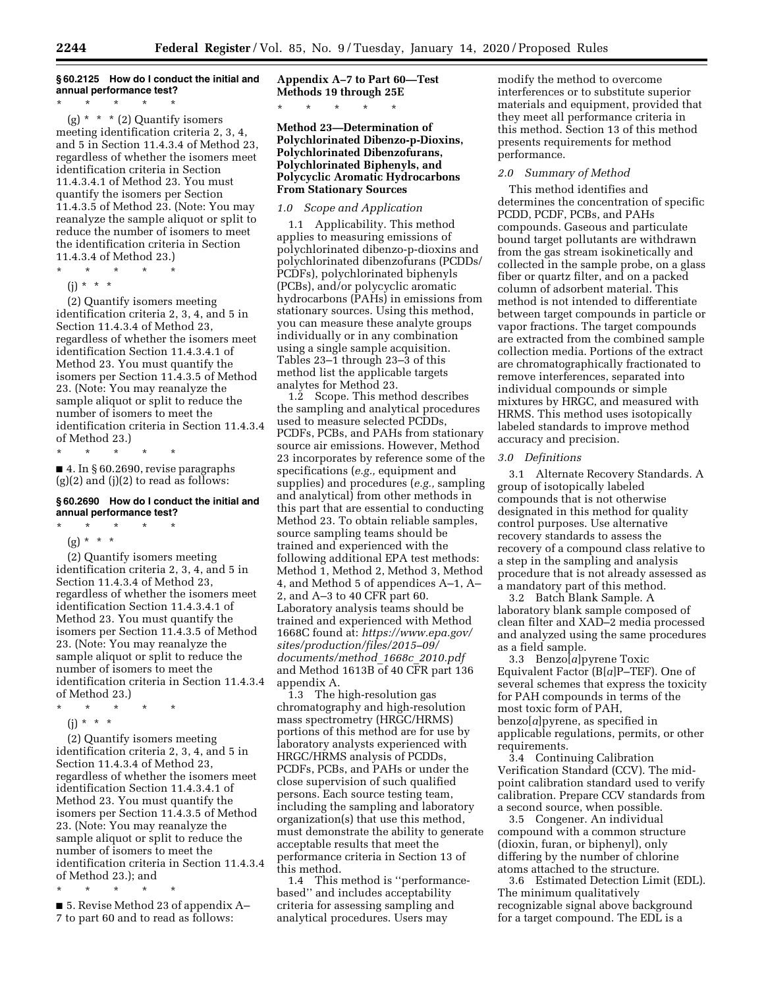# **§ 60.2125 How do I conduct the initial and annual performance test?**

\* \* \* \* \*

(g)  $* * * (2)$  Quantify isomers meeting identification criteria 2, 3, 4, and 5 in Section 11.4.3.4 of Method 23, regardless of whether the isomers meet identification criteria in Section 11.4.3.4.1 of Method 23. You must quantify the isomers per Section 11.4.3.5 of Method 23. (Note: You may reanalyze the sample aliquot or split to reduce the number of isomers to meet the identification criteria in Section 11.4.3.4 of Method 23.)

- \* \* \* \* \*
	- $(i) * * * *$

(2) Quantify isomers meeting identification criteria 2, 3, 4, and 5 in Section 11.4.3.4 of Method 23, regardless of whether the isomers meet identification Section 11.4.3.4.1 of Method 23. You must quantify the isomers per Section 11.4.3.5 of Method 23. (Note: You may reanalyze the sample aliquot or split to reduce the number of isomers to meet the identification criteria in Section 11.4.3.4 of Method 23.)

\* \* \* \* \*

■ 4. In § 60.2690, revise paragraphs  $(g)(2)$  and  $(j)(2)$  to read as follows:

#### **§ 60.2690 How do I conduct the initial and annual performance test?**

\* \* \* \* \*

 $(g) * * * *$ 

(2) Quantify isomers meeting identification criteria 2, 3, 4, and 5 in Section 11.4.3.4 of Method 23, regardless of whether the isomers meet identification Section 11.4.3.4.1 of Method 23. You must quantify the isomers per Section 11.4.3.5 of Method 23. (Note: You may reanalyze the sample aliquot or split to reduce the number of isomers to meet the identification criteria in Section 11.4.3.4 of Method 23.)

\* \* \* \* \* (j) \* \* \*

(2) Quantify isomers meeting identification criteria 2, 3, 4, and 5 in Section 11.4.3.4 of Method 23, regardless of whether the isomers meet identification Section 11.4.3.4.1 of Method 23. You must quantify the isomers per Section 11.4.3.5 of Method 23. (Note: You may reanalyze the sample aliquot or split to reduce the number of isomers to meet the identification criteria in Section 11.4.3.4 of Method 23.); and

\* \* \* \* \*

■ 5. Revise Method 23 of appendix A– 7 to part 60 and to read as follows:

**Appendix A–7 to Part 60—Test Methods 19 through 25E** 

\* \* \* \* \*

**Method 23—Determination of Polychlorinated Dibenzo-p-Dioxins, Polychlorinated Dibenzofurans, Polychlorinated Biphenyls, and Polycyclic Aromatic Hydrocarbons From Stationary Sources** 

# *1.0 Scope and Application*

1.1 Applicability. This method applies to measuring emissions of polychlorinated dibenzo-p-dioxins and polychlorinated dibenzofurans (PCDDs/ PCDFs), polychlorinated biphenyls (PCBs), and/or polycyclic aromatic hydrocarbons (PAHs) in emissions from stationary sources. Using this method, you can measure these analyte groups individually or in any combination using a single sample acquisition. Tables 23–1 through 23–3 of this method list the applicable targets analytes for Method 23.

1.2 Scope. This method describes the sampling and analytical procedures used to measure selected PCDDs, PCDFs, PCBs, and PAHs from stationary source air emissions. However, Method 23 incorporates by reference some of the specifications (*e.g.,* equipment and supplies) and procedures (*e.g.,* sampling and analytical) from other methods in this part that are essential to conducting Method 23. To obtain reliable samples, source sampling teams should be trained and experienced with the following additional EPA test methods: Method 1, Method 2, Method 3, Method 4, and Method 5 of appendices A–1, A– 2, and A–3 to 40 CFR part 60. Laboratory analysis teams should be trained and experienced with Method 1668C found at: *[https://www.epa.gov/](https://www.epa.gov/sites/production/files/2015-09/documents/method_1668c_2010.pdf)  [sites/production/files/2015–09/](https://www.epa.gov/sites/production/files/2015-09/documents/method_1668c_2010.pdf)  [documents/method](https://www.epa.gov/sites/production/files/2015-09/documents/method_1668c_2010.pdf)*\_*1668c*\_*2010.pdf*  and Method 1613B of 40 CFR part 136 appendix A.

1.3 The high-resolution gas chromatography and high-resolution mass spectrometry (HRGC/HRMS) portions of this method are for use by laboratory analysts experienced with HRGC/HRMS analysis of PCDDs, PCDFs, PCBs, and PAHs or under the close supervision of such qualified persons. Each source testing team, including the sampling and laboratory organization(s) that use this method, must demonstrate the ability to generate acceptable results that meet the performance criteria in Section 13 of this method.

1.4 This method is ''performancebased'' and includes acceptability criteria for assessing sampling and analytical procedures. Users may

modify the method to overcome interferences or to substitute superior materials and equipment, provided that they meet all performance criteria in this method. Section 13 of this method presents requirements for method performance.

#### *2.0 Summary of Method*

This method identifies and determines the concentration of specific PCDD, PCDF, PCBs, and PAHs compounds. Gaseous and particulate bound target pollutants are withdrawn from the gas stream isokinetically and collected in the sample probe, on a glass fiber or quartz filter, and on a packed column of adsorbent material. This method is not intended to differentiate between target compounds in particle or vapor fractions. The target compounds are extracted from the combined sample collection media. Portions of the extract are chromatographically fractionated to remove interferences, separated into individual compounds or simple mixtures by HRGC, and measured with HRMS. This method uses isotopically labeled standards to improve method accuracy and precision.

### *3.0 Definitions*

3.1 Alternate Recovery Standards. A group of isotopically labeled compounds that is not otherwise designated in this method for quality control purposes. Use alternative recovery standards to assess the recovery of a compound class relative to a step in the sampling and analysis procedure that is not already assessed as a mandatory part of this method.

3.2 Batch Blank Sample. A laboratory blank sample composed of clean filter and XAD–2 media processed and analyzed using the same procedures as a field sample.

3.3 Benzo[*a*]pyrene Toxic Equivalent Factor (B[*a*]P–TEF). One of several schemes that express the toxicity for PAH compounds in terms of the most toxic form of PAH, benzo[*a*]pyrene, as specified in applicable regulations, permits, or other requirements.

3.4 Continuing Calibration Verification Standard (CCV). The midpoint calibration standard used to verify calibration. Prepare CCV standards from a second source, when possible.

3.5 Congener. An individual compound with a common structure (dioxin, furan, or biphenyl), only differing by the number of chlorine atoms attached to the structure.

3.6 Estimated Detection Limit (EDL). The minimum qualitatively recognizable signal above background for a target compound. The EDL is a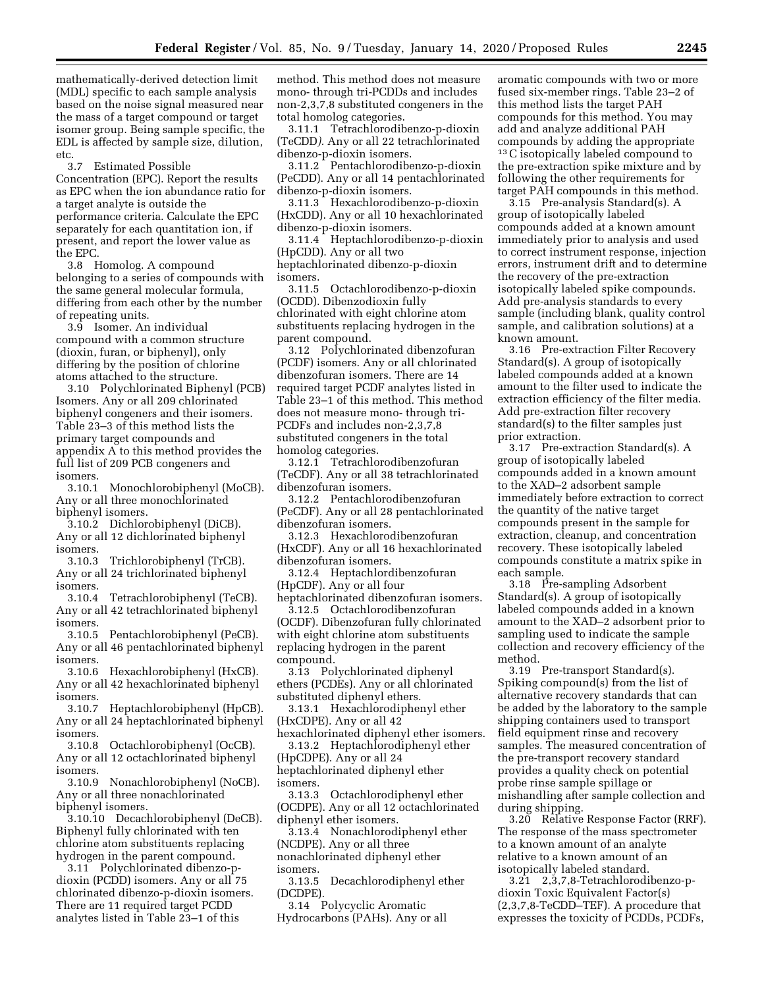mathematically-derived detection limit (MDL) specific to each sample analysis based on the noise signal measured near the mass of a target compound or target isomer group. Being sample specific, the EDL is affected by sample size, dilution, etc.

3.7 Estimated Possible Concentration (EPC). Report the results as EPC when the ion abundance ratio for a target analyte is outside the performance criteria. Calculate the EPC separately for each quantitation ion, if present, and report the lower value as the EPC.

3.8 Homolog. A compound belonging to a series of compounds with the same general molecular formula, differing from each other by the number of repeating units.

3.9 Isomer. An individual compound with a common structure (dioxin, furan, or biphenyl), only differing by the position of chlorine atoms attached to the structure.

3.10 Polychlorinated Biphenyl (PCB) Isomers. Any or all 209 chlorinated biphenyl congeners and their isomers. Table 23–3 of this method lists the primary target compounds and appendix A to this method provides the full list of 209 PCB congeners and isomers.

3.10.1 Monochlorobiphenyl (MoCB). Any or all three monochlorinated biphenyl isomers.

3.10.2 Dichlorobiphenyl (DiCB). Any or all 12 dichlorinated biphenyl isomers.

3.10.3 Trichlorobiphenyl (TrCB). Any or all 24 trichlorinated biphenyl isomers.

3.10.4 Tetrachlorobiphenyl (TeCB). Any or all 42 tetrachlorinated biphenyl isomers.

3.10.5 Pentachlorobiphenyl (PeCB). Any or all 46 pentachlorinated biphenyl isomers.

3.10.6 Hexachlorobiphenyl (HxCB). Any or all 42 hexachlorinated biphenyl isomers.<br> $3.10.7$ 

Heptachlorobiphenyl (HpCB). Any or all 24 heptachlorinated biphenyl isomers.

3.10.8 Octachlorobiphenyl (OcCB). Any or all 12 octachlorinated biphenyl isomers.

3.10.9 Nonachlorobiphenyl (NoCB). Any or all three nonachlorinated biphenyl isomers.

3.10.10 Decachlorobiphenyl (DeCB). Biphenyl fully chlorinated with ten chlorine atom substituents replacing hydrogen in the parent compound.

3.11 Polychlorinated dibenzo-pdioxin (PCDD) isomers. Any or all 75 chlorinated dibenzo-p-dioxin isomers. There are 11 required target PCDD analytes listed in Table 23–1 of this

method. This method does not measure mono- through tri-PCDDs and includes non-2,3,7,8 substituted congeners in the total homolog categories.

3.11.1 Tetrachlorodibenzo-p-dioxin (TeCDD*).* Any or all 22 tetrachlorinated dibenzo-p-dioxin isomers.

3.11.2 Pentachlorodibenzo-p-dioxin (PeCDD). Any or all 14 pentachlorinated dibenzo-p-dioxin isomers.

3.11.3 Hexachlorodibenzo-p-dioxin (HxCDD). Any or all 10 hexachlorinated dibenzo-p-dioxin isomers.

3.11.4 Heptachlorodibenzo-p-dioxin (HpCDD). Any or all two

heptachlorinated dibenzo-p-dioxin isomers.

3.11.5 Octachlorodibenzo-p-dioxin (OCDD). Dibenzodioxin fully chlorinated with eight chlorine atom substituents replacing hydrogen in the parent compound.

3.12 Polychlorinated dibenzofuran (PCDF) isomers. Any or all chlorinated dibenzofuran isomers. There are 14 required target PCDF analytes listed in Table 23–1 of this method. This method does not measure mono- through tri-PCDFs and includes non-2,3,7,8 substituted congeners in the total homolog categories.

3.12.1 Tetrachlorodibenzofuran (TeCDF). Any or all 38 tetrachlorinated dibenzofuran isomers.

3.12.2 Pentachlorodibenzofuran (PeCDF). Any or all 28 pentachlorinated dibenzofuran isomers.

3.12.3 Hexachlorodibenzofuran (HxCDF). Any or all 16 hexachlorinated dibenzofuran isomers.

3.12.4 Heptachlordibenzofuran (HpCDF). Any or all four

heptachlorinated dibenzofuran isomers. 3.12.5 Octachlorodibenzofuran (OCDF). Dibenzofuran fully chlorinated with eight chlorine atom substituents replacing hydrogen in the parent compound.

3.13 Polychlorinated diphenyl ethers (PCDEs). Any or all chlorinated substituted diphenyl ethers.

3.13.1 Hexachlorodiphenyl ether (HxCDPE). Any or all 42

hexachlorinated diphenyl ether isomers. 3.13.2 Heptachlorodiphenyl ether

(HpCDPE). Any or all 24 heptachlorinated diphenyl ether isomers.

3.13.3 Octachlorodiphenyl ether (OCDPE). Any or all 12 octachlorinated diphenyl ether isomers.

3.13.4 Nonachlorodiphenyl ether (NCDPE). Any or all three nonachlorinated diphenyl ether isomers.

3.13.5 Decachlorodiphenyl ether (DCDPE).

3.14 Polycyclic Aromatic Hydrocarbons (PAHs). Any or all

aromatic compounds with two or more fused six-member rings. Table 23–2 of this method lists the target PAH compounds for this method. You may add and analyze additional PAH compounds by adding the appropriate 13C isotopically labeled compound to the pre-extraction spike mixture and by following the other requirements for target PAH compounds in this method.

3.15 Pre-analysis Standard(s). A group of isotopically labeled compounds added at a known amount immediately prior to analysis and used to correct instrument response, injection errors, instrument drift and to determine the recovery of the pre-extraction isotopically labeled spike compounds. Add pre-analysis standards to every sample (including blank, quality control sample, and calibration solutions) at a known amount.

3.16 Pre-extraction Filter Recovery Standard(s). A group of isotopically labeled compounds added at a known amount to the filter used to indicate the extraction efficiency of the filter media. Add pre-extraction filter recovery standard(s) to the filter samples just prior extraction.

3.17 Pre-extraction Standard(s). A group of isotopically labeled compounds added in a known amount to the XAD–2 adsorbent sample immediately before extraction to correct the quantity of the native target compounds present in the sample for extraction, cleanup, and concentration recovery. These isotopically labeled compounds constitute a matrix spike in each sample.

3.18 Pre-sampling Adsorbent Standard(s). A group of isotopically labeled compounds added in a known amount to the XAD–2 adsorbent prior to sampling used to indicate the sample collection and recovery efficiency of the method.

3.19 Pre-transport Standard(s). Spiking compound(s) from the list of alternative recovery standards that can be added by the laboratory to the sample shipping containers used to transport field equipment rinse and recovery samples. The measured concentration of the pre-transport recovery standard provides a quality check on potential probe rinse sample spillage or mishandling after sample collection and during shipping.

3.20 Relative Response Factor (RRF). The response of the mass spectrometer to a known amount of an analyte relative to a known amount of an isotopically labeled standard.

3.21 2,3,7,8-Tetrachlorodibenzo-pdioxin Toxic Equivalent Factor(s) (2,3,7,8-TeCDD–TEF). A procedure that expresses the toxicity of PCDDs, PCDFs,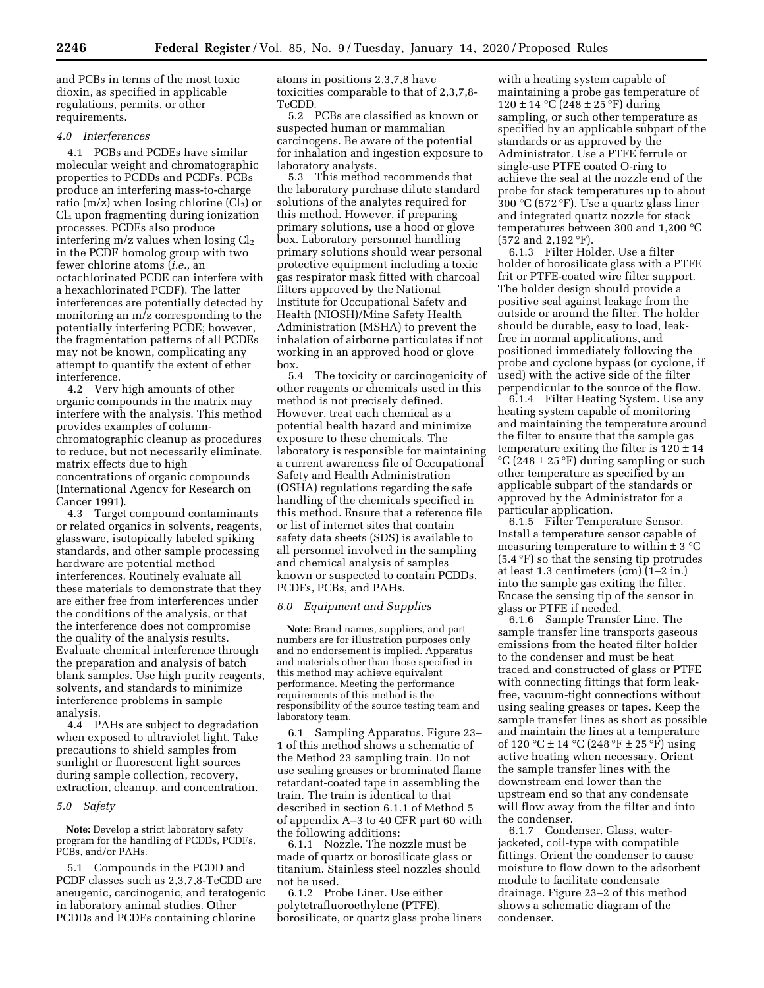and PCBs in terms of the most toxic dioxin, as specified in applicable regulations, permits, or other requirements.

#### *4.0 Interferences*

4.1 PCBs and PCDEs have similar molecular weight and chromatographic properties to PCDDs and PCDFs. PCBs produce an interfering mass-to-charge ratio (m/z) when losing chlorine (Cl<sub>2</sub>) or Cl4 upon fragmenting during ionization processes. PCDEs also produce interfering  $m/z$  values when losing  $Cl<sub>2</sub>$ in the PCDF homolog group with two fewer chlorine atoms (*i.e.,* an octachlorinated PCDE can interfere with a hexachlorinated PCDF). The latter interferences are potentially detected by monitoring an m/z corresponding to the potentially interfering PCDE; however, the fragmentation patterns of all PCDEs may not be known, complicating any attempt to quantify the extent of ether interference.

4.2 Very high amounts of other organic compounds in the matrix may interfere with the analysis. This method provides examples of columnchromatographic cleanup as procedures to reduce, but not necessarily eliminate, matrix effects due to high concentrations of organic compounds (International Agency for Research on Cancer 1991).

4.3 Target compound contaminants or related organics in solvents, reagents, glassware, isotopically labeled spiking standards, and other sample processing hardware are potential method interferences. Routinely evaluate all these materials to demonstrate that they are either free from interferences under the conditions of the analysis, or that the interference does not compromise the quality of the analysis results. Evaluate chemical interference through the preparation and analysis of batch blank samples. Use high purity reagents, solvents, and standards to minimize interference problems in sample analysis.

4.4 PAHs are subject to degradation when exposed to ultraviolet light. Take precautions to shield samples from sunlight or fluorescent light sources during sample collection, recovery, extraction, cleanup, and concentration.

#### *5.0 Safety*

**Note:** Develop a strict laboratory safety program for the handling of PCDDs, PCDFs, PCBs, and/or PAHs.

5.1 Compounds in the PCDD and PCDF classes such as 2,3,7,8-TeCDD are aneugenic, carcinogenic, and teratogenic in laboratory animal studies. Other PCDDs and PCDFs containing chlorine

atoms in positions 2,3,7,8 have toxicities comparable to that of 2,3,7,8- TeCDD.

5.2 PCBs are classified as known or suspected human or mammalian carcinogens. Be aware of the potential for inhalation and ingestion exposure to laboratory analysts.

5.3 This method recommends that the laboratory purchase dilute standard solutions of the analytes required for this method. However, if preparing primary solutions, use a hood or glove box. Laboratory personnel handling primary solutions should wear personal protective equipment including a toxic gas respirator mask fitted with charcoal filters approved by the National Institute for Occupational Safety and Health (NIOSH)/Mine Safety Health Administration (MSHA) to prevent the inhalation of airborne particulates if not working in an approved hood or glove box.

5.4 The toxicity or carcinogenicity of other reagents or chemicals used in this method is not precisely defined. However, treat each chemical as a potential health hazard and minimize exposure to these chemicals. The laboratory is responsible for maintaining a current awareness file of Occupational Safety and Health Administration (OSHA) regulations regarding the safe handling of the chemicals specified in this method. Ensure that a reference file or list of internet sites that contain safety data sheets (SDS) is available to all personnel involved in the sampling and chemical analysis of samples known or suspected to contain PCDDs, PCDFs, PCBs, and PAHs.

#### *6.0 Equipment and Supplies*

**Note:** Brand names, suppliers, and part numbers are for illustration purposes only and no endorsement is implied. Apparatus and materials other than those specified in this method may achieve equivalent performance. Meeting the performance requirements of this method is the responsibility of the source testing team and laboratory team.

6.1 Sampling Apparatus. Figure 23– 1 of this method shows a schematic of the Method 23 sampling train. Do not use sealing greases or brominated flame retardant-coated tape in assembling the train. The train is identical to that described in section 6.1.1 of Method 5 of appendix A–3 to 40 CFR part 60 with the following additions:

6.1.1 Nozzle. The nozzle must be made of quartz or borosilicate glass or titanium. Stainless steel nozzles should not be used.

6.1.2 Probe Liner. Use either polytetrafluoroethylene (PTFE), borosilicate, or quartz glass probe liners

with a heating system capable of maintaining a probe gas temperature of  $120 \pm 14$  °C (248  $\pm 25$  °F) during sampling, or such other temperature as specified by an applicable subpart of the standards or as approved by the Administrator. Use a PTFE ferrule or single-use PTFE coated O-ring to achieve the seal at the nozzle end of the probe for stack temperatures up to about 300 °C (572 °F). Use a quartz glass liner and integrated quartz nozzle for stack temperatures between 300 and 1,200 °C (572 and 2,192 °F).

6.1.3 Filter Holder. Use a filter holder of borosilicate glass with a PTFE frit or PTFE-coated wire filter support. The holder design should provide a positive seal against leakage from the outside or around the filter. The holder should be durable, easy to load, leakfree in normal applications, and positioned immediately following the probe and cyclone bypass (or cyclone, if used) with the active side of the filter perpendicular to the source of the flow.

6.1.4 Filter Heating System. Use any heating system capable of monitoring and maintaining the temperature around the filter to ensure that the sample gas temperature exiting the filter is  $120 \pm 14$  $\rm{°C}$  (248 ± 25  $\rm{°F}$ ) during sampling or such other temperature as specified by an applicable subpart of the standards or approved by the Administrator for a particular application.

6.1.5 Filter Temperature Sensor. Install a temperature sensor capable of measuring temperature to within  $\pm$  3 °C (5.4 °F) so that the sensing tip protrudes at least 1.3 centimeters (cm) (1–2 in.) into the sample gas exiting the filter. Encase the sensing tip of the sensor in glass or PTFE if needed.

6.1.6 Sample Transfer Line. The sample transfer line transports gaseous emissions from the heated filter holder to the condenser and must be heat traced and constructed of glass or PTFE with connecting fittings that form leakfree, vacuum-tight connections without using sealing greases or tapes. Keep the sample transfer lines as short as possible and maintain the lines at a temperature of 120 °C  $\pm$  14 °C (248 °F  $\pm$  25 °F) using active heating when necessary. Orient the sample transfer lines with the downstream end lower than the upstream end so that any condensate will flow away from the filter and into the condenser.

6.1.7 Condenser. Glass, waterjacketed, coil-type with compatible fittings. Orient the condenser to cause moisture to flow down to the adsorbent module to facilitate condensate drainage. Figure 23–2 of this method shows a schematic diagram of the condenser.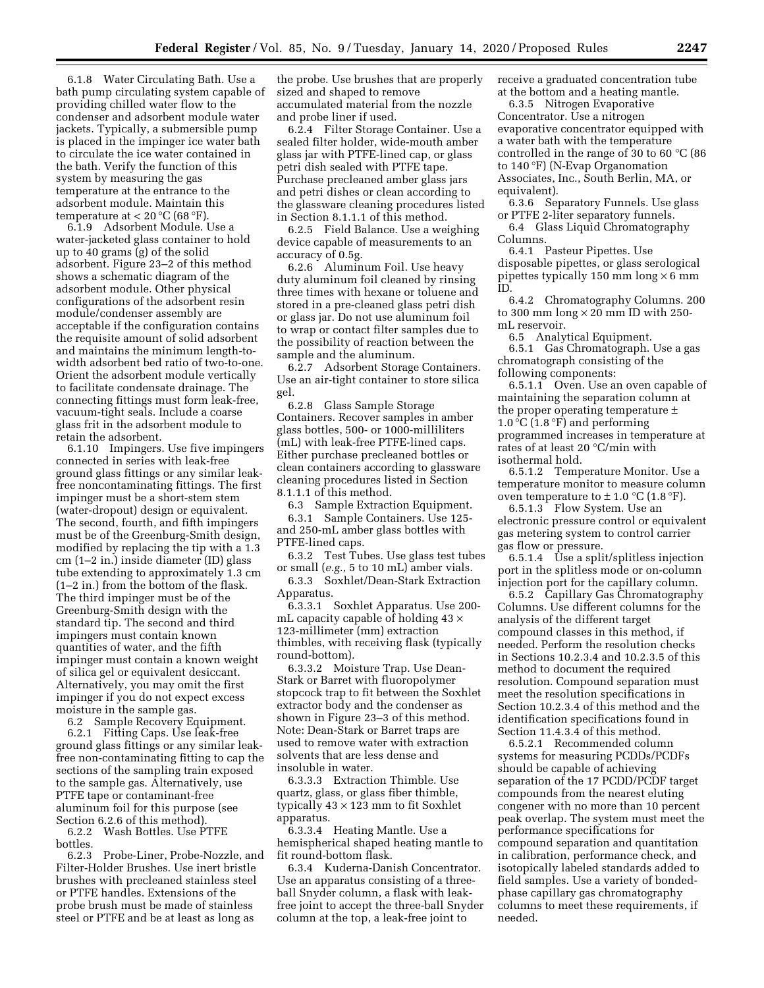6.1.8 Water Circulating Bath. Use a bath pump circulating system capable of providing chilled water flow to the condenser and adsorbent module water jackets. Typically, a submersible pump is placed in the impinger ice water bath to circulate the ice water contained in the bath. Verify the function of this system by measuring the gas temperature at the entrance to the adsorbent module. Maintain this temperature at  $< 20 °C$  (68 °F).

6.1.9 Adsorbent Module. Use a water-jacketed glass container to hold up to 40 grams (g) of the solid adsorbent. Figure 23–2 of this method shows a schematic diagram of the adsorbent module. Other physical configurations of the adsorbent resin module/condenser assembly are acceptable if the configuration contains the requisite amount of solid adsorbent and maintains the minimum length-towidth adsorbent bed ratio of two-to-one. Orient the adsorbent module vertically to facilitate condensate drainage. The connecting fittings must form leak-free, vacuum-tight seals. Include a coarse glass frit in the adsorbent module to retain the adsorbent.

6.1.10 Impingers. Use five impingers connected in series with leak-free ground glass fittings or any similar leakfree noncontaminating fittings. The first impinger must be a short-stem stem (water-dropout) design or equivalent. The second, fourth, and fifth impingers must be of the Greenburg-Smith design, modified by replacing the tip with a 1.3 cm (1–2 in.) inside diameter (ID) glass tube extending to approximately 1.3 cm (1–2 in.) from the bottom of the flask. The third impinger must be of the Greenburg-Smith design with the standard tip. The second and third impingers must contain known quantities of water, and the fifth impinger must contain a known weight of silica gel or equivalent desiccant. Alternatively, you may omit the first impinger if you do not expect excess moisture in the sample gas.

6.2 Sample Recovery Equipment. 6.2.1 Fitting Caps. Use leak-free ground glass fittings or any similar leakfree non-contaminating fitting to cap the sections of the sampling train exposed to the sample gas. Alternatively, use PTFE tape or contaminant-free aluminum foil for this purpose (see Section 6.2.6 of this method).

6.2.2 Wash Bottles. Use PTFE bottles.<br> $6.2.3$ 

6.2.3 Probe-Liner, Probe-Nozzle, and Filter-Holder Brushes. Use inert bristle brushes with precleaned stainless steel or PTFE handles. Extensions of the probe brush must be made of stainless steel or PTFE and be at least as long as

the probe. Use brushes that are properly sized and shaped to remove accumulated material from the nozzle and probe liner if used.

6.2.4 Filter Storage Container. Use a sealed filter holder, wide-mouth amber glass jar with PTFE-lined cap, or glass petri dish sealed with PTFE tape. Purchase precleaned amber glass jars and petri dishes or clean according to the glassware cleaning procedures listed in Section 8.1.1.1 of this method.

6.2.5 Field Balance. Use a weighing device capable of measurements to an accuracy of 0.5g.

6.2.6 Aluminum Foil. Use heavy duty aluminum foil cleaned by rinsing three times with hexane or toluene and stored in a pre-cleaned glass petri dish or glass jar. Do not use aluminum foil to wrap or contact filter samples due to the possibility of reaction between the sample and the aluminum.

6.2.7 Adsorbent Storage Containers. Use an air-tight container to store silica gel.

6.2.8 Glass Sample Storage Containers. Recover samples in amber glass bottles, 500- or 1000-milliliters (mL) with leak-free PTFE-lined caps. Either purchase precleaned bottles or clean containers according to glassware cleaning procedures listed in Section 8.1.1.1 of this method.

6.3 Sample Extraction Equipment.

6.3.1 Sample Containers. Use 125 and 250-mL amber glass bottles with PTFE-lined caps.

6.3.2 Test Tubes. Use glass test tubes or small (*e.g.,* 5 to 10 mL) amber vials.

6.3.3 Soxhlet/Dean-Stark Extraction Apparatus.

6.3.3.1 Soxhlet Apparatus. Use 200 mL capacity capable of holding  $43 \times$ 123-millimeter (mm) extraction thimbles, with receiving flask (typically round-bottom).

6.3.3.2 Moisture Trap. Use Dean-Stark or Barret with fluoropolymer stopcock trap to fit between the Soxhlet extractor body and the condenser as shown in Figure 23–3 of this method. Note: Dean-Stark or Barret traps are used to remove water with extraction solvents that are less dense and insoluble in water.

6.3.3.3 Extraction Thimble. Use quartz, glass, or glass fiber thimble, typically  $43 \times 123$  mm to fit Soxhlet apparatus.

6.3.3.4 Heating Mantle. Use a hemispherical shaped heating mantle to fit round-bottom flask.

6.3.4 Kuderna-Danish Concentrator. Use an apparatus consisting of a threeball Snyder column, a flask with leakfree joint to accept the three-ball Snyder column at the top, a leak-free joint to

receive a graduated concentration tube at the bottom and a heating mantle.

6.3.5 Nitrogen Evaporative Concentrator. Use a nitrogen evaporative concentrator equipped with a water bath with the temperature controlled in the range of 30 to 60 °C (86 to 140 °F) (N-Evap Organomation Associates, Inc., South Berlin, MA, or equivalent).

6.3.6 Separatory Funnels. Use glass or PTFE 2-liter separatory funnels.

6.4 Glass Liquid Chromatography Columns.

6.4.1 Pasteur Pipettes. Use disposable pipettes, or glass serological pipettes typically 150 mm long  $\times$  6 mm ID.

6.4.2 Chromatography Columns. 200 to 300 mm  $\log \times 20$  mm ID with 250mL reservoir.

6.5 Analytical Equipment.

6.5.1 Gas Chromatograph. Use a gas chromatograph consisting of the following components:

6.5.1.1 Oven. Use an oven capable of maintaining the separation column at the proper operating temperature ± 1.0 °C (1.8 °F) and performing programmed increases in temperature at rates of at least 20 °C/min with isothermal hold.

6.5.1.2 Temperature Monitor. Use a temperature monitor to measure column oven temperature to  $\pm$  1.0 °C (1.8 °F).

6.5.1.3 Flow System. Use an electronic pressure control or equivalent gas metering system to control carrier gas flow or pressure.

6.5.1.4 Use a split/splitless injection port in the splitless mode or on-column injection port for the capillary column.

6.5.2 Capillary Gas Chromatography Columns. Use different columns for the analysis of the different target compound classes in this method, if needed. Perform the resolution checks in Sections 10.2.3.4 and 10.2.3.5 of this method to document the required resolution. Compound separation must meet the resolution specifications in Section 10.2.3.4 of this method and the identification specifications found in Section 11.4.3.4 of this method.

6.5.2.1 Recommended column systems for measuring PCDDs/PCDFs should be capable of achieving separation of the 17 PCDD/PCDF target compounds from the nearest eluting congener with no more than 10 percent peak overlap. The system must meet the performance specifications for compound separation and quantitation in calibration, performance check, and isotopically labeled standards added to field samples. Use a variety of bondedphase capillary gas chromatography columns to meet these requirements, if needed.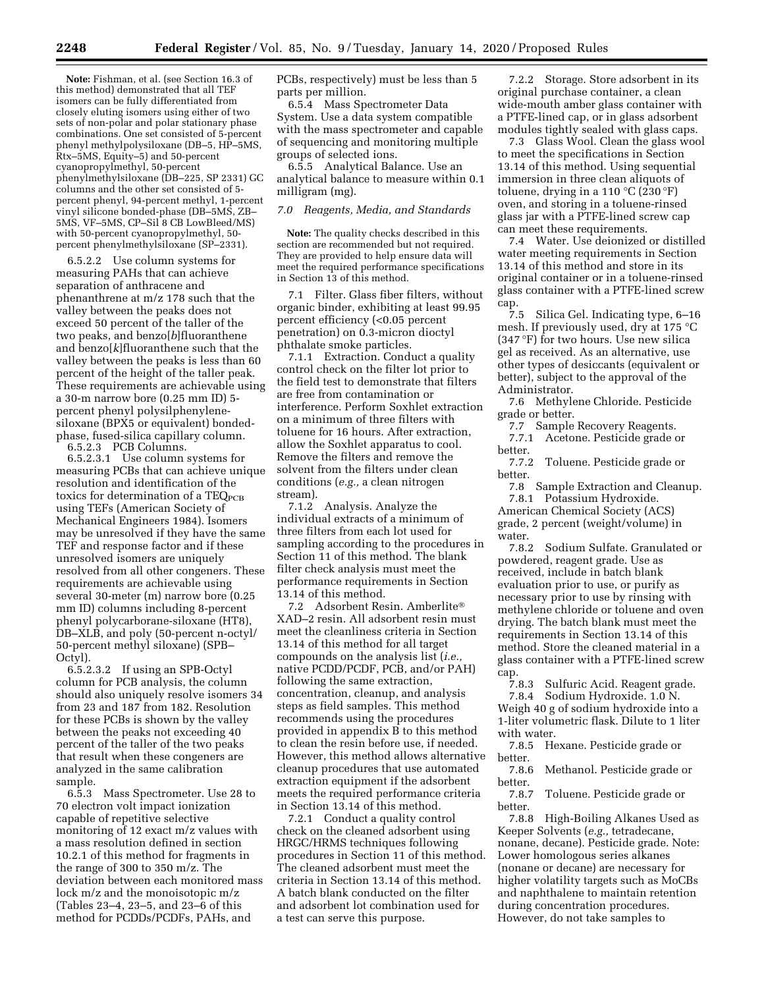**Note:** Fishman, et al. (see Section 16.3 of this method) demonstrated that all TEF isomers can be fully differentiated from closely eluting isomers using either of two sets of non-polar and polar stationary phase combinations. One set consisted of 5-percent phenyl methylpolysiloxane (DB-5, HP-5MS, Rtx–5MS, Equity–5) and 50-percent cyanopropylmethyl, 50-percent phenylmethylsiloxane (DB–225, SP 2331) GC columns and the other set consisted of 5 percent phenyl, 94-percent methyl, 1-percent vinyl silicone bonded-phase (DB–5MS, ZB– 5MS, VF–5MS, CP–Sil 8 CB LowBleed/MS) with 50-percent cyanopropylmethyl, 50 percent phenylmethylsiloxane (SP–2331).

6.5.2.2 Use column systems for measuring PAHs that can achieve separation of anthracene and phenanthrene at m/z 178 such that the valley between the peaks does not exceed 50 percent of the taller of the two peaks, and benzo[*b*]fluoranthene and benzo[*k*]fluoranthene such that the valley between the peaks is less than 60 percent of the height of the taller peak. These requirements are achievable using a 30-m narrow bore (0.25 mm ID) 5 percent phenyl polysilphenylenesiloxane (BPX5 or equivalent) bondedphase, fused-silica capillary column. 6.5.2.3 PCB Columns.

6.5.2.3.1 Use column systems for measuring PCBs that can achieve unique resolution and identification of the toxics for determination of a  $TEQ_{PCB}$ using TEFs (American Society of Mechanical Engineers 1984). Isomers may be unresolved if they have the same TEF and response factor and if these unresolved isomers are uniquely resolved from all other congeners. These requirements are achievable using several 30-meter (m) narrow bore (0.25 mm ID) columns including 8-percent phenyl polycarborane-siloxane (HT8), DB–XLB, and poly (50-percent n-octyl/ 50-percent methyl siloxane) (SPB– Octyl).

6.5.2.3.2 If using an SPB-Octyl column for PCB analysis, the column should also uniquely resolve isomers 34 from 23 and 187 from 182. Resolution for these PCBs is shown by the valley between the peaks not exceeding 40 percent of the taller of the two peaks that result when these congeners are analyzed in the same calibration sample.

6.5.3 Mass Spectrometer. Use 28 to 70 electron volt impact ionization capable of repetitive selective monitoring of 12 exact m/z values with a mass resolution defined in section 10.2.1 of this method for fragments in the range of 300 to 350 m/z. The deviation between each monitored mass lock m/z and the monoisotopic m/z (Tables 23–4, 23–5, and 23–6 of this method for PCDDs/PCDFs, PAHs, and

PCBs, respectively) must be less than 5 parts per million.

6.5.4 Mass Spectrometer Data System. Use a data system compatible with the mass spectrometer and capable of sequencing and monitoring multiple groups of selected ions.

6.5.5 Analytical Balance. Use an analytical balance to measure within 0.1 milligram (mg).

### *7.0 Reagents, Media, and Standards*

**Note:** The quality checks described in this section are recommended but not required. They are provided to help ensure data will meet the required performance specifications in Section 13 of this method.

7.1 Filter. Glass fiber filters, without organic binder, exhibiting at least 99.95 percent efficiency (<0.05 percent penetration) on 0.3-micron dioctyl phthalate smoke particles.

7.1.1 Extraction. Conduct a quality control check on the filter lot prior to the field test to demonstrate that filters are free from contamination or interference. Perform Soxhlet extraction on a minimum of three filters with toluene for 16 hours. After extraction, allow the Soxhlet apparatus to cool. Remove the filters and remove the solvent from the filters under clean conditions (*e.g.,* a clean nitrogen stream).

7.1.2 Analysis. Analyze the individual extracts of a minimum of three filters from each lot used for sampling according to the procedures in Section 11 of this method. The blank filter check analysis must meet the performance requirements in Section 13.14 of this method.

7.2 Adsorbent Resin. Amberlite® XAD–2 resin. All adsorbent resin must meet the cleanliness criteria in Section 13.14 of this method for all target compounds on the analysis list (*i.e.,*  native PCDD/PCDF, PCB, and/or PAH) following the same extraction, concentration, cleanup, and analysis steps as field samples. This method recommends using the procedures provided in appendix B to this method to clean the resin before use, if needed. However, this method allows alternative cleanup procedures that use automated extraction equipment if the adsorbent meets the required performance criteria in Section 13.14 of this method.

7.2.1 Conduct a quality control check on the cleaned adsorbent using HRGC/HRMS techniques following procedures in Section 11 of this method. The cleaned adsorbent must meet the criteria in Section 13.14 of this method. A batch blank conducted on the filter and adsorbent lot combination used for a test can serve this purpose.

7.2.2 Storage. Store adsorbent in its original purchase container, a clean wide-mouth amber glass container with a PTFE-lined cap, or in glass adsorbent modules tightly sealed with glass caps.

7.3 Glass Wool. Clean the glass wool to meet the specifications in Section 13.14 of this method. Using sequential immersion in three clean aliquots of toluene, drying in a 110 °C (230 °F) oven, and storing in a toluene-rinsed glass jar with a PTFE-lined screw cap can meet these requirements.

7.4 Water. Use deionized or distilled water meeting requirements in Section 13.14 of this method and store in its original container or in a toluene-rinsed glass container with a PTFE-lined screw cap.

7.5 Silica Gel. Indicating type, 6–16 mesh. If previously used, dry at 175 °C (347 °F) for two hours. Use new silica gel as received. As an alternative, use other types of desiccants (equivalent or better), subject to the approval of the Administrator.

7.6 Methylene Chloride. Pesticide grade or better.

7.7 Sample Recovery Reagents.<br>7.7.1 Acetone. Pesticide grade o

Acetone. Pesticide grade or better.

7.7.2 Toluene. Pesticide grade or better.

7.8 Sample Extraction and Cleanup. 7.8.1 Potassium Hydroxide. American Chemical Society (ACS) grade, 2 percent (weight/volume) in water.

7.8.2 Sodium Sulfate. Granulated or powdered, reagent grade. Use as received, include in batch blank evaluation prior to use, or purify as necessary prior to use by rinsing with methylene chloride or toluene and oven drying. The batch blank must meet the requirements in Section 13.14 of this method. Store the cleaned material in a glass container with a PTFE-lined screw

cap.<br>7.8.3 Sulfuric Acid. Reagent grade. 7.8.4 Sodium Hydroxide. 1.0 N. Weigh 40 g of sodium hydroxide into a 1-liter volumetric flask. Dilute to 1 liter with water.

7.8.5 Hexane. Pesticide grade or better.

7.8.6 Methanol. Pesticide grade or better.<br>7.8.7

Toluene. Pesticide grade or better.

7.8.8 High-Boiling Alkanes Used as Keeper Solvents (*e.g.,* tetradecane, nonane, decane). Pesticide grade. Note: Lower homologous series alkanes (nonane or decane) are necessary for higher volatility targets such as MoCBs and naphthalene to maintain retention during concentration procedures. However, do not take samples to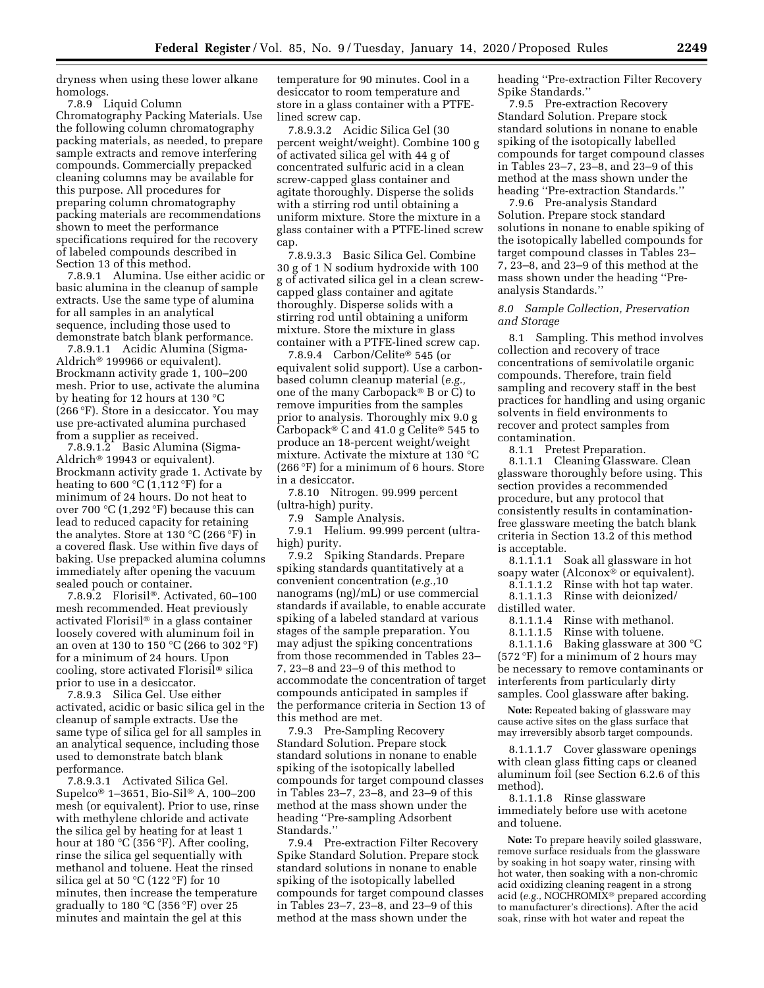dryness when using these lower alkane homologs.

7.8.9 Liquid Column Chromatography Packing Materials. Use the following column chromatography packing materials, as needed, to prepare sample extracts and remove interfering compounds. Commercially prepacked cleaning columns may be available for this purpose. All procedures for preparing column chromatography packing materials are recommendations shown to meet the performance specifications required for the recovery of labeled compounds described in Section 13 of this method.

7.8.9.1 Alumina. Use either acidic or basic alumina in the cleanup of sample extracts. Use the same type of alumina for all samples in an analytical sequence, including those used to demonstrate batch blank performance.

7.8.9.1.1 Acidic Alumina (Sigma-Aldrich® 199966 or equivalent). Brockmann activity grade 1, 100–200 mesh. Prior to use, activate the alumina by heating for 12 hours at 130 °C (266 °F). Store in a desiccator. You may use pre-activated alumina purchased from a supplier as received.

7.8.9.1.2 Basic Alumina (Sigma-Aldrich® 19943 or equivalent). Brockmann activity grade 1. Activate by heating to 600  $\mathrm{C}(1,112\mathrm{~}^{\circ}\mathrm{F})$  for a minimum of 24 hours. Do not heat to over 700 °C (1,292 °F) because this can lead to reduced capacity for retaining the analytes. Store at 130 °C (266 °F) in a covered flask. Use within five days of baking. Use prepacked alumina columns immediately after opening the vacuum sealed pouch or container.

7.8.9.2 Florisil®. Activated, 60–100 mesh recommended. Heat previously activated Florisil® in a glass container loosely covered with aluminum foil in an oven at 130 to 150 °C (266 to 302 °F) for a minimum of 24 hours. Upon cooling, store activated Florisil® silica prior to use in a desiccator.

7.8.9.3 Silica Gel. Use either activated, acidic or basic silica gel in the cleanup of sample extracts. Use the same type of silica gel for all samples in an analytical sequence, including those used to demonstrate batch blank performance.

7.8.9.3.1 Activated Silica Gel. Supelco® 1–3651, Bio-Sil® A, 100–200 mesh (or equivalent). Prior to use, rinse with methylene chloride and activate the silica gel by heating for at least 1 hour at 180 °C (356 °F). After cooling, rinse the silica gel sequentially with methanol and toluene. Heat the rinsed silica gel at 50  $°C$  (122 °F) for 10 minutes, then increase the temperature gradually to 180 °C (356 °F) over 25 minutes and maintain the gel at this

temperature for 90 minutes. Cool in a desiccator to room temperature and store in a glass container with a PTFElined screw cap.

7.8.9.3.2 Acidic Silica Gel (30 percent weight/weight). Combine 100 g of activated silica gel with 44 g of concentrated sulfuric acid in a clean screw-capped glass container and agitate thoroughly. Disperse the solids with a stirring rod until obtaining a uniform mixture. Store the mixture in a glass container with a PTFE-lined screw cap.

7.8.9.3.3 Basic Silica Gel. Combine 30 g of 1 N sodium hydroxide with 100 g of activated silica gel in a clean screwcapped glass container and agitate thoroughly. Disperse solids with a stirring rod until obtaining a uniform mixture. Store the mixture in glass container with a PTFE-lined screw cap.

7.8.9.4 Carbon/Celite® 545 (or equivalent solid support). Use a carbonbased column cleanup material (*e.g.,*  one of the many Carbopack® B or C) to remove impurities from the samples prior to analysis. Thoroughly mix 9.0 g Carbopack® C and 41.0 g Celite® 545 to produce an 18-percent weight/weight mixture. Activate the mixture at 130 °C (266 °F) for a minimum of 6 hours. Store in a desiccator.

7.8.10 Nitrogen. 99.999 percent (ultra-high) purity.

7.9 Sample Analysis.

7.9.1 Helium. 99.999 percent (ultrahigh) purity.

7.9.2 Spiking Standards. Prepare spiking standards quantitatively at a convenient concentration (*e.g.,*10 nanograms (ng)/mL) or use commercial standards if available, to enable accurate spiking of a labeled standard at various stages of the sample preparation. You may adjust the spiking concentrations from those recommended in Tables 23– 7, 23–8 and 23–9 of this method to accommodate the concentration of target compounds anticipated in samples if the performance criteria in Section 13 of this method are met.

7.9.3 Pre-Sampling Recovery Standard Solution. Prepare stock standard solutions in nonane to enable spiking of the isotopically labelled compounds for target compound classes in Tables 23–7, 23–8, and 23–9 of this method at the mass shown under the heading ''Pre-sampling Adsorbent Standards.''

7.9.4 Pre-extraction Filter Recovery Spike Standard Solution. Prepare stock standard solutions in nonane to enable spiking of the isotopically labelled compounds for target compound classes in Tables 23–7, 23–8, and 23–9 of this method at the mass shown under the

heading ''Pre-extraction Filter Recovery Spike Standards.''

7.9.5 Pre-extraction Recovery Standard Solution. Prepare stock standard solutions in nonane to enable spiking of the isotopically labelled compounds for target compound classes in Tables 23–7, 23–8, and 23–9 of this method at the mass shown under the heading ''Pre-extraction Standards.''

7.9.6 Pre-analysis Standard Solution. Prepare stock standard solutions in nonane to enable spiking of the isotopically labelled compounds for target compound classes in Tables 23– 7, 23–8, and 23–9 of this method at the mass shown under the heading ''Preanalysis Standards.''

### *8.0 Sample Collection, Preservation and Storage*

8.1 Sampling. This method involves collection and recovery of trace concentrations of semivolatile organic compounds. Therefore, train field sampling and recovery staff in the best practices for handling and using organic solvents in field environments to recover and protect samples from contamination.

8.1.1 Pretest Preparation.

8.1.1.1 Cleaning Glassware. Clean glassware thoroughly before using. This section provides a recommended procedure, but any protocol that consistently results in contaminationfree glassware meeting the batch blank criteria in Section 13.2 of this method is acceptable.

8.1.1.1.1 Soak all glassware in hot soapy water (Alconox<sup>®</sup> or equivalent).

8.1.1.1.2 Rinse with hot tap water. 8.1.1.1.3 Rinse with deionized/

distilled water.

8.1.1.1.4 Rinse with methanol.

8.1.1.1.5 Rinse with toluene. 8.1.1.1.6 Baking glassware at 300 °C (572 °F) for a minimum of 2 hours may be necessary to remove contaminants or interferents from particularly dirty samples. Cool glassware after baking.

**Note:** Repeated baking of glassware may cause active sites on the glass surface that may irreversibly absorb target compounds.

8.1.1.1.7 Cover glassware openings with clean glass fitting caps or cleaned aluminum foil (see Section 6.2.6 of this method).

8.1.1.1.8 Rinse glassware immediately before use with acetone and toluene.

**Note:** To prepare heavily soiled glassware, remove surface residuals from the glassware by soaking in hot soapy water, rinsing with hot water, then soaking with a non-chromic acid oxidizing cleaning reagent in a strong acid (*e.g.,* NOCHROMIX® prepared according to manufacturer's directions). After the acid soak, rinse with hot water and repeat the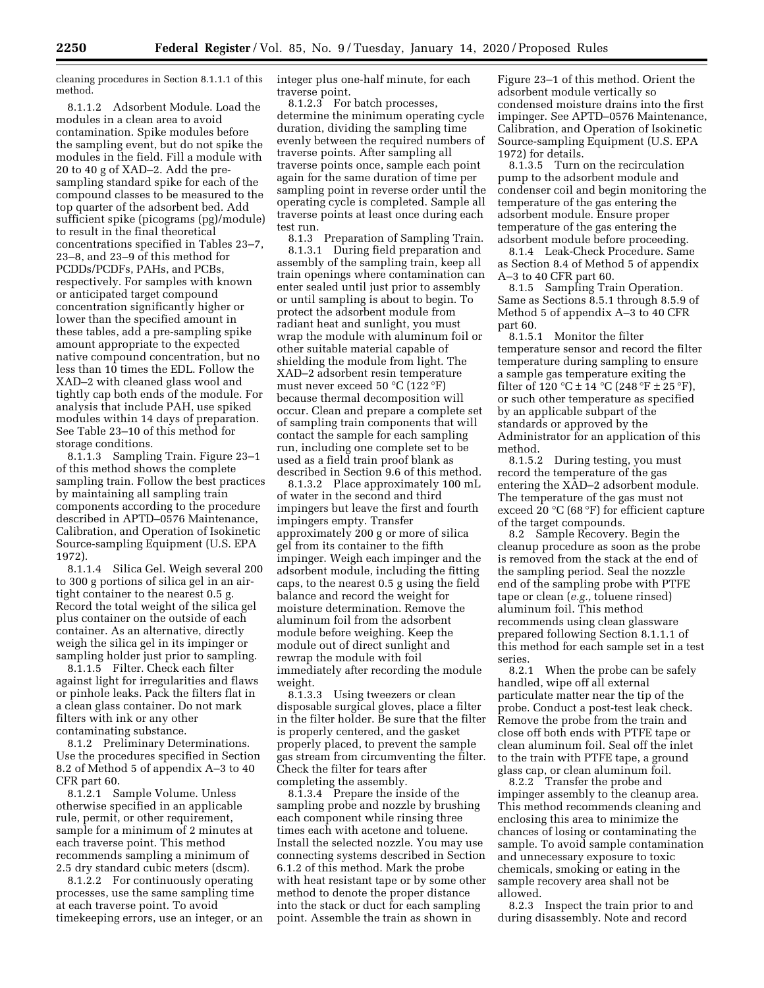cleaning procedures in Section 8.1.1.1 of this method.

8.1.1.2 Adsorbent Module. Load the modules in a clean area to avoid contamination. Spike modules before the sampling event, but do not spike the modules in the field. Fill a module with 20 to 40 g of XAD–2. Add the presampling standard spike for each of the compound classes to be measured to the top quarter of the adsorbent bed. Add sufficient spike (picograms (pg)/module) to result in the final theoretical concentrations specified in Tables 23–7, 23–8, and 23–9 of this method for PCDDs/PCDFs, PAHs, and PCBs, respectively. For samples with known or anticipated target compound concentration significantly higher or lower than the specified amount in these tables, add a pre-sampling spike amount appropriate to the expected native compound concentration, but no less than 10 times the EDL. Follow the XAD–2 with cleaned glass wool and tightly cap both ends of the module. For analysis that include PAH, use spiked modules within 14 days of preparation. See Table 23–10 of this method for storage conditions.

8.1.1.3 Sampling Train. Figure 23–1 of this method shows the complete sampling train. Follow the best practices by maintaining all sampling train components according to the procedure described in APTD–0576 Maintenance, Calibration, and Operation of Isokinetic Source-sampling Equipment (U.S. EPA 1972).

8.1.1.4 Silica Gel. Weigh several 200 to 300 g portions of silica gel in an airtight container to the nearest 0.5 g. Record the total weight of the silica gel plus container on the outside of each container. As an alternative, directly weigh the silica gel in its impinger or sampling holder just prior to sampling.

8.1.1.5 Filter. Check each filter against light for irregularities and flaws or pinhole leaks. Pack the filters flat in a clean glass container. Do not mark filters with ink or any other contaminating substance.

8.1.2 Preliminary Determinations. Use the procedures specified in Section 8.2 of Method 5 of appendix A–3 to 40 CFR part 60.

8.1.2.1 Sample Volume. Unless otherwise specified in an applicable rule, permit, or other requirement, sample for a minimum of 2 minutes at each traverse point. This method recommends sampling a minimum of 2.5 dry standard cubic meters (dscm).

8.1.2.2 For continuously operating processes, use the same sampling time at each traverse point. To avoid timekeeping errors, use an integer, or an integer plus one-half minute, for each traverse point.

8.1.2.3 For batch processes, determine the minimum operating cycle duration, dividing the sampling time evenly between the required numbers of traverse points. After sampling all traverse points once, sample each point again for the same duration of time per sampling point in reverse order until the operating cycle is completed. Sample all traverse points at least once during each test run.

8.1.3 Preparation of Sampling Train. 8.1.3.1 During field preparation and assembly of the sampling train, keep all train openings where contamination can enter sealed until just prior to assembly or until sampling is about to begin. To protect the adsorbent module from radiant heat and sunlight, you must wrap the module with aluminum foil or other suitable material capable of shielding the module from light. The XAD–2 adsorbent resin temperature must never exceed 50 °C (122 °F) because thermal decomposition will occur. Clean and prepare a complete set of sampling train components that will contact the sample for each sampling run, including one complete set to be used as a field train proof blank as described in Section 9.6 of this method.

8.1.3.2 Place approximately 100 mL of water in the second and third impingers but leave the first and fourth impingers empty. Transfer approximately 200 g or more of silica gel from its container to the fifth impinger. Weigh each impinger and the adsorbent module, including the fitting caps, to the nearest 0.5 g using the field balance and record the weight for moisture determination. Remove the aluminum foil from the adsorbent module before weighing. Keep the module out of direct sunlight and rewrap the module with foil immediately after recording the module weight.

8.1.3.3 Using tweezers or clean disposable surgical gloves, place a filter in the filter holder. Be sure that the filter is properly centered, and the gasket properly placed, to prevent the sample gas stream from circumventing the filter. Check the filter for tears after completing the assembly.

8.1.3.4 Prepare the inside of the sampling probe and nozzle by brushing each component while rinsing three times each with acetone and toluene. Install the selected nozzle. You may use connecting systems described in Section 6.1.2 of this method. Mark the probe with heat resistant tape or by some other method to denote the proper distance into the stack or duct for each sampling point. Assemble the train as shown in

Figure 23–1 of this method. Orient the adsorbent module vertically so condensed moisture drains into the first impinger. See APTD–0576 Maintenance, Calibration, and Operation of Isokinetic Source-sampling Equipment (U.S. EPA 1972) for details.

8.1.3.5 Turn on the recirculation pump to the adsorbent module and condenser coil and begin monitoring the temperature of the gas entering the adsorbent module. Ensure proper temperature of the gas entering the adsorbent module before proceeding.

8.1.4 Leak-Check Procedure. Same as Section 8.4 of Method 5 of appendix A–3 to 40 CFR part 60.

8.1.5 Sampling Train Operation. Same as Sections 8.5.1 through 8.5.9 of Method 5 of appendix A–3 to 40 CFR part 60.

8.1.5.1 Monitor the filter temperature sensor and record the filter temperature during sampling to ensure a sample gas temperature exiting the filter of  $120\text{ °C} \pm 14\text{ °C}$  (248  $\text{ °F} \pm 25\text{ °F}$ ), or such other temperature as specified by an applicable subpart of the standards or approved by the Administrator for an application of this method.

8.1.5.2 During testing, you must record the temperature of the gas entering the XAD–2 adsorbent module. The temperature of the gas must not exceed 20 °C (68 °F) for efficient capture of the target compounds.

8.2 Sample Recovery. Begin the cleanup procedure as soon as the probe is removed from the stack at the end of the sampling period. Seal the nozzle end of the sampling probe with PTFE tape or clean (*e.g.,* toluene rinsed) aluminum foil. This method recommends using clean glassware prepared following Section 8.1.1.1 of this method for each sample set in a test series.<br>8.2.1

When the probe can be safely handled, wipe off all external particulate matter near the tip of the probe. Conduct a post-test leak check. Remove the probe from the train and close off both ends with PTFE tape or clean aluminum foil. Seal off the inlet to the train with PTFE tape, a ground glass cap, or clean aluminum foil.

8.2.2 Transfer the probe and impinger assembly to the cleanup area. This method recommends cleaning and enclosing this area to minimize the chances of losing or contaminating the sample. To avoid sample contamination and unnecessary exposure to toxic chemicals, smoking or eating in the sample recovery area shall not be allowed.

8.2.3 Inspect the train prior to and during disassembly. Note and record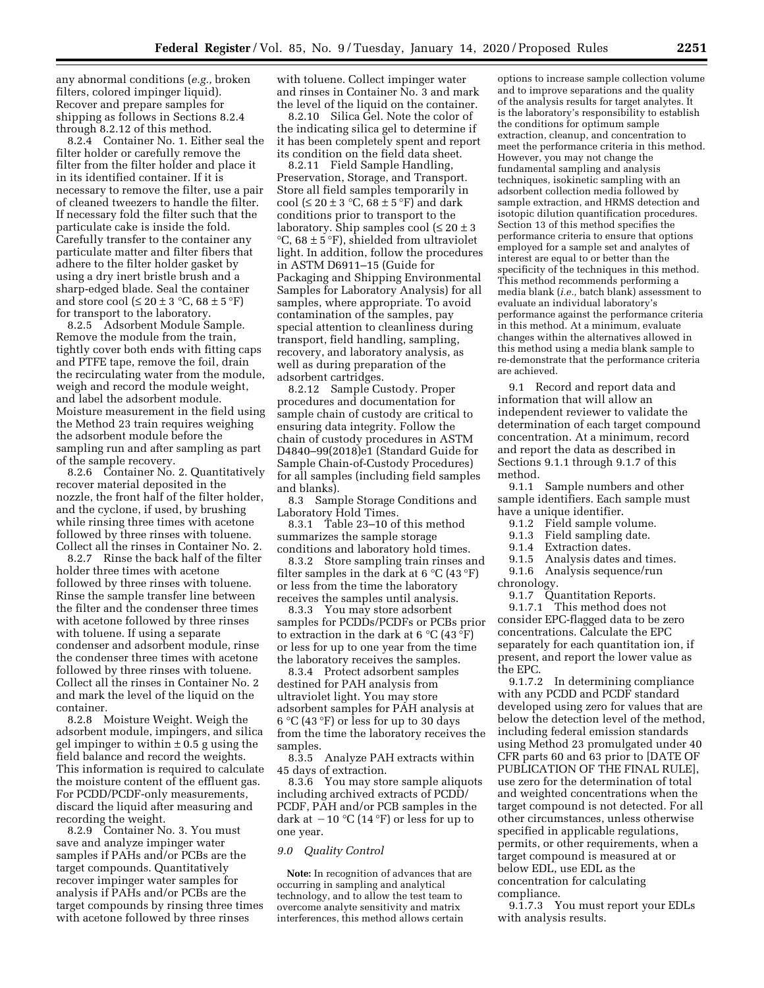any abnormal conditions (*e.g.,* broken filters, colored impinger liquid). Recover and prepare samples for shipping as follows in Sections 8.2.4 through 8.2.12 of this method.

8.2.4 Container No. 1. Either seal the filter holder or carefully remove the filter from the filter holder and place it in its identified container. If it is necessary to remove the filter, use a pair of cleaned tweezers to handle the filter. If necessary fold the filter such that the particulate cake is inside the fold. Carefully transfer to the container any particulate matter and filter fibers that adhere to the filter holder gasket by using a dry inert bristle brush and a sharp-edged blade. Seal the container and store cool ( $\leq 20 \pm 3$  °C, 68  $\pm$  5 °F) for transport to the laboratory.

8.2.5 Adsorbent Module Sample. Remove the module from the train, tightly cover both ends with fitting caps and PTFE tape, remove the foil, drain the recirculating water from the module, weigh and record the module weight, and label the adsorbent module. Moisture measurement in the field using the Method 23 train requires weighing the adsorbent module before the sampling run and after sampling as part of the sample recovery.

8.2.6 Container No. 2. Quantitatively recover material deposited in the nozzle, the front half of the filter holder, and the cyclone, if used, by brushing while rinsing three times with acetone followed by three rinses with toluene. Collect all the rinses in Container No. 2.

8.2.7 Rinse the back half of the filter holder three times with acetone followed by three rinses with toluene. Rinse the sample transfer line between the filter and the condenser three times with acetone followed by three rinses with toluene. If using a separate condenser and adsorbent module, rinse the condenser three times with acetone followed by three rinses with toluene. Collect all the rinses in Container No. 2 and mark the level of the liquid on the container.

8.2.8 Moisture Weight. Weigh the adsorbent module, impingers, and silica gel impinger to within  $\pm$  0.5 g using the field balance and record the weights. This information is required to calculate the moisture content of the effluent gas. For PCDD/PCDF-only measurements, discard the liquid after measuring and recording the weight.

8.2.9 Container No. 3. You must save and analyze impinger water samples if PAHs and/or PCBs are the target compounds. Quantitatively recover impinger water samples for analysis if PAHs and/or PCBs are the target compounds by rinsing three times with acetone followed by three rinses

with toluene. Collect impinger water and rinses in Container No. 3 and mark the level of the liquid on the container.

8.2.10 Silica Gel. Note the color of the indicating silica gel to determine if it has been completely spent and report its condition on the field data sheet.

8.2.11 Field Sample Handling, Preservation, Storage, and Transport. Store all field samples temporarily in cool ( $\leq 20 \pm 3$  °C, 68  $\pm$  5 °F) and dark conditions prior to transport to the laboratory. Ship samples cool  $(\leq 20 \pm 3$  $°C$ , 68  $\pm$  5 °F), shielded from ultraviolet light. In addition, follow the procedures in ASTM D6911–15 (Guide for Packaging and Shipping Environmental Samples for Laboratory Analysis) for all samples, where appropriate. To avoid contamination of the samples, pay special attention to cleanliness during transport, field handling, sampling, recovery, and laboratory analysis, as well as during preparation of the adsorbent cartridges.

8.2.12 Sample Custody. Proper procedures and documentation for sample chain of custody are critical to ensuring data integrity. Follow the chain of custody procedures in ASTM D4840–99(2018)e1 (Standard Guide for Sample Chain-of-Custody Procedures) for all samples (including field samples and blanks).

8.3 Sample Storage Conditions and Laboratory Hold Times.

8.3.1 Table 23–10 of this method summarizes the sample storage conditions and laboratory hold times.

8.3.2 Store sampling train rinses and filter samples in the dark at 6  $°C$  (43 °F) or less from the time the laboratory receives the samples until analysis.

8.3.3 You may store adsorbent samples for PCDDs/PCDFs or PCBs prior to extraction in the dark at 6  $^{\circ}$ C (43  $^{\circ}$ F) or less for up to one year from the time the laboratory receives the samples.

8.3.4 Protect adsorbent samples destined for PAH analysis from ultraviolet light. You may store adsorbent samples for PAH analysis at  $6^{\circ}$ C (43  $^{\circ}$ F) or less for up to 30 days from the time the laboratory receives the samples.

8.3.5 Analyze PAH extracts within 45 days of extraction.

8.3.6 You may store sample aliquots including archived extracts of PCDD/ PCDF, PAH and/or PCB samples in the dark at  $-10$  °C (14 °F) or less for up to one year.

#### *9.0 Quality Control*

**Note:** In recognition of advances that are occurring in sampling and analytical technology, and to allow the test team to overcome analyte sensitivity and matrix interferences, this method allows certain

options to increase sample collection volume and to improve separations and the quality of the analysis results for target analytes. It is the laboratory's responsibility to establish the conditions for optimum sample extraction, cleanup, and concentration to meet the performance criteria in this method. However, you may not change the fundamental sampling and analysis techniques, isokinetic sampling with an adsorbent collection media followed by sample extraction, and HRMS detection and isotopic dilution quantification procedures. Section 13 of this method specifies the performance criteria to ensure that options employed for a sample set and analytes of interest are equal to or better than the specificity of the techniques in this method. This method recommends performing a media blank (*i.e.,* batch blank) assessment to evaluate an individual laboratory's performance against the performance criteria in this method. At a minimum, evaluate changes within the alternatives allowed in this method using a media blank sample to re-demonstrate that the performance criteria are achieved.

9.1 Record and report data and information that will allow an independent reviewer to validate the determination of each target compound concentration. At a minimum, record and report the data as described in Sections 9.1.1 through 9.1.7 of this method.

9.1.1 Sample numbers and other sample identifiers. Each sample must have a unique identifier.

- 9.1.2 Field sample volume.
- 9.1.3 Field sampling date.<br>9.1.4 Extraction dates.
- Extraction dates.
- 9.1.5 Analysis dates and times.
- 9.1.6 Analysis sequence/run
- chronology.

9.1.7 Quantitation Reports. 9.1.7.1 This method does not consider EPC-flagged data to be zero concentrations. Calculate the EPC separately for each quantitation ion, if present, and report the lower value as the EPC.

9.1.7.2 In determining compliance with any PCDD and PCDF standard developed using zero for values that are below the detection level of the method, including federal emission standards using Method 23 promulgated under 40 CFR parts 60 and 63 prior to [DATE OF PUBLICATION OF THE FINAL RULE], use zero for the determination of total and weighted concentrations when the target compound is not detected. For all other circumstances, unless otherwise specified in applicable regulations, permits, or other requirements, when a target compound is measured at or below EDL, use EDL as the concentration for calculating compliance.

9.1.7.3 You must report your EDLs with analysis results.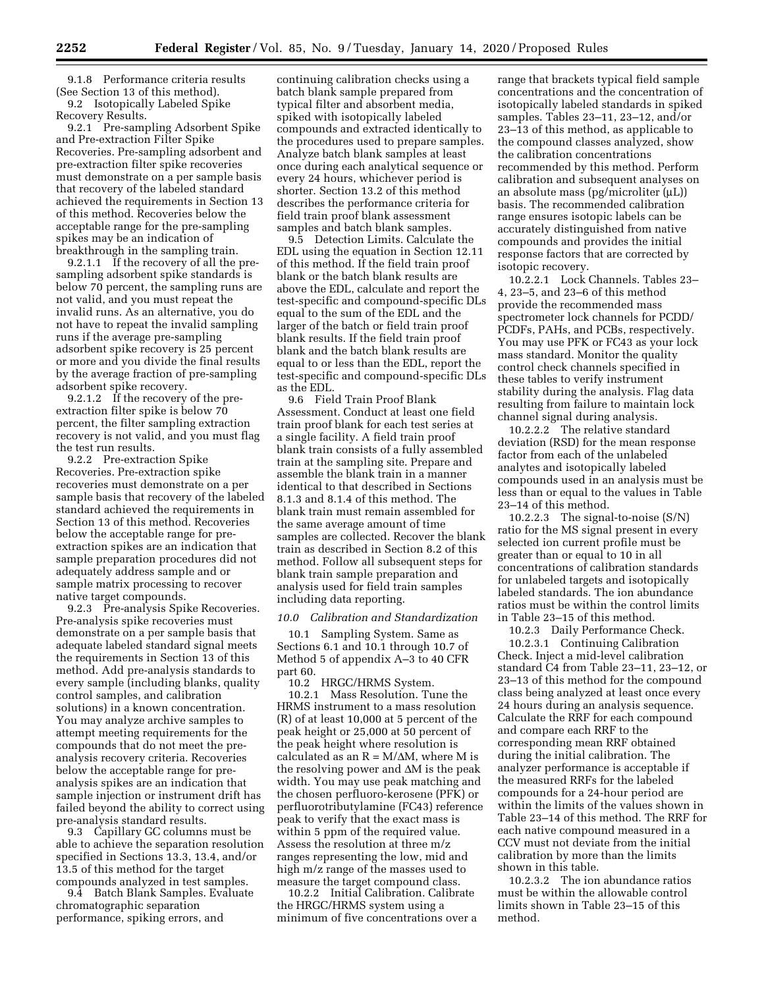9.1.8 Performance criteria results (See Section 13 of this method). 9.2 Isotopically Labeled Spike Recovery Results.

9.2.1 Pre-sampling Adsorbent Spike and Pre-extraction Filter Spike Recoveries. Pre-sampling adsorbent and pre-extraction filter spike recoveries must demonstrate on a per sample basis that recovery of the labeled standard achieved the requirements in Section 13 of this method. Recoveries below the acceptable range for the pre-sampling spikes may be an indication of breakthrough in the sampling train.

9.2.1.1 If the recovery of all the presampling adsorbent spike standards is below 70 percent, the sampling runs are not valid, and you must repeat the invalid runs. As an alternative, you do not have to repeat the invalid sampling runs if the average pre-sampling adsorbent spike recovery is 25 percent or more and you divide the final results by the average fraction of pre-sampling adsorbent spike recovery.

9.2.1.2 If the recovery of the preextraction filter spike is below 70 percent, the filter sampling extraction recovery is not valid, and you must flag the test run results.

9.2.2 Pre-extraction Spike Recoveries. Pre-extraction spike recoveries must demonstrate on a per sample basis that recovery of the labeled standard achieved the requirements in Section 13 of this method. Recoveries below the acceptable range for preextraction spikes are an indication that sample preparation procedures did not adequately address sample and or sample matrix processing to recover native target compounds.

9.2.3 Pre-analysis Spike Recoveries. Pre-analysis spike recoveries must demonstrate on a per sample basis that adequate labeled standard signal meets the requirements in Section 13 of this method. Add pre-analysis standards to every sample (including blanks, quality control samples, and calibration solutions) in a known concentration. You may analyze archive samples to attempt meeting requirements for the compounds that do not meet the preanalysis recovery criteria. Recoveries below the acceptable range for preanalysis spikes are an indication that sample injection or instrument drift has failed beyond the ability to correct using pre-analysis standard results.

9.3 Capillary GC columns must be able to achieve the separation resolution specified in Sections 13.3, 13.4, and/or 13.5 of this method for the target compounds analyzed in test samples.

9.4 Batch Blank Samples. Evaluate chromatographic separation performance, spiking errors, and

continuing calibration checks using a batch blank sample prepared from typical filter and absorbent media, spiked with isotopically labeled compounds and extracted identically to the procedures used to prepare samples. Analyze batch blank samples at least once during each analytical sequence or every 24 hours, whichever period is shorter. Section 13.2 of this method describes the performance criteria for field train proof blank assessment samples and batch blank samples.

9.5 Detection Limits. Calculate the EDL using the equation in Section 12.11 of this method. If the field train proof blank or the batch blank results are above the EDL, calculate and report the test-specific and compound-specific DLs equal to the sum of the EDL and the larger of the batch or field train proof blank results. If the field train proof blank and the batch blank results are equal to or less than the EDL, report the test-specific and compound-specific DLs as the EDL.

9.6 Field Train Proof Blank Assessment. Conduct at least one field train proof blank for each test series at a single facility. A field train proof blank train consists of a fully assembled train at the sampling site. Prepare and assemble the blank train in a manner identical to that described in Sections 8.1.3 and 8.1.4 of this method. The blank train must remain assembled for the same average amount of time samples are collected. Recover the blank train as described in Section 8.2 of this method. Follow all subsequent steps for blank train sample preparation and analysis used for field train samples including data reporting.

### *10.0 Calibration and Standardization*

10.1 Sampling System. Same as Sections 6.1 and 10.1 through 10.7 of Method 5 of appendix A–3 to 40 CFR part 60.

10.2 HRGC/HRMS System. 10.2.1 Mass Resolution. Tune the HRMS instrument to a mass resolution (R) of at least 10,000 at 5 percent of the peak height or 25,000 at 50 percent of the peak height where resolution is calculated as an  $R = M/\Delta M$ , where M is the resolving power and  $\Delta M$  is the peak width. You may use peak matching and the chosen perfluoro-kerosene (PFK) or perfluorotributylamine (FC43) reference peak to verify that the exact mass is within 5 ppm of the required value. Assess the resolution at three m/z ranges representing the low, mid and high m/z range of the masses used to measure the target compound class.

10.2.2 Initial Calibration. Calibrate the HRGC/HRMS system using a minimum of five concentrations over a

range that brackets typical field sample concentrations and the concentration of isotopically labeled standards in spiked samples. Tables 23–11, 23–12, and/or 23–13 of this method, as applicable to the compound classes analyzed, show the calibration concentrations recommended by this method. Perform calibration and subsequent analyses on an absolute mass ( $pg/microliter (\mu L)$ ) basis. The recommended calibration range ensures isotopic labels can be accurately distinguished from native compounds and provides the initial response factors that are corrected by isotopic recovery.

10.2.2.1 Lock Channels. Tables 23– 4, 23–5, and 23–6 of this method provide the recommended mass spectrometer lock channels for PCDD/ PCDFs, PAHs, and PCBs, respectively. You may use PFK or FC43 as your lock mass standard. Monitor the quality control check channels specified in these tables to verify instrument stability during the analysis. Flag data resulting from failure to maintain lock channel signal during analysis.

10.2.2.2 The relative standard deviation (RSD) for the mean response factor from each of the unlabeled analytes and isotopically labeled compounds used in an analysis must be less than or equal to the values in Table 23–14 of this method.

10.2.2.3 The signal-to-noise (S/N) ratio for the MS signal present in every selected ion current profile must be greater than or equal to 10 in all concentrations of calibration standards for unlabeled targets and isotopically labeled standards. The ion abundance ratios must be within the control limits in Table 23–15 of this method.

10.2.3 Daily Performance Check.

10.2.3.1 Continuing Calibration Check. Inject a mid-level calibration standard C4 from Table 23–11, 23–12, or 23–13 of this method for the compound class being analyzed at least once every 24 hours during an analysis sequence. Calculate the RRF for each compound and compare each RRF to the corresponding mean RRF obtained during the initial calibration. The analyzer performance is acceptable if the measured RRFs for the labeled compounds for a 24-hour period are within the limits of the values shown in Table 23–14 of this method. The RRF for each native compound measured in a CCV must not deviate from the initial calibration by more than the limits shown in this table.

10.2.3.2 The ion abundance ratios must be within the allowable control limits shown in Table 23–15 of this method.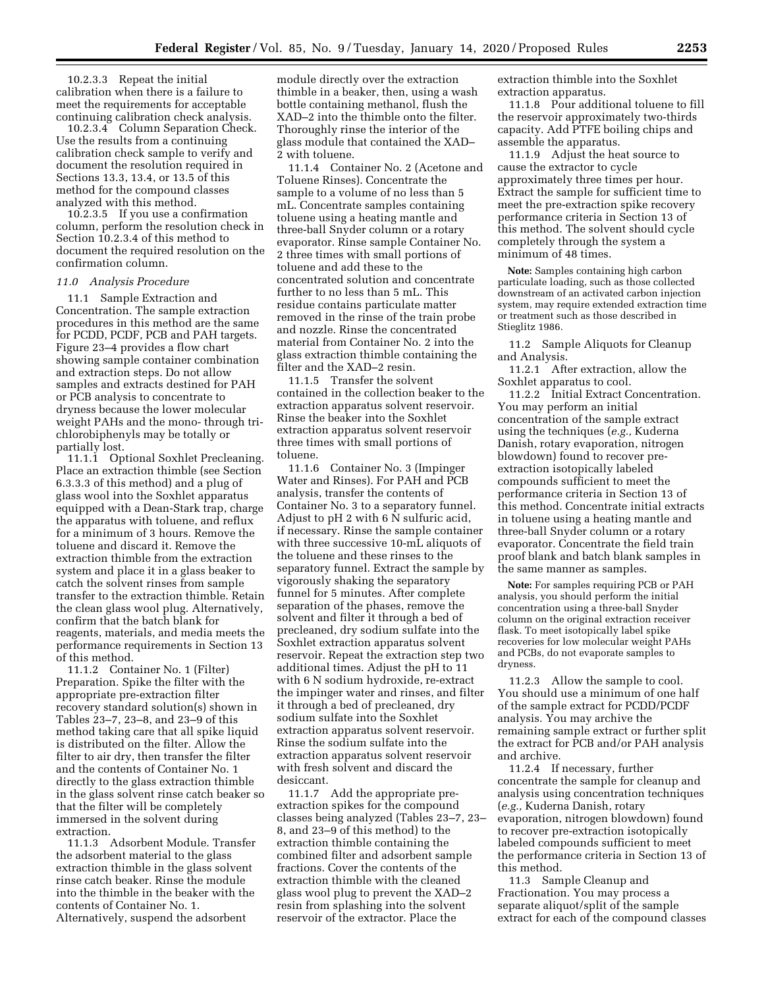10.2.3.3 Repeat the initial calibration when there is a failure to meet the requirements for acceptable continuing calibration check analysis.

10.2.3.4 Column Separation Check. Use the results from a continuing calibration check sample to verify and document the resolution required in Sections 13.3, 13.4, or 13.5 of this method for the compound classes analyzed with this method.

10.2.3.5 If you use a confirmation column, perform the resolution check in Section 10.2.3.4 of this method to document the required resolution on the confirmation column.

#### *11.0 Analysis Procedure*

11.1 Sample Extraction and Concentration. The sample extraction procedures in this method are the same for PCDD, PCDF, PCB and PAH targets. Figure 23–4 provides a flow chart showing sample container combination and extraction steps. Do not allow samples and extracts destined for PAH or PCB analysis to concentrate to dryness because the lower molecular weight PAHs and the mono- through trichlorobiphenyls may be totally or partially lost.

11.1.1 Optional Soxhlet Precleaning. Place an extraction thimble (see Section 6.3.3.3 of this method) and a plug of glass wool into the Soxhlet apparatus equipped with a Dean-Stark trap, charge the apparatus with toluene, and reflux for a minimum of 3 hours. Remove the toluene and discard it. Remove the extraction thimble from the extraction system and place it in a glass beaker to catch the solvent rinses from sample transfer to the extraction thimble. Retain the clean glass wool plug. Alternatively, confirm that the batch blank for reagents, materials, and media meets the performance requirements in Section 13 of this method.

11.1.2 Container No. 1 (Filter) Preparation. Spike the filter with the appropriate pre-extraction filter recovery standard solution(s) shown in Tables 23–7, 23–8, and 23–9 of this method taking care that all spike liquid is distributed on the filter. Allow the filter to air dry, then transfer the filter and the contents of Container No. 1 directly to the glass extraction thimble in the glass solvent rinse catch beaker so that the filter will be completely immersed in the solvent during extraction.

11.1.3 Adsorbent Module. Transfer the adsorbent material to the glass extraction thimble in the glass solvent rinse catch beaker. Rinse the module into the thimble in the beaker with the contents of Container No. 1. Alternatively, suspend the adsorbent

module directly over the extraction thimble in a beaker, then, using a wash bottle containing methanol, flush the XAD–2 into the thimble onto the filter. Thoroughly rinse the interior of the glass module that contained the XAD– 2 with toluene.

11.1.4 Container No. 2 (Acetone and Toluene Rinses). Concentrate the sample to a volume of no less than 5 mL. Concentrate samples containing toluene using a heating mantle and three-ball Snyder column or a rotary evaporator. Rinse sample Container No. 2 three times with small portions of toluene and add these to the concentrated solution and concentrate further to no less than 5 mL. This residue contains particulate matter removed in the rinse of the train probe and nozzle. Rinse the concentrated material from Container No. 2 into the glass extraction thimble containing the filter and the XAD–2 resin.

11.1.5 Transfer the solvent contained in the collection beaker to the extraction apparatus solvent reservoir. Rinse the beaker into the Soxhlet extraction apparatus solvent reservoir three times with small portions of toluene.

11.1.6 Container No. 3 (Impinger Water and Rinses). For PAH and PCB analysis, transfer the contents of Container No. 3 to a separatory funnel. Adjust to pH 2 with 6 N sulfuric acid, if necessary. Rinse the sample container with three successive 10-mL aliquots of the toluene and these rinses to the separatory funnel. Extract the sample by vigorously shaking the separatory funnel for 5 minutes. After complete separation of the phases, remove the solvent and filter it through a bed of precleaned, dry sodium sulfate into the Soxhlet extraction apparatus solvent reservoir. Repeat the extraction step two additional times. Adjust the pH to 11 with 6 N sodium hydroxide, re-extract the impinger water and rinses, and filter it through a bed of precleaned, dry sodium sulfate into the Soxhlet extraction apparatus solvent reservoir. Rinse the sodium sulfate into the extraction apparatus solvent reservoir with fresh solvent and discard the desiccant.

11.1.7 Add the appropriate preextraction spikes for the compound classes being analyzed (Tables 23–7, 23– 8, and 23–9 of this method) to the extraction thimble containing the combined filter and adsorbent sample fractions. Cover the contents of the extraction thimble with the cleaned glass wool plug to prevent the XAD–2 resin from splashing into the solvent reservoir of the extractor. Place the

extraction thimble into the Soxhlet extraction apparatus.

11.1.8 Pour additional toluene to fill the reservoir approximately two-thirds capacity. Add PTFE boiling chips and assemble the apparatus.

11.1.9 Adjust the heat source to cause the extractor to cycle approximately three times per hour. Extract the sample for sufficient time to meet the pre-extraction spike recovery performance criteria in Section 13 of this method. The solvent should cycle completely through the system a minimum of 48 times.

**Note:** Samples containing high carbon particulate loading, such as those collected downstream of an activated carbon injection system, may require extended extraction time or treatment such as those described in Stieglitz 1986.

11.2 Sample Aliquots for Cleanup and Analysis.

11.2.1 After extraction, allow the Soxhlet apparatus to cool.

11.2.2 Initial Extract Concentration. You may perform an initial concentration of the sample extract using the techniques (*e.g.,* Kuderna Danish, rotary evaporation, nitrogen blowdown) found to recover preextraction isotopically labeled compounds sufficient to meet the performance criteria in Section 13 of this method. Concentrate initial extracts in toluene using a heating mantle and three-ball Snyder column or a rotary evaporator. Concentrate the field train proof blank and batch blank samples in the same manner as samples.

**Note:** For samples requiring PCB or PAH analysis, you should perform the initial concentration using a three-ball Snyder column on the original extraction receiver flask. To meet isotopically label spike recoveries for low molecular weight PAHs and PCBs, do not evaporate samples to dryness.

11.2.3 Allow the sample to cool. You should use a minimum of one half of the sample extract for PCDD/PCDF analysis. You may archive the remaining sample extract or further split the extract for PCB and/or PAH analysis and archive.

11.2.4 If necessary, further concentrate the sample for cleanup and analysis using concentration techniques (*e.g.,* Kuderna Danish, rotary evaporation, nitrogen blowdown) found to recover pre-extraction isotopically labeled compounds sufficient to meet the performance criteria in Section 13 of this method.

11.3 Sample Cleanup and Fractionation. You may process a separate aliquot/split of the sample extract for each of the compound classes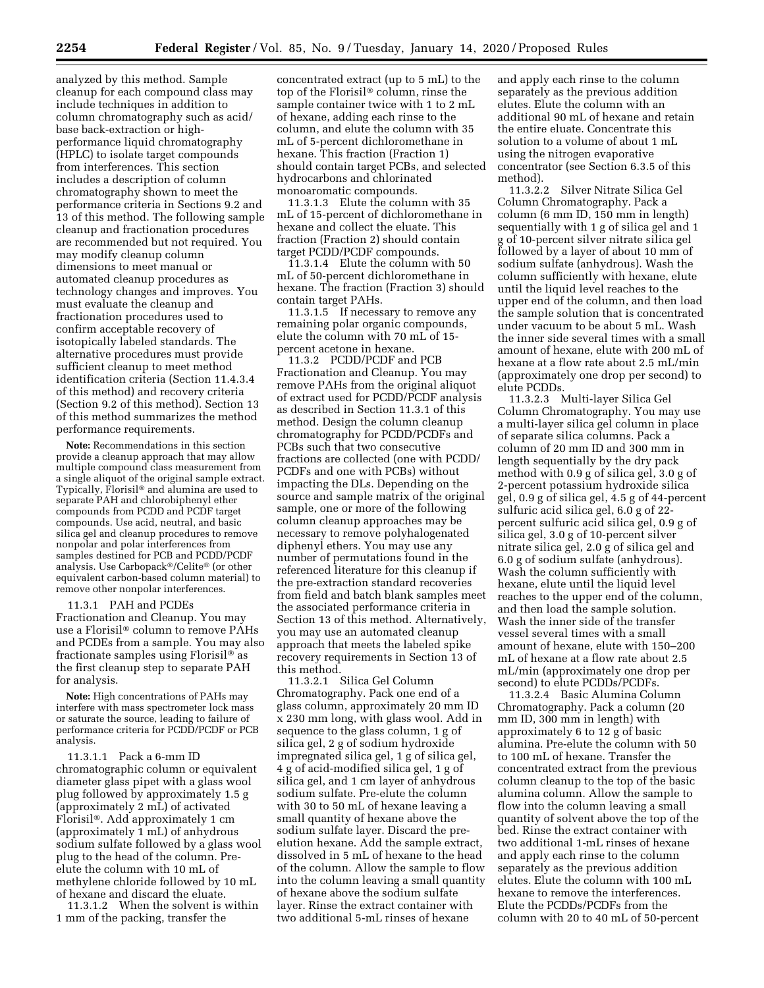analyzed by this method. Sample cleanup for each compound class may include techniques in addition to column chromatography such as acid/ base back-extraction or highperformance liquid chromatography (HPLC) to isolate target compounds from interferences. This section includes a description of column chromatography shown to meet the performance criteria in Sections 9.2 and 13 of this method. The following sample cleanup and fractionation procedures are recommended but not required. You may modify cleanup column dimensions to meet manual or automated cleanup procedures as technology changes and improves. You must evaluate the cleanup and fractionation procedures used to confirm acceptable recovery of isotopically labeled standards. The alternative procedures must provide sufficient cleanup to meet method identification criteria (Section 11.4.3.4 of this method) and recovery criteria (Section 9.2 of this method). Section 13 of this method summarizes the method performance requirements.

**Note:** Recommendations in this section provide a cleanup approach that may allow multiple compound class measurement from a single aliquot of the original sample extract. Typically, Florisil® and alumina are used to separate PAH and chlorobiphenyl ether compounds from PCDD and PCDF target compounds. Use acid, neutral, and basic silica gel and cleanup procedures to remove nonpolar and polar interferences from samples destined for PCB and PCDD/PCDF analysis. Use Carbopack®/Celite® (or other equivalent carbon-based column material) to remove other nonpolar interferences.

11.3.1 PAH and PCDEs Fractionation and Cleanup. You may use a Florisil® column to remove PAHs and PCDEs from a sample. You may also fractionate samples using Florisil® as the first cleanup step to separate PAH for analysis.

**Note:** High concentrations of PAHs may interfere with mass spectrometer lock mass or saturate the source, leading to failure of performance criteria for PCDD/PCDF or PCB analysis.

11.3.1.1 Pack a 6-mm ID chromatographic column or equivalent diameter glass pipet with a glass wool plug followed by approximately 1.5 g (approximately 2 mL) of activated Florisil®. Add approximately 1 cm (approximately 1 mL) of anhydrous sodium sulfate followed by a glass wool plug to the head of the column. Preelute the column with 10 mL of methylene chloride followed by 10 mL of hexane and discard the eluate.

11.3.1.2 When the solvent is within 1 mm of the packing, transfer the

concentrated extract (up to 5 mL) to the top of the Florisil® column, rinse the sample container twice with 1 to 2 mL of hexane, adding each rinse to the column, and elute the column with 35 mL of 5-percent dichloromethane in hexane. This fraction (Fraction 1) should contain target PCBs, and selected hydrocarbons and chlorinated monoaromatic compounds.

11.3.1.3 Elute the column with 35 mL of 15-percent of dichloromethane in hexane and collect the eluate. This fraction (Fraction 2) should contain target PCDD/PCDF compounds.

11.3.1.4 Elute the column with 50 mL of 50-percent dichloromethane in hexane. The fraction (Fraction 3) should contain target PAHs.

11.3.1.5 If necessary to remove any remaining polar organic compounds, elute the column with 70 mL of 15 percent acetone in hexane.

11.3.2 PCDD/PCDF and PCB Fractionation and Cleanup. You may remove PAHs from the original aliquot of extract used for PCDD/PCDF analysis as described in Section 11.3.1 of this method. Design the column cleanup chromatography for PCDD/PCDFs and PCBs such that two consecutive fractions are collected (one with PCDD/ PCDFs and one with PCBs) without impacting the DLs. Depending on the source and sample matrix of the original sample, one or more of the following column cleanup approaches may be necessary to remove polyhalogenated diphenyl ethers. You may use any number of permutations found in the referenced literature for this cleanup if the pre-extraction standard recoveries from field and batch blank samples meet the associated performance criteria in Section 13 of this method. Alternatively, you may use an automated cleanup approach that meets the labeled spike recovery requirements in Section 13 of this method.

11.3.2.1 Silica Gel Column Chromatography. Pack one end of a glass column, approximately 20 mm ID x 230 mm long, with glass wool. Add in sequence to the glass column, 1 g of silica gel, 2 g of sodium hydroxide impregnated silica gel, 1 g of silica gel, 4 g of acid-modified silica gel, 1 g of silica gel, and 1 cm layer of anhydrous sodium sulfate. Pre-elute the column with 30 to 50 mL of hexane leaving a small quantity of hexane above the sodium sulfate layer. Discard the preelution hexane. Add the sample extract, dissolved in 5 mL of hexane to the head of the column. Allow the sample to flow into the column leaving a small quantity of hexane above the sodium sulfate layer. Rinse the extract container with two additional 5-mL rinses of hexane

and apply each rinse to the column separately as the previous addition elutes. Elute the column with an additional 90 mL of hexane and retain the entire eluate. Concentrate this solution to a volume of about 1 mL using the nitrogen evaporative concentrator (see Section 6.3.5 of this method).

11.3.2.2 Silver Nitrate Silica Gel Column Chromatography. Pack a column (6 mm ID, 150 mm in length) sequentially with 1 g of silica gel and 1 g of 10-percent silver nitrate silica gel followed by a layer of about 10 mm of sodium sulfate (anhydrous). Wash the column sufficiently with hexane, elute until the liquid level reaches to the upper end of the column, and then load the sample solution that is concentrated under vacuum to be about 5 mL. Wash the inner side several times with a small amount of hexane, elute with 200 mL of hexane at a flow rate about 2.5 mL/min (approximately one drop per second) to elute PCDDs.

11.3.2.3 Multi-layer Silica Gel Column Chromatography. You may use a multi-layer silica gel column in place of separate silica columns. Pack a column of 20 mm ID and 300 mm in length sequentially by the dry pack method with 0.9 g of silica gel, 3.0 g of 2-percent potassium hydroxide silica gel, 0.9 g of silica gel, 4.5 g of 44-percent sulfuric acid silica gel, 6.0 g of 22 percent sulfuric acid silica gel, 0.9 g of silica gel, 3.0 g of 10-percent silver nitrate silica gel, 2.0 g of silica gel and 6.0 g of sodium sulfate (anhydrous). Wash the column sufficiently with hexane, elute until the liquid level reaches to the upper end of the column, and then load the sample solution. Wash the inner side of the transfer vessel several times with a small amount of hexane, elute with 150–200 mL of hexane at a flow rate about 2.5 mL/min (approximately one drop per second) to elute PCDDs/PCDFs.

11.3.2.4 Basic Alumina Column Chromatography. Pack a column (20 mm ID, 300 mm in length) with approximately 6 to 12 g of basic alumina. Pre-elute the column with 50 to 100 mL of hexane. Transfer the concentrated extract from the previous column cleanup to the top of the basic alumina column. Allow the sample to flow into the column leaving a small quantity of solvent above the top of the bed. Rinse the extract container with two additional 1-mL rinses of hexane and apply each rinse to the column separately as the previous addition elutes. Elute the column with 100 mL hexane to remove the interferences. Elute the PCDDs/PCDFs from the column with 20 to 40 mL of 50-percent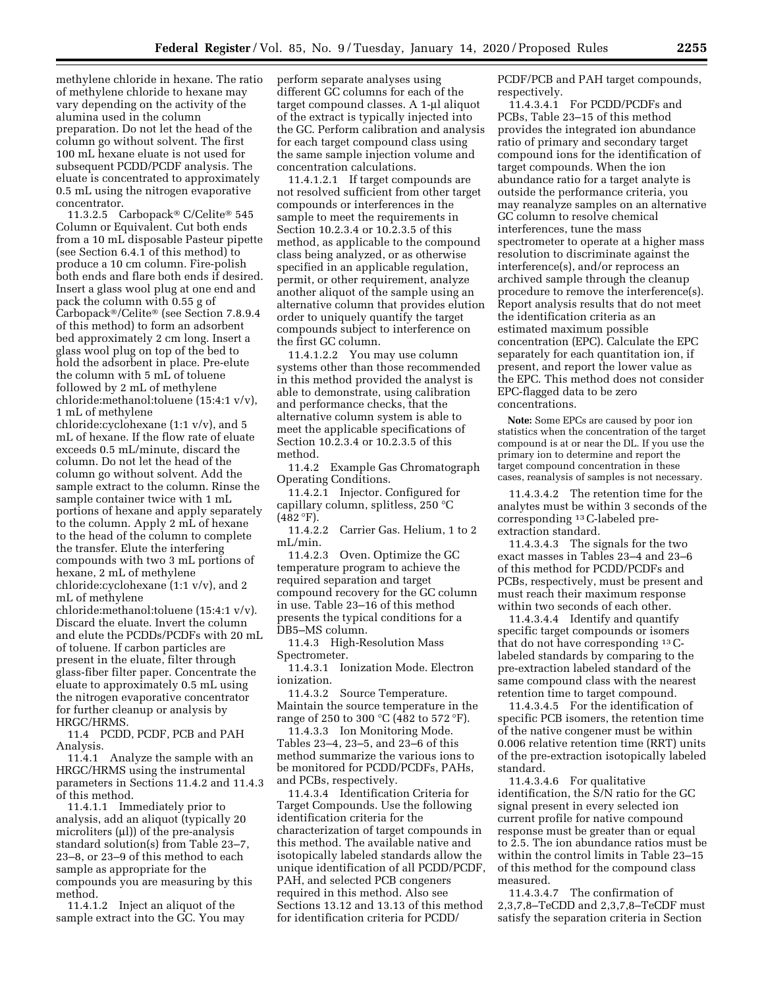methylene chloride in hexane. The ratio of methylene chloride to hexane may vary depending on the activity of the alumina used in the column preparation. Do not let the head of the column go without solvent. The first 100 mL hexane eluate is not used for subsequent PCDD/PCDF analysis. The eluate is concentrated to approximately 0.5 mL using the nitrogen evaporative concentrator.

11.3.2.5 Carbopack® C/Celite® 545 Column or Equivalent. Cut both ends from a 10 mL disposable Pasteur pipette (see Section 6.4.1 of this method) to produce a 10 cm column. Fire-polish both ends and flare both ends if desired. Insert a glass wool plug at one end and pack the column with 0.55 g of Carbopack®/Celite® (see Section 7.8.9.4 of this method) to form an adsorbent bed approximately 2 cm long. Insert a glass wool plug on top of the bed to hold the adsorbent in place. Pre-elute the column with 5 mL of toluene followed by 2 mL of methylene chloride:methanol:toluene (15:4:1 v/v), 1 mL of methylene

chloride:cyclohexane (1:1 v/v), and 5 mL of hexane. If the flow rate of eluate exceeds 0.5 mL/minute, discard the column. Do not let the head of the column go without solvent. Add the sample extract to the column. Rinse the sample container twice with 1 mL portions of hexane and apply separately to the column. Apply 2 mL of hexane to the head of the column to complete the transfer. Elute the interfering compounds with two 3 mL portions of hexane, 2 mL of methylene chloride:cyclohexane (1:1 v/v), and 2 mL of methylene

chloride:methanol:toluene (15:4:1 v/v). Discard the eluate. Invert the column and elute the PCDDs/PCDFs with 20 mL of toluene. If carbon particles are present in the eluate, filter through glass-fiber filter paper. Concentrate the eluate to approximately 0.5 mL using the nitrogen evaporative concentrator for further cleanup or analysis by HRGC/HRMS.

11.4 PCDD, PCDF, PCB and PAH Analysis.

11.4.1 Analyze the sample with an HRGC/HRMS using the instrumental parameters in Sections 11.4.2 and 11.4.3 of this method.

11.4.1.1 Immediately prior to analysis, add an aliquot (typically 20 microliters  $(\mu I)$  of the pre-analysis standard solution(s) from Table 23–7, 23–8, or 23–9 of this method to each sample as appropriate for the compounds you are measuring by this method.

11.4.1.2 Inject an aliquot of the sample extract into the GC. You may perform separate analyses using different GC columns for each of the target compound classes. A 1-µl aliquot of the extract is typically injected into the GC. Perform calibration and analysis for each target compound class using the same sample injection volume and concentration calculations.

11.4.1.2.1 If target compounds are not resolved sufficient from other target compounds or interferences in the sample to meet the requirements in Section 10.2.3.4 or 10.2.3.5 of this method, as applicable to the compound class being analyzed, or as otherwise specified in an applicable regulation, permit, or other requirement, analyze another aliquot of the sample using an alternative column that provides elution order to uniquely quantify the target compounds subject to interference on the first GC column.

11.4.1.2.2 You may use column systems other than those recommended in this method provided the analyst is able to demonstrate, using calibration and performance checks, that the alternative column system is able to meet the applicable specifications of Section 10.2.3.4 or 10.2.3.5 of this method.

11.4.2 Example Gas Chromatograph Operating Conditions.

11.4.2.1 Injector. Configured for capillary column, splitless, 250 °C  $(482 °F)$ .

11.4.2.2 Carrier Gas. Helium, 1 to 2 mL/min.

11.4.2.3 Oven. Optimize the GC temperature program to achieve the required separation and target compound recovery for the GC column in use. Table 23–16 of this method presents the typical conditions for a DB5–MS column.

11.4.3 High-Resolution Mass Spectrometer.

11.4.3.1 Ionization Mode. Electron ionization.

11.4.3.2 Source Temperature. Maintain the source temperature in the range of 250 to 300 °C (482 to 572 °F).

11.4.3.3 Ion Monitoring Mode. Tables 23–4, 23–5, and 23–6 of this method summarize the various ions to be monitored for PCDD/PCDFs, PAHs, and PCBs, respectively.

11.4.3.4 Identification Criteria for Target Compounds. Use the following identification criteria for the characterization of target compounds in this method. The available native and isotopically labeled standards allow the unique identification of all PCDD/PCDF, PAH, and selected PCB congeners required in this method. Also see Sections 13.12 and 13.13 of this method for identification criteria for PCDD/

PCDF/PCB and PAH target compounds, respectively.

11.4.3.4.1 For PCDD/PCDFs and PCBs, Table 23–15 of this method provides the integrated ion abundance ratio of primary and secondary target compound ions for the identification of target compounds. When the ion abundance ratio for a target analyte is outside the performance criteria, you may reanalyze samples on an alternative GC column to resolve chemical interferences, tune the mass spectrometer to operate at a higher mass resolution to discriminate against the interference(s), and/or reprocess an archived sample through the cleanup procedure to remove the interference(s). Report analysis results that do not meet the identification criteria as an estimated maximum possible concentration (EPC). Calculate the EPC separately for each quantitation ion, if present, and report the lower value as the EPC. This method does not consider EPC-flagged data to be zero concentrations.

**Note:** Some EPCs are caused by poor ion statistics when the concentration of the target compound is at or near the DL. If you use the primary ion to determine and report the target compound concentration in these cases, reanalysis of samples is not necessary.

11.4.3.4.2 The retention time for the analytes must be within 3 seconds of the corresponding 13C-labeled preextraction standard.

11.4.3.4.3 The signals for the two exact masses in Tables 23–4 and 23–6 of this method for PCDD/PCDFs and PCBs, respectively, must be present and must reach their maximum response within two seconds of each other.

11.4.3.4.4 Identify and quantify specific target compounds or isomers that do not have corresponding 13Clabeled standards by comparing to the pre-extraction labeled standard of the same compound class with the nearest retention time to target compound.

11.4.3.4.5 For the identification of specific PCB isomers, the retention time of the native congener must be within 0.006 relative retention time (RRT) units of the pre-extraction isotopically labeled standard.

11.4.3.4.6 For qualitative identification, the S/N ratio for the GC signal present in every selected ion current profile for native compound response must be greater than or equal to 2.5. The ion abundance ratios must be within the control limits in Table 23–15 of this method for the compound class measured.

11.4.3.4.7 The confirmation of 2,3,7,8–TeCDD and 2,3,7,8–TeCDF must satisfy the separation criteria in Section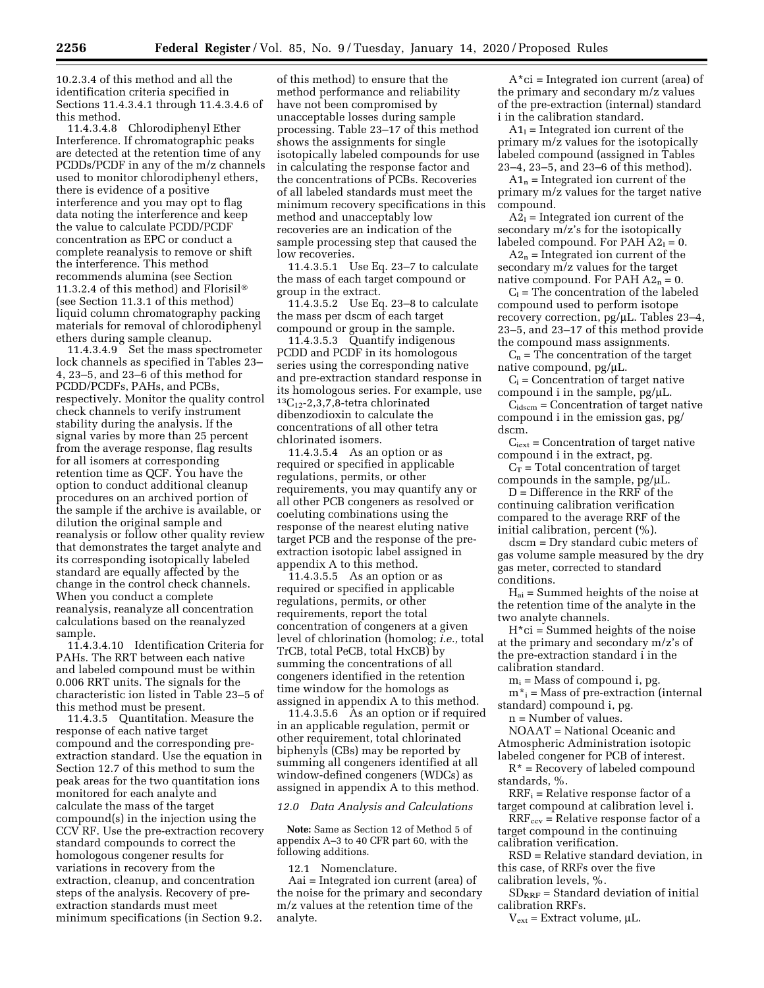10.2.3.4 of this method and all the identification criteria specified in Sections 11.4.3.4.1 through 11.4.3.4.6 of this method.

11.4.3.4.8 Chlorodiphenyl Ether Interference. If chromatographic peaks are detected at the retention time of any PCDDs/PCDF in any of the m/z channels used to monitor chlorodiphenyl ethers, there is evidence of a positive interference and you may opt to flag data noting the interference and keep the value to calculate PCDD/PCDF concentration as EPC or conduct a complete reanalysis to remove or shift the interference. This method recommends alumina (see Section 11.3.2.4 of this method) and Florisil® (see Section 11.3.1 of this method) liquid column chromatography packing materials for removal of chlorodiphenyl ethers during sample cleanup.

11.4.3.4.9 Set the mass spectrometer lock channels as specified in Tables 23– 4, 23–5, and 23–6 of this method for PCDD/PCDFs, PAHs, and PCBs, respectively. Monitor the quality control check channels to verify instrument stability during the analysis. If the signal varies by more than 25 percent from the average response, flag results for all isomers at corresponding retention time as QCF. You have the option to conduct additional cleanup procedures on an archived portion of the sample if the archive is available, or dilution the original sample and reanalysis or follow other quality review that demonstrates the target analyte and its corresponding isotopically labeled standard are equally affected by the change in the control check channels. When you conduct a complete reanalysis, reanalyze all concentration calculations based on the reanalyzed sample.

11.4.3.4.10 Identification Criteria for PAHs. The RRT between each native and labeled compound must be within 0.006 RRT units. The signals for the characteristic ion listed in Table 23–5 of this method must be present.

11.4.3.5 Quantitation. Measure the response of each native target compound and the corresponding preextraction standard. Use the equation in Section 12.7 of this method to sum the peak areas for the two quantitation ions monitored for each analyte and calculate the mass of the target compound(s) in the injection using the CCV RF. Use the pre-extraction recovery standard compounds to correct the homologous congener results for variations in recovery from the extraction, cleanup, and concentration steps of the analysis. Recovery of preextraction standards must meet minimum specifications (in Section 9.2.

of this method) to ensure that the method performance and reliability have not been compromised by unacceptable losses during sample processing. Table 23–17 of this method shows the assignments for single isotopically labeled compounds for use in calculating the response factor and the concentrations of PCBs. Recoveries of all labeled standards must meet the minimum recovery specifications in this method and unacceptably low recoveries are an indication of the sample processing step that caused the low recoveries.

11.4.3.5.1 Use Eq. 23–7 to calculate the mass of each target compound or group in the extract.

11.4.3.5.2 Use Eq. 23–8 to calculate the mass per dscm of each target compound or group in the sample.

11.4.3.5.3 Quantify indigenous PCDD and PCDF in its homologous series using the corresponding native and pre-extraction standard response in its homologous series. For example, use  ${}^{13}C_{12}$ -2,3,7,8-tetra chlorinated dibenzodioxin to calculate the concentrations of all other tetra chlorinated isomers.

11.4.3.5.4 As an option or as required or specified in applicable regulations, permits, or other requirements, you may quantify any or all other PCB congeners as resolved or coeluting combinations using the response of the nearest eluting native target PCB and the response of the preextraction isotopic label assigned in appendix A to this method.

11.4.3.5.5 As an option or as required or specified in applicable regulations, permits, or other requirements, report the total concentration of congeners at a given level of chlorination (homolog; *i.e.,* total TrCB, total PeCB, total HxCB) by summing the concentrations of all congeners identified in the retention time window for the homologs as assigned in appendix A to this method.

11.4.3.5.6 As an option or if required in an applicable regulation, permit or other requirement, total chlorinated biphenyls (CBs) may be reported by summing all congeners identified at all window-defined congeners (WDCs) as assigned in appendix A to this method.

# *12.0 Data Analysis and Calculations*

**Note:** Same as Section 12 of Method 5 of appendix A–3 to 40 CFR part 60, with the following additions.

12.1 Nomenclature.

Aai = Integrated ion current (area) of the noise for the primary and secondary m/z values at the retention time of the analyte.

 $A^*$ ci = Integrated ion current (area) of the primary and secondary m/z values of the pre-extraction (internal) standard i in the calibration standard.

 $A1<sub>l</sub>$  = Integrated ion current of the primary m/z values for the isotopically labeled compound (assigned in Tables 23–4, 23–5, and 23–6 of this method).

 $A1_n$  = Integrated ion current of the primary m/z values for the target native compound.

 $A2<sub>1</sub>$  = Integrated ion current of the secondary m/z's for the isotopically labeled compound. For PAH  $A2_1 = 0$ .

 $A2_n$  = Integrated ion current of the secondary m/z values for the target native compound. For PAH  $A2_n = 0$ .

 $C_1$  = The concentration of the labeled compound used to perform isotope recovery correction,  $pg/µL$ . Tables 23–4, 23–5, and 23–17 of this method provide the compound mass assignments.

 $C_n$  = The concentration of the target native compound, pg/µL.

 $C_i$  = Concentration of target native compound i in the sample,  $pg/µL$ .

 $C<sub>idscm</sub> = Concentration of target native$ compound i in the emission gas, pg/ dscm.

 $C<sub>text</sub> =$  Concentration of target native compound i in the extract, pg.

 $C_T$  = Total concentration of target compounds in the sample,  $pg/µL$ .

D = Difference in the RRF of the continuing calibration verification compared to the average RRF of the initial calibration, percent (%).

dscm = Dry standard cubic meters of gas volume sample measured by the dry gas meter, corrected to standard conditions.

 $H_{ai}$  = Summed heights of the noise at the retention time of the analyte in the two analyte channels.

 $H<sup>*</sup>ci = Summed heights of the noise$ at the primary and secondary m/z's of the pre-extraction standard i in the calibration standard.

 $m_i$  = Mass of compound i, pg.

 $m^*$ <sub>i</sub> = Mass of pre-extraction (internal standard) compound i, pg.

n = Number of values.

NOAAT = National Oceanic and Atmospheric Administration isotopic labeled congener for PCB of interest.

 $R^*$  = Recovery of labeled compound standards, %.

 $RRF_i = Relative$  response factor of a target compound at calibration level i.

 $RRF_{ccv}$  = Relative response factor of a target compound in the continuing calibration verification.

RSD = Relative standard deviation, in this case, of RRFs over the five calibration levels, %.

 $SD_{RRF}$  = Standard deviation of initial calibration RRFs.

 $V_{ext}$  = Extract volume,  $\mu$ L.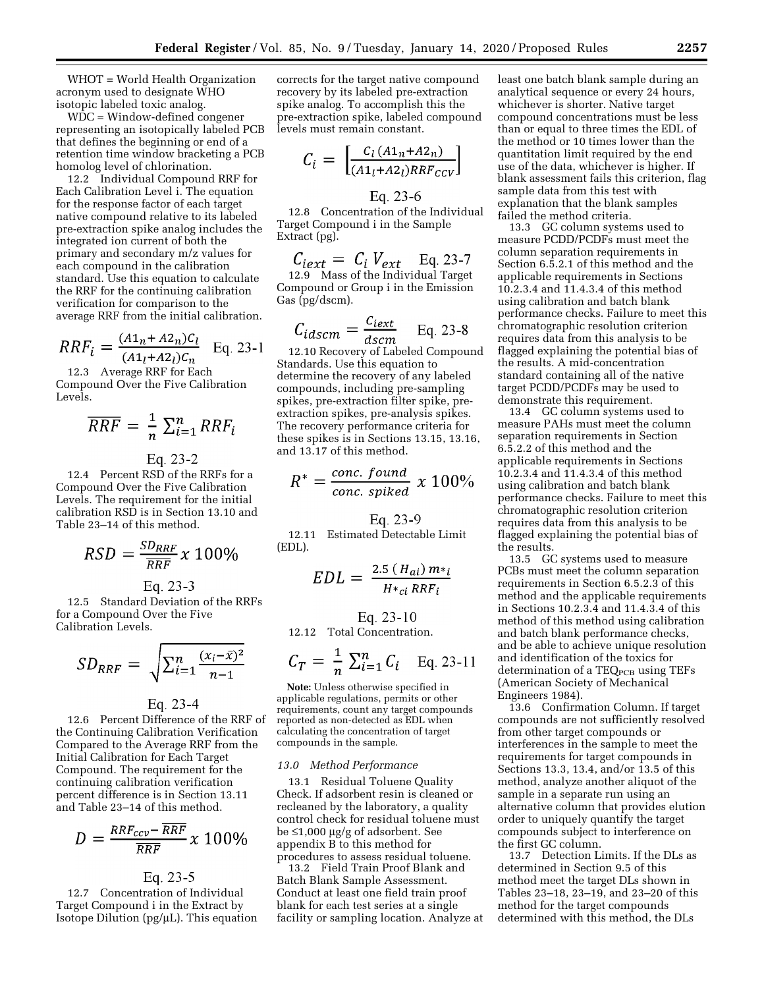WHOT = World Health Organization acronym used to designate WHO isotopic labeled toxic analog.

WDC = Window-defined congener representing an isotopically labeled PCB that defines the beginning or end of a retention time window bracketing a PCB homolog level of chlorination.

12.2 Individual Compound RRF for Each Calibration Level i. The equation for the response factor of each target native compound relative to its labeled pre-extraction spike analog includes the integrated ion current of both the primary and secondary m/z values for each compound in the calibration standard. Use this equation to calculate the RRF for the continuing calibration verification for comparison to the average RRF from the initial calibration.

$$
RRF_i = \frac{(A1_n + A2_n)C_l}{(A1_l + A2_l)C_n}
$$
 Eq. 23-1

12.3 Average RRF for Each Compound Over the Five Calibration Levels.

$$
\overline{R}\overline{R}\overline{F} = \frac{1}{n} \sum_{i=1}^{n} R\overline{R}\overline{F}_{i}
$$

Eq. 23-2

12.4 Percent RSD of the RRFs for a Compound Over the Five Calibration Levels. The requirement for the initial calibration RSD is in Section 13.10 and Table 23–14 of this method.

$$
RSD = \frac{SD_{RRF}}{\overline{RRF}} \times 100\%
$$

Eq. 23-3

12.5 Standard Deviation of the RRFs for a Compound Over the Five Calibration Levels.

$$
SD_{RRF} = \sqrt{\sum_{i=1}^{n} \frac{(x_i - \bar{x})^2}{n-1}}
$$

### Eq. 23-4

12.6 Percent Difference of the RRF of the Continuing Calibration Verification Compared to the Average RRF from the Initial Calibration for Each Target Compound. The requirement for the continuing calibration verification percent difference is in Section 13.11 and Table 23–14 of this method.

$$
D = \frac{RRF_{ccv} - \overline{RRF}}{\overline{RRF}} x 100\%
$$

# Eq. 23-5

12.7 Concentration of Individual Target Compound i in the Extract by Isotope Dilution ( $pg/µL$ ). This equation

corrects for the target native compound recovery by its labeled pre-extraction spike analog. To accomplish this the pre-extraction spike, labeled compound levels must remain constant.

$$
C_i = \begin{bmatrix} \frac{C_l (A1_n + A2_n)}{(A1_l + A2_l)RRF_{CCV}} \end{bmatrix}
$$

Eq. 23-6

12.8 Concentration of the Individual Target Compound i in the Sample Extract (pg).

$$
C_{text} = C_i V_{ext} \quad \text{Eq. 23-7}
$$

12.9 Mass of the Individual Target Compound or Group i in the Emission Gas (pg/dscm).

$$
C_{idscm} = \frac{C_{text}}{dscm} \qquad \text{Eq. 23-8}
$$

12.10 Recovery of Labeled Compound Standards. Use this equation to determine the recovery of any labeled compounds, including pre-sampling spikes, pre-extraction filter spike, preextraction spikes, pre-analysis spikes. The recovery performance criteria for these spikes is in Sections 13.15, 13.16, and 13.17 of this method.

$$
R^* = \frac{conc. \; found}{conc. \; spiked} \; x \; 100\%
$$

Eq. 23-9

12.11 Estimated Detectable Limit (EDL).

$$
EDL = \frac{2.5 (H_{ai}) m_{\ast i}}{H_{\ast_{ci}} R R F_i}
$$

# Eq. 23-10

12.12 Total Concentration.

$$
C_T = \frac{1}{n} \sum_{i=1}^n C_i
$$
 Eq. 23-11

**Note:** Unless otherwise specified in applicable regulations, permits or other requirements, count any target compounds reported as non-detected as EDL when calculating the concentration of target compounds in the sample.

#### *13.0 Method Performance*

13.1 Residual Toluene Quality Check. If adsorbent resin is cleaned or recleaned by the laboratory, a quality control check for residual toluene must be  $\leq$ 1,000 µg/g of adsorbent. See appendix B to this method for procedures to assess residual toluene.

13.2 Field Train Proof Blank and Batch Blank Sample Assessment. Conduct at least one field train proof blank for each test series at a single facility or sampling location. Analyze at least one batch blank sample during an analytical sequence or every 24 hours, whichever is shorter. Native target compound concentrations must be less than or equal to three times the EDL of the method or 10 times lower than the quantitation limit required by the end use of the data, whichever is higher. If blank assessment fails this criterion, flag sample data from this test with explanation that the blank samples failed the method criteria.

13.3 GC column systems used to measure PCDD/PCDFs must meet the column separation requirements in Section 6.5.2.1 of this method and the applicable requirements in Sections 10.2.3.4 and 11.4.3.4 of this method using calibration and batch blank performance checks. Failure to meet this chromatographic resolution criterion requires data from this analysis to be flagged explaining the potential bias of the results. A mid-concentration standard containing all of the native target PCDD/PCDFs may be used to demonstrate this requirement.

13.4 GC column systems used to measure PAHs must meet the column separation requirements in Section 6.5.2.2 of this method and the applicable requirements in Sections 10.2.3.4 and 11.4.3.4 of this method using calibration and batch blank performance checks. Failure to meet this chromatographic resolution criterion requires data from this analysis to be flagged explaining the potential bias of the results.

13.5 GC systems used to measure PCBs must meet the column separation requirements in Section 6.5.2.3 of this method and the applicable requirements in Sections 10.2.3.4 and 11.4.3.4 of this method of this method using calibration and batch blank performance checks, and be able to achieve unique resolution and identification of the toxics for determination of a TEQ<sub>PCB</sub> using TEFs (American Society of Mechanical Engineers 1984).

13.6 Confirmation Column. If target compounds are not sufficiently resolved from other target compounds or interferences in the sample to meet the requirements for target compounds in Sections 13.3, 13.4, and/or 13.5 of this method, analyze another aliquot of the sample in a separate run using an alternative column that provides elution order to uniquely quantify the target compounds subject to interference on the first GC column.

13.7 Detection Limits. If the DLs as determined in Section 9.5 of this method meet the target DLs shown in Tables 23–18, 23–19, and 23–20 of this method for the target compounds determined with this method, the DLs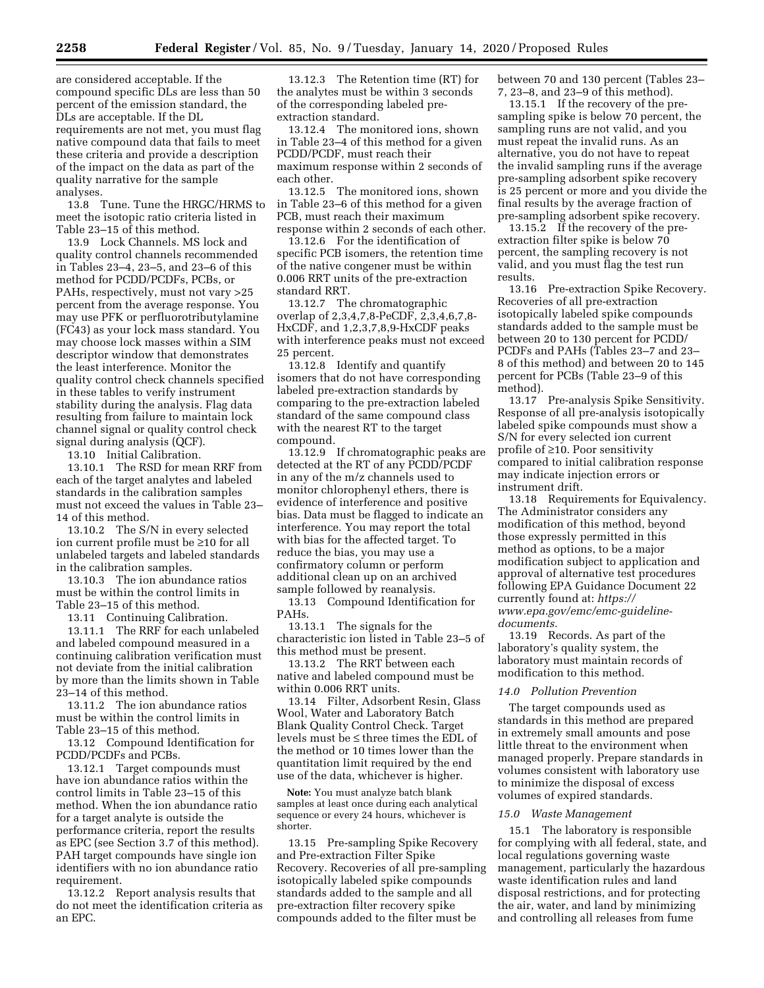are considered acceptable. If the compound specific DLs are less than 50 percent of the emission standard, the DLs are acceptable. If the DL requirements are not met, you must flag native compound data that fails to meet these criteria and provide a description of the impact on the data as part of the quality narrative for the sample analyses.

13.8 Tune. Tune the HRGC/HRMS to meet the isotopic ratio criteria listed in Table 23–15 of this method.

13.9 Lock Channels. MS lock and quality control channels recommended in Tables 23–4, 23–5, and 23–6 of this method for PCDD/PCDFs, PCBs, or PAHs, respectively, must not vary >25 percent from the average response. You may use PFK or perfluorotributylamine (FC43) as your lock mass standard. You may choose lock masses within a SIM descriptor window that demonstrates the least interference. Monitor the quality control check channels specified in these tables to verify instrument stability during the analysis. Flag data resulting from failure to maintain lock channel signal or quality control check signal during analysis (QCF).

13.10 Initial Calibration.

13.10.1 The RSD for mean RRF from each of the target analytes and labeled standards in the calibration samples must not exceed the values in Table 23– 14 of this method.

13.10.2 The S/N in every selected ion current profile must be ≥10 for all unlabeled targets and labeled standards in the calibration samples.

13.10.3 The ion abundance ratios must be within the control limits in Table 23–15 of this method.

13.11 Continuing Calibration.

13.11.1 The RRF for each unlabeled and labeled compound measured in a continuing calibration verification must not deviate from the initial calibration by more than the limits shown in Table 23–14 of this method.

13.11.2 The ion abundance ratios must be within the control limits in Table 23–15 of this method.

13.12 Compound Identification for PCDD/PCDFs and PCBs.

13.12.1 Target compounds must have ion abundance ratios within the control limits in Table 23–15 of this method. When the ion abundance ratio for a target analyte is outside the performance criteria, report the results as EPC (see Section 3.7 of this method). PAH target compounds have single ion identifiers with no ion abundance ratio requirement.

13.12.2 Report analysis results that do not meet the identification criteria as an EPC.

13.12.3 The Retention time (RT) for the analytes must be within 3 seconds of the corresponding labeled preextraction standard.

13.12.4 The monitored ions, shown in Table 23–4 of this method for a given PCDD/PCDF, must reach their maximum response within 2 seconds of each other.

13.12.5 The monitored ions, shown in Table 23–6 of this method for a given PCB, must reach their maximum response within 2 seconds of each other.

13.12.6 For the identification of specific PCB isomers, the retention time of the native congener must be within 0.006 RRT units of the pre-extraction standard RRT.

13.12.7 The chromatographic overlap of 2,3,4,7,8-PeCDF, 2,3,4,6,7,8- HxCDF, and 1,2,3,7,8,9-HxCDF peaks with interference peaks must not exceed 25 percent.

13.12.8 Identify and quantify isomers that do not have corresponding labeled pre-extraction standards by comparing to the pre-extraction labeled standard of the same compound class with the nearest RT to the target compound.

13.12.9 If chromatographic peaks are detected at the RT of any PCDD/PCDF in any of the m/z channels used to monitor chlorophenyl ethers, there is evidence of interference and positive bias. Data must be flagged to indicate an interference. You may report the total with bias for the affected target. To reduce the bias, you may use a confirmatory column or perform additional clean up on an archived sample followed by reanalysis.

13.13 Compound Identification for PAHs.

13.13.1 The signals for the characteristic ion listed in Table 23–5 of this method must be present.

13.13.2 The RRT between each native and labeled compound must be within 0.006 RRT units.

13.14 Filter, Adsorbent Resin, Glass Wool, Water and Laboratory Batch Blank Quality Control Check. Target levels must be ≤ three times the EDL of the method or 10 times lower than the quantitation limit required by the end use of the data, whichever is higher.

**Note:** You must analyze batch blank samples at least once during each analytical sequence or every 24 hours, whichever is shorter.

13.15 Pre-sampling Spike Recovery and Pre-extraction Filter Spike Recovery. Recoveries of all pre-sampling isotopically labeled spike compounds standards added to the sample and all pre-extraction filter recovery spike compounds added to the filter must be

between 70 and 130 percent (Tables 23– 7, 23–8, and 23–9 of this method).

13.15.1 If the recovery of the presampling spike is below 70 percent, the sampling runs are not valid, and you must repeat the invalid runs. As an alternative, you do not have to repeat the invalid sampling runs if the average pre-sampling adsorbent spike recovery is 25 percent or more and you divide the final results by the average fraction of pre-sampling adsorbent spike recovery.

13.15.2 If the recovery of the preextraction filter spike is below 70 percent, the sampling recovery is not valid, and you must flag the test run results.

13.16 Pre-extraction Spike Recovery. Recoveries of all pre-extraction isotopically labeled spike compounds standards added to the sample must be between 20 to 130 percent for PCDD/ PCDFs and PAHs (Tables 23–7 and 23– 8 of this method) and between 20 to 145 percent for PCBs (Table 23–9 of this method).<br>13.17

Pre-analysis Spike Sensitivity. Response of all pre-analysis isotopically labeled spike compounds must show a S/N for every selected ion current profile of ≥10. Poor sensitivity compared to initial calibration response may indicate injection errors or instrument drift.

13.18 Requirements for Equivalency. The Administrator considers any modification of this method, beyond those expressly permitted in this method as options, to be a major modification subject to application and approval of alternative test procedures following EPA Guidance Document 22 currently found at: *[https://](https://www.epa.gov/emc/emc-guideline-documents) [www.epa.gov/emc/emc-guideline](https://www.epa.gov/emc/emc-guideline-documents)[documents.](https://www.epa.gov/emc/emc-guideline-documents)* 

13.19 Records. As part of the laboratory's quality system, the laboratory must maintain records of modification to this method.

### *14.0 Pollution Prevention*

The target compounds used as standards in this method are prepared in extremely small amounts and pose little threat to the environment when managed properly. Prepare standards in volumes consistent with laboratory use to minimize the disposal of excess volumes of expired standards.

#### *15.0 Waste Management*

15.1 The laboratory is responsible for complying with all federal, state, and local regulations governing waste management, particularly the hazardous waste identification rules and land disposal restrictions, and for protecting the air, water, and land by minimizing and controlling all releases from fume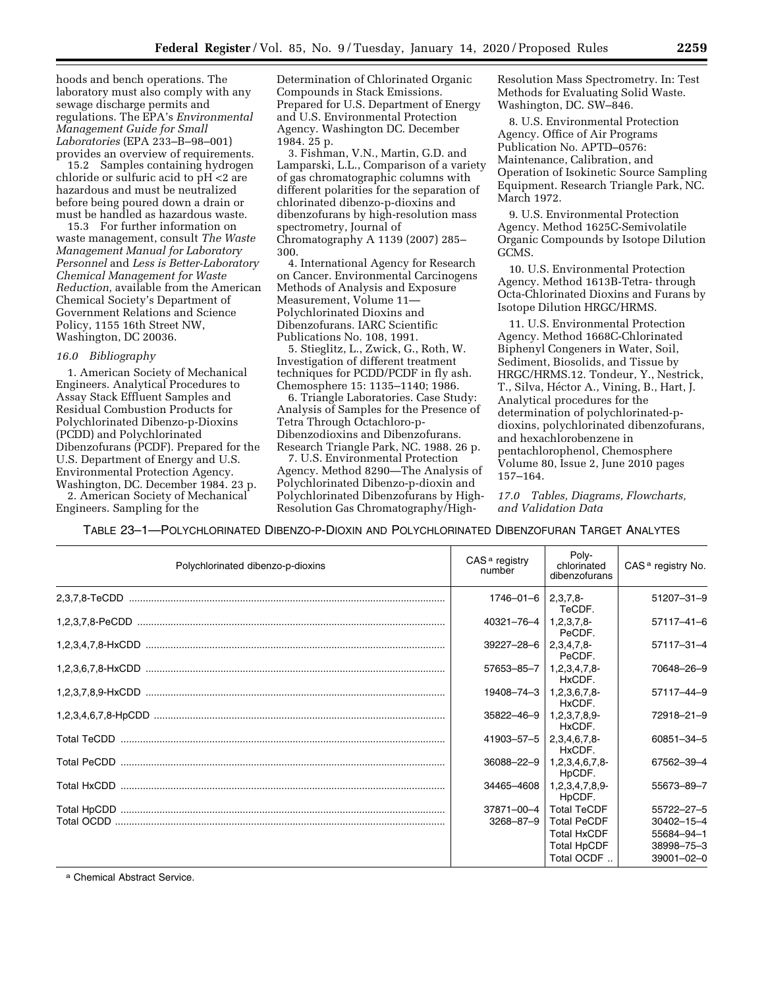hoods and bench operations. The laboratory must also comply with any sewage discharge permits and regulations. The EPA's *Environmental Management Guide for Small Laboratories* (EPA 233–B–98–001) provides an overview of requirements.

15.2 Samples containing hydrogen chloride or sulfuric acid to pH <2 are hazardous and must be neutralized before being poured down a drain or must be handled as hazardous waste.

15.3 For further information on waste management, consult *The Waste Management Manual for Laboratory Personnel* and *Less is Better-Laboratory Chemical Management for Waste Reduction,* available from the American Chemical Society's Department of Government Relations and Science Policy, 1155 16th Street NW, Washington, DC 20036.

#### *16.0 Bibliography*

1. American Society of Mechanical Engineers. Analytical Procedures to Assay Stack Effluent Samples and Residual Combustion Products for Polychlorinated Dibenzo-p-Dioxins (PCDD) and Polychlorinated Dibenzofurans (PCDF). Prepared for the U.S. Department of Energy and U.S. Environmental Protection Agency. Washington, DC. December 1984. 23 p. 2. American Society of Mechanical Engineers. Sampling for the

Determination of Chlorinated Organic Compounds in Stack Emissions. Prepared for U.S. Department of Energy and U.S. Environmental Protection Agency. Washington DC. December 1984. 25 p.

3. Fishman, V.N., Martin, G.D. and Lamparski, L.L., Comparison of a variety of gas chromatographic columns with different polarities for the separation of chlorinated dibenzo-p-dioxins and dibenzofurans by high-resolution mass spectrometry, Journal of Chromatography A 1139 (2007) 285– 300.

4. International Agency for Research on Cancer. Environmental Carcinogens Methods of Analysis and Exposure Measurement, Volume 11— Polychlorinated Dioxins and Dibenzofurans. IARC Scientific Publications No. 108, 1991.

5. Stieglitz, L., Zwick, G., Roth, W. Investigation of different treatment techniques for PCDD/PCDF in fly ash. Chemosphere 15: 1135–1140; 1986.

6. Triangle Laboratories. Case Study: Analysis of Samples for the Presence of Tetra Through Octachloro-p-Dibenzodioxins and Dibenzofurans. Research Triangle Park, NC. 1988. 26 p.

7. U.S. Environmental Protection Agency. Method 8290—The Analysis of Polychlorinated Dibenzo-p-dioxin and Polychlorinated Dibenzofurans by High-Resolution Gas Chromatography/HighResolution Mass Spectrometry. In: Test Methods for Evaluating Solid Waste. Washington, DC. SW–846.

8. U.S. Environmental Protection Agency. Office of Air Programs Publication No. APTD–0576: Maintenance, Calibration, and Operation of Isokinetic Source Sampling Equipment. Research Triangle Park, NC. March 1972.

9. U.S. Environmental Protection Agency. Method 1625C-Semivolatile Organic Compounds by Isotope Dilution GCMS.

10. U.S. Environmental Protection Agency. Method 1613B-Tetra- through Octa-Chlorinated Dioxins and Furans by Isotope Dilution HRGC/HRMS.

11. U.S. Environmental Protection Agency. Method 1668C-Chlorinated Biphenyl Congeners in Water, Soil, Sediment, Biosolids, and Tissue by HRGC/HRMS.12. Tondeur, Y., Nestrick, T., Silva, Héctor A., Vining, B., Hart, J. Analytical procedures for the determination of polychlorinated-pdioxins, polychlorinated dibenzofurans, and hexachlorobenzene in pentachlorophenol, Chemosphere Volume 80, Issue 2, June 2010 pages 157–164.

*17.0 Tables, Diagrams, Flowcharts, and Validation Data* 

TABLE 23–1—POLYCHLORINATED DIBENZO-P-DIOXIN AND POLYCHLORINATED DIBENZOFURAN TARGET ANALYTES

| Polychlorinated dibenzo-p-dioxins | $CASa$ registry<br>number           | Poly-<br>chlorinated<br>dibenzofurans      | CAS <sup>a</sup> registry No. |
|-----------------------------------|-------------------------------------|--------------------------------------------|-------------------------------|
|                                   | $1746 - 01 - 6$   2,3,7,8-          | TeCDF.                                     | $51207 - 31 - 9$              |
|                                   | $40321 - 76 - 4$   1,2,3,7,8-       | PeCDF.                                     | $57117 - 41 - 6$              |
|                                   | $39227 - 28 - 6$   2,3,4,7,8-       | PeCDF.                                     | $57117 - 31 - 4$              |
|                                   | $57653 - 85 - 7$   1,2,3,4,7,8-     | HxCDF.                                     | 70648-26-9                    |
|                                   | $19408 - 74 - 3 \mid 1,2,3,6,7,8 -$ | HxCDF.                                     | 57117-44-9                    |
|                                   | $35822 - 46 - 9$   1,2,3,7,8,9-     | HxCDF.                                     | 72918-21-9                    |
|                                   | $41903 - 57 - 5$   2,3,4,6,7,8-     | HxCDF.                                     | 60851-34-5                    |
|                                   |                                     | $36088 - 22 - 9$   1,2,3,4,6,7,8<br>HpCDF. | 67562-39-4                    |
|                                   | 34465-4608                          | 1,2,3,4,7,8,9-<br>HpCDF.                   | 55673-89-7                    |
|                                   |                                     | 37871-00-4   Total TeCDF                   | 55722-27-5                    |
|                                   | $3268 - 87 - 9$                     | <b>Total PeCDF</b>                         | $30402 - 15 - 4$              |
|                                   |                                     | <b>Total HxCDF</b>                         | 55684-94-1                    |
|                                   |                                     | <b>Total HpCDF</b>                         | 38998-75-3                    |
|                                   |                                     | Total OCDF                                 | $39001 - 02 - 0$              |

a Chemical Abstract Service.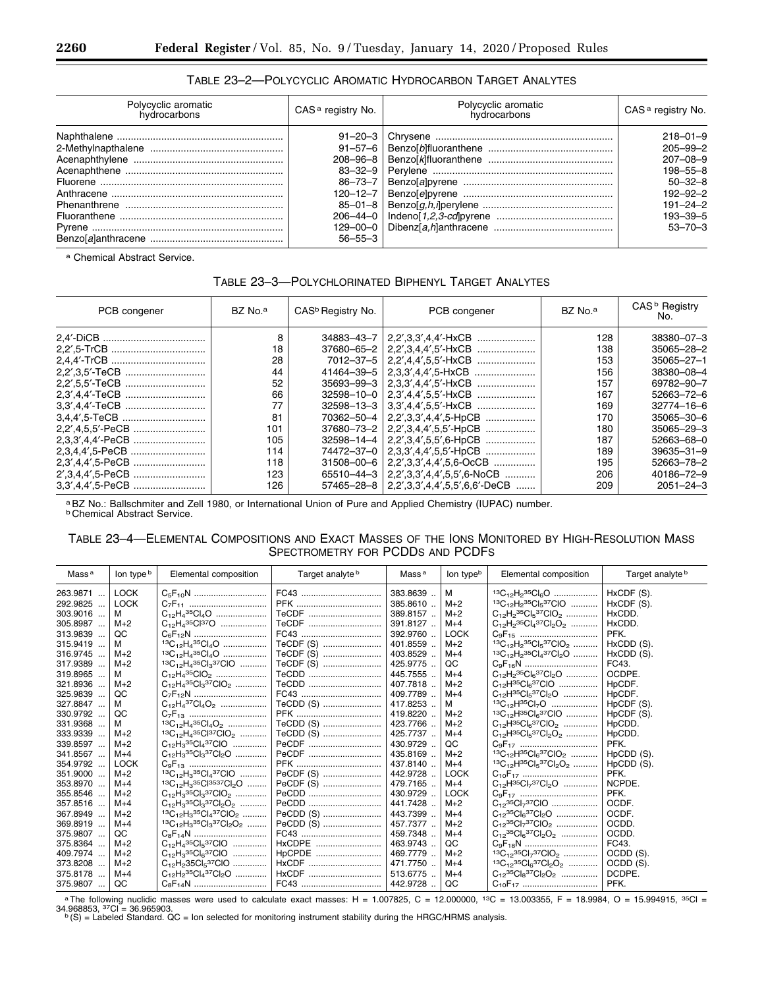# TABLE 23–2—POLYCYCLIC AROMATIC HYDROCARBON TARGET ANALYTES

| Polycyclic aromatic<br>hydrocarbons | CAS <sup>a</sup> registry No. | Polycyclic aromatic<br>hvdrocarbons | CAS <sup>a</sup> registry No. |
|-------------------------------------|-------------------------------|-------------------------------------|-------------------------------|
|                                     |                               |                                     | $218 - 01 - 9$                |
|                                     |                               |                                     | $205 - 99 - 2$                |
|                                     |                               |                                     | $207 - 08 - 9$                |
|                                     |                               |                                     | $198 - 55 - 8$                |
|                                     |                               |                                     | $50 - 32 - 8$                 |
|                                     |                               |                                     | $192 - 92 - 2$                |
|                                     |                               |                                     | $191 - 24 - 2$                |
|                                     |                               |                                     | $193 - 39 - 5$                |
|                                     |                               |                                     | $53 - 70 - 3$                 |
|                                     | $56 - 55 - 3$                 |                                     |                               |

a Chemical Abstract Service.

# TABLE 23–3—POLYCHLORINATED BIPHENYL TARGET ANALYTES

| PCB congener     | BZ No. <sup>a</sup> | CAS <sup>b</sup> Registry No. | PCB congener                                     | BZ No. <sup>a</sup> | CAS <sup>b</sup> Registry<br>No. |
|------------------|---------------------|-------------------------------|--------------------------------------------------|---------------------|----------------------------------|
|                  | 8                   |                               |                                                  | 128                 | 38380-07-3                       |
|                  | 18                  |                               |                                                  | 138                 | 35065-28-2                       |
|                  | 28                  |                               | 7012-37-5   2.2',4,4',5,5'-HxCB                  | 153                 | $35065 - 27 - 1$                 |
|                  | 44                  |                               | 41464-39-5   2,3,3',4,4',5-HxCB                  | 156                 | 38380-08-4                       |
|                  | 52                  |                               |                                                  | 157                 | 69782-90-7                       |
|                  | 66                  |                               | 32598-10-0   2.3'.4.4'.5.5'-HxCB                 | 167                 | 52663-72-6                       |
|                  | 77                  |                               |                                                  | 169                 | 32774-16-6                       |
|                  | 81                  |                               | 70362-50-4   2,2',3,3',4,4',5-HpCB               | 170                 | $35065 - 30 - 6$                 |
| 2,2',4,5,5'-PeCB | 101                 |                               | $37680 - 73 - 2 \mid 2.2', 3.4.4', 5.5'$ -HpCB   | 180                 | $35065 - 29 - 3$                 |
| 2,3,3',4,4'-PeCB | 105                 |                               | $32598 - 14 - 4$   2,2',3,4',5,5',6-HpCB         | 187                 | 52663-68-0                       |
|                  | 114                 |                               | 74472-37-0   2,3,3',4,4',5,5'-HpCB               | 189                 | $39635 - 31 - 9$                 |
| 2.3'.4.4',5-PeCB | 118                 |                               | $31508 - 00 - 6$   2,2',3,3',4,4',5,6-OcCB       | 195                 | 52663-78-2                       |
|                  | 123                 |                               | $65510 - 44 - 3$   2,2',3,3',4,4',5,5',6-NoCB    | 206                 | 40186-72-9                       |
|                  | 126                 |                               | $57465 - 28 - 8$   2,2',3,3',4,4',5,5',6,6'-DeCB | 209                 | $2051 - 24 - 3$                  |

aBZ No.: Ballschmiter and Zell 1980, or International Union of Pure and Applied Chemistry (IUPAC) number. b Chemical Abstract Service.

# TABLE 23–4—ELEMENTAL COMPOSITIONS AND EXACT MASSES OF THE IONS MONITORED BY HIGH-RESOLUTION MASS SPECTROMETRY FOR PCDDS AND PCDFS

| Mass <sup>a</sup> | lon type b  | Elemental composition                                                   | Target analyte b | Mass <sup>a</sup> | lon typeb   | Elemental composition                                                 | Target analyte b                    |
|-------------------|-------------|-------------------------------------------------------------------------|------------------|-------------------|-------------|-----------------------------------------------------------------------|-------------------------------------|
| 263.9871          | <b>LOCK</b> |                                                                         | FC43             | 383.8639.         | M           | ${}^{13}C_{12}H_2{}^{35}Cl_6O$                                        | HxCDF (S).                          |
| 292.9825          | <b>LOCK</b> |                                                                         |                  | 385.8610.         | $M+2$       | $13C_{12}H_2$ $35CI_5$ $37CIO$                                        | HxCDF (S).                          |
| 303.9016          | м           | $C_{12}H_{4}^{35}Cl_{4}O$                                               | TeCDF            | 389.8157          | $M+2$       | $C_{12}H_2^{35}Cl_5^{37}ClO_2$                                        | HxCDD.                              |
| 305.8987          | $M+2$       | $C_{12}H_{4}^{35}Cl^{37}O$                                              | TeCDF            | 391.8127          | $M+4$       | $C_{12}H_{2}^{35}Cl_{4}^{37}Cl_{2}O_{2}$                              | HxCDD.                              |
| 313.9839          | QC          |                                                                         | FC43             | 392.9760.         | <b>LOCK</b> |                                                                       | PFK.                                |
| 315.9419          | м           |                                                                         | TeCDF (S)        | 401.8559          | $M+2$       | ${}^{13}C_{12}H_2{}^{35}Cl_5{}^{37}ClO_2$                             | HxCDD (S).                          |
| 316.9745          | $M+2$       | ${}^{13}C_{12}H_4{}^{35}Cl_4O$                                          | TeCDF (S)        | 403.8529          | $M+4$       | $13C_{12}H_2$ $35Cl_4$ $37Cl_2$ $O$                                   | HxCDD (S).                          |
| 317.9389          | $M+2$       | $13C_{12}H_435C_{3}37C_{10}$                                            | TeCDF (S)        | 425.9775          | QC          |                                                                       | FC43.                               |
| 319.8965          | м           | $C_{12}H_{4}^{35}ClO_{2}$                                               | TeCDD            | 445.7555.         | $M+4$       | $C_{12}H_2$ <sup>35</sup> $Cl_6$ <sup>37</sup> $Cl_2$ O               | OCDPE.                              |
| 321.8936          | $M+2$       | $C_{12}H_4^{35}Cl_3^{37}ClO_2$                                          | TeCDD            | 407.7818          | $M+2$       | $C_{12}H^{35}Cl_6^{37}ClO$                                            | H <sub>p</sub> CDF.                 |
| 325.9839          | QC          |                                                                         | FC43             | 409.7789          | $M+4$       | $C_{12}H^{35}Cl_{5}^{37}Cl_{2}O$                                      | H <sub>p</sub> CDF.                 |
| 327.8847          | м           | $C_{12}H_{4}^{37}Cl_{4}O_{2}$                                           | TeCDD (S)        | 417.8253          | м           | $13C_{12}H^{35}Cl_{7}O$                                               | HpCDF (S).                          |
| 330.9792          | QC          |                                                                         | PFK              | 419.8220          | $M+2$       | $13C_{12}H^{35}Cl_6^{37}ClO$                                          | HpCDF (S).                          |
| 331.9368          | м           | $13C_{12}H_{4}35Cl_{4}O_{2}$                                            | TeCDD (S)        | 423.7766.         | $M+2$       | $C_{12}H^{35}Cl_6^{37}ClO_2$                                          | HpCDD.                              |
| 333.9339          | $M+2$       | $13C_{12}H_{4}35Cl37ClO_{2}$                                            | TeCDD (S)        | 425.7737          | $M+4$       | $C_{12}H^{35}Cl_{5}^{37}Cl_{2}O_{2}$                                  | HpCDD.                              |
| 339.8597          | $M+2$       | $C_{12}H_3^{35}Cl_4^{37}ClO$                                            | PeCDF            | 430.9729.         | QC          |                                                                       | PFK.                                |
| 341.8567          | $M+4$       | $C_{12}H_3^{35}Cl_3^{37}Cl_2O$                                          | PeCDF            | 435.8169          | $M+2$       | ${}^{13}C_{12}H^{35}Cl_6{}^{37}ClO_2$                                 | H <sub>p</sub> CD <sub>D</sub> (S). |
| 354.9792          | <b>LOCK</b> |                                                                         |                  | 437.8140.         | $M+4$       | $13C_{12}H^{35}Cl_{5}^{37}Cl_{2}O_{2}$                                | HpCDD (S).                          |
| 351.9000          | $M+2$       | $13C_{12}H_3$ $35Cl_4$ $37ClO$                                          | PeCDF (S)        | 442.9728          | <b>LOCK</b> |                                                                       | PFK.                                |
| 353.8970          | $M+4$       | 13C <sub>12</sub> H <sub>3</sub> 35Cl <sup>3537</sup> Cl <sub>2</sub> O | PeCDF (S)        | 479.7165.         | $M+4$       | $C_{12}H^{35}Cl_{7}^{37}Cl_{2}O$                                      | NCPDE.                              |
| 355.8546          | $M+2$       | $C_{12}H_3^{35}Cl_3^{37}ClO_2$                                          | PeCDD            | 430.9729          | <b>LOCK</b> |                                                                       | PFK.                                |
| 357.8516          | $M+4$       | $C_{12}H_{3}^{35}C_{13}^{37}C_{12}O_{2}$                                | PeCDD            | 441.7428          | $M+2$       | $C_{12}$ <sup>35</sup> Cl <sub>7</sub> 37ClO                          | OCDF.                               |
| 367.8949          | $M+2$       | $13C_{12}H_3$ $35CI_4$ $37CIO_2$                                        | PeCDD (S)        | 443.7399          | $M+4$       | $C_{12}^{35}Cl_6^{37}Cl_2O$                                           | OCDF.                               |
| 369.8919          | $M+4$       | ${}^{13}C_{12}H_3{}^{35}Cl_3{}^{37}Cl_2O_2$                             | PeCDD (S)        | 457.7377          | $M+2$       | $C_{12}$ <sup>35</sup> Cl <sub>7</sub> <sup>37</sup> ClO <sub>2</sub> | OCDD.                               |
| 375.9807          | QC          |                                                                         | FC43             | 459.7348.         | $M+4$       | $C_{12}^{35}Cl_6^{37}Cl_2O_2$                                         | OCDD.                               |
| 375.8364          | $M+2$       | $C_{12}H_4^{35}Cl_5^{37}ClO$                                            | HxCDPE           | 463.9743.         | QC          |                                                                       | FC43.                               |
| 409.7974          | $M+2$       | $C_{12}H_3^{35}Cl_6^{37}ClO$                                            | HpCPDE           | 469.7779          | $M+2$       | $13C_{12}$ <sup>35</sup> Cl <sub>7</sub> 37ClO <sub>2</sub>           | OCDD (S).                           |
| 373.8208          | $M+2$       | $C_{12}H_{2}35CI_{5}37CIO$                                              | HxCDF            | 471.7750.         | $M+4$       | ${}^{13}C_{12}{}^{35}Cl_6{}^{37}Cl_2O_2$                              | OCDD (S).                           |
| 375.8178          | $M+4$       | $C_{12}H_{2}^{35}Cl_{4}^{37}Cl_{2}O$                                    | HxCDF            | 513.6775.         | $M+4$       | $C_{12}^{35}CI_8^{37}Cl_2O_2$                                         | DCDPE.                              |
| 375.9807          | QC          |                                                                         |                  | 442.9728          | QC          |                                                                       | PFK.                                |

<sup>a</sup>The following nuclidic masses were used to calculate exact masses: H = 1.007825, C = 12.000000, <sup>13</sup>C = 13.003355, F = 18.9984, O = 15.994915, <sup>35</sup>Cl = 34.968853, <sup>37</sup>Cl = 36.965903.<br>34.968853, <sup>37</sup>Cl = 36.965903.<br><sup>b</sup>(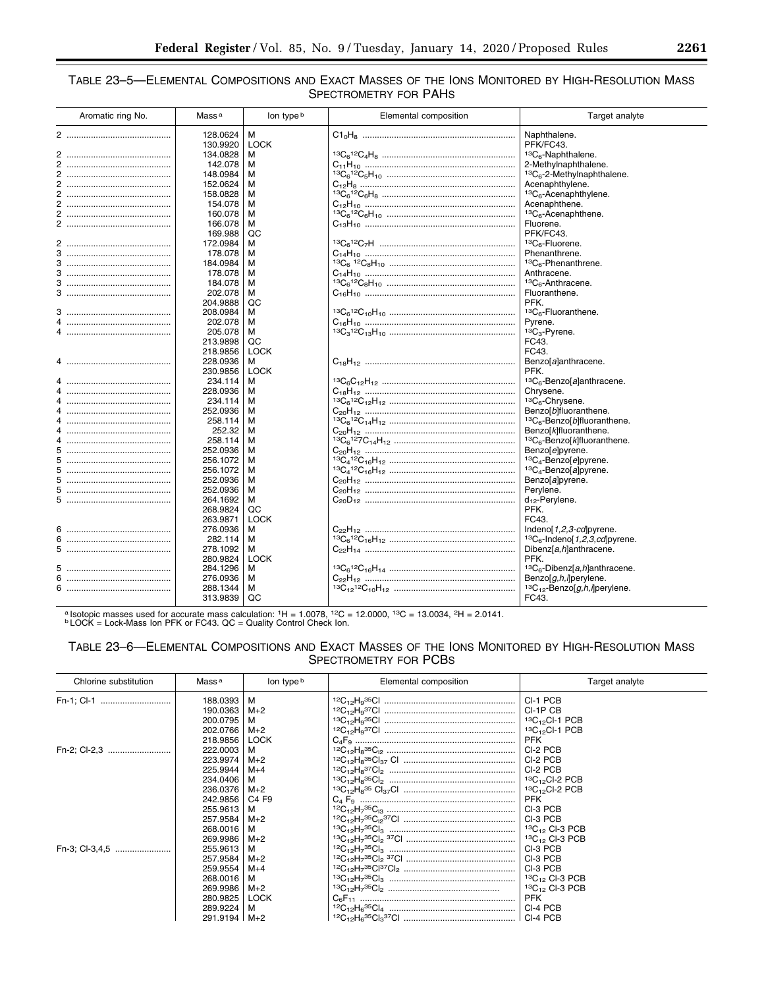# TABLE 23–5—ELEMENTAL COMPOSITIONS AND EXACT MASSES OF THE IONS MONITORED BY HIGH-RESOLUTION MASS SPECTROMETRY FOR PAHS

| Aromatic ring No. | Mass <sup>a</sup> | lon type b  | Elemental composition | Target analyte                                      |
|-------------------|-------------------|-------------|-----------------------|-----------------------------------------------------|
| 2                 | 128.0624          | M           |                       | Naphthalene.                                        |
|                   | 130.9920          | <b>LOCK</b> |                       | PFK/FC43.                                           |
|                   | 134.0828          | м           |                       | ${}^{13}C_6$ -Naphthalene.                          |
|                   | 142.078           | м           |                       | 2-Methylnaphthalene.                                |
|                   | 148.0984          | м           |                       | ${}^{13}C_6$ -2-Methylnaphthalene.                  |
|                   | 152.0624          | м           |                       | Acenaphthylene.                                     |
|                   | 158.0828          | м           |                       | ${}^{13}C_6$ -Acenaphthylene.                       |
|                   | 154.078           | м           |                       | Acenaphthene.                                       |
|                   | 160.078           | м           |                       | ${}^{13}C_6$ -Acenaphthene.                         |
|                   | 166.078           | М           |                       | Fluorene.                                           |
|                   | 169.988           | QC          |                       | PFK/FC43.                                           |
|                   | 172.0984          | м           |                       | <sup>13</sup> C <sub>6</sub> -Fluorene.             |
| 3                 | 178.078           | м           |                       | Phenanthrene.                                       |
|                   | 184.0984          | м           |                       | <sup>13</sup> C <sub>6</sub> -Phenanthrene.         |
|                   | 178.078           | м           |                       | Anthracene.                                         |
|                   | 184.078           | м           |                       | ${}^{13}C_6$ -Anthracene.                           |
|                   | 202.078           | м           |                       | Fluoranthene.                                       |
|                   | 204.9888          | QC          |                       | PFK.                                                |
|                   | 208.0984          | м           |                       | ${}^{13}C_6$ -Fluoranthene.                         |
|                   | 202.078           | м           |                       | Pyrene.                                             |
|                   |                   |             |                       |                                                     |
|                   | 205.078           | м           |                       | ${}^{13}C_3$ -Pyrene.                               |
|                   | 213.9898          | QC          |                       | FC43.                                               |
|                   | 218.9856          | <b>LOCK</b> |                       | FC43.                                               |
|                   | 228.0936          | м           |                       | Benzo[a]anthracene.                                 |
|                   | 230.9856          | <b>LOCK</b> |                       | PFK.                                                |
|                   | 234.114           | м           |                       | ${}^{13}C_6$ -Benzo[a]anthracene.                   |
|                   | 228.0936          | м           |                       | Chrysene.                                           |
|                   | 234.114           | м           |                       | <sup>13</sup> C <sub>6</sub> -Chrysene.             |
|                   | 252.0936          | м           |                       | Benzo[b]fluoranthene.                               |
|                   | 258.114           | м           |                       | <sup>13</sup> C <sub>6</sub> -Benzo[b]fluoranthene. |
|                   | 252.32            | м           |                       | Benzo[k]fluoranthene.                               |
|                   | 258.114           | м           |                       | ${}^{13}C_6$ -Benzol klfluoranthene.                |
|                   | 252.0936          | м           |                       | Benzo[e]pyrene.                                     |
| 5.                | 256.1072          | м           |                       | ${}^{13}C_4$ -Benzolelpyrene.                       |
| 5.                | 256.1072          | м           |                       | <sup>13</sup> C <sub>4</sub> -Benzo[a]pyrene.       |
| 5.                | 252.0936          | м           |                       | Benzo[a]pyrene.                                     |
| 5                 | 252.0936          | м           |                       | Perylene.                                           |
|                   | 264.1692          | м           |                       | $d_{12}$ -Perylene.                                 |
|                   | 268.9824          | QC          |                       | PFK.                                                |
|                   | 263.9871          | <b>LOCK</b> |                       | FC43.                                               |
| 6                 | 276.0936          | м           |                       | Indeno[1,2,3-cd]pyrene.                             |
| 6.                | 282.114           | м           |                       | ${}^{13}C_6$ -Indeno[1,2,3,cd] pyrene.              |
|                   | 278.1092          | м           |                       | Dibenz[a,h]anthracene.                              |
|                   | 280.9824          | <b>LOCK</b> |                       | PFK.                                                |
|                   | 284.1296          | м           |                       | ${}^{13}C_6$ -Dibenz[a,h]anthracene.                |
|                   | 276.0936          | м           |                       | Benzo[g,h,i]perylene.                               |
|                   | 288.1344          | м           |                       | ${}^{13}C_{12}$ -Benzo[g,h,i]perylene.              |
|                   | 313.9839          | QC          |                       | FC43.                                               |

a Isotopic masses used for accurate mass calculation:  $1H = 1.0078$ ,  $12C = 12.0000$ ,  $13C = 13.0034$ ,  $2H = 2.0141$ .<br> **b LOCK = Lock-Mass Ion PFK or FC43. QC = Quality Control Check Ion.** 

# TABLE 23–6—ELEMENTAL COMPOSITIONS AND EXACT MASSES OF THE IONS MONITORED BY HIGH-RESOLUTION MASS SPECTROMETRY FOR PCBS

| Chlorine substitution | Mass <sup>a</sup>    | lon type b  | Elemental composition | Target analyte       |
|-----------------------|----------------------|-------------|-----------------------|----------------------|
| Fn-1; Cl-1            | 188.0393<br>190.0363 | м<br>$M+2$  |                       | CI-1 PCB<br>CI-1P CB |
|                       | 200.0795             | м           |                       | $13C_{12}$ CI-1 PCB  |
|                       | 202.0766             | $M+2$       |                       | $13C_{12}$ CI-1 PCB  |
|                       | 218.9856             | <b>LOCK</b> |                       | <b>PFK</b>           |
| Fn-2; Cl-2,3          | 222.0003             | м           |                       | CI-2 PCB             |
|                       | 223.9974             | $M+2$       |                       | CI-2 PCB             |
|                       | 225.9944             | $M+4$       |                       | CI-2 PCB             |
|                       | 234.0406             | м           |                       | $13C_{12}$ CI-2 PCB  |
|                       | 236.0376             | $M+2$       |                       | $13C_{12}$ CI-2 PCB  |
|                       | 242.9856             | C4 F9       |                       | <b>PFK</b>           |
|                       | 255.9613             | м           |                       | CI-3 PCB             |
|                       | 257.9584             | $M+2$       |                       | CI-3 PCB             |
|                       | 268,0016             | м           |                       | $13C_{12}$ CI-3 PCB  |
|                       | 269.9986             | $M+2$       |                       | $13C_{12}$ CI-3 PCB  |
| Fn-3; Cl-3,4,5        | 255.9613             | м           |                       | CI-3 PCB             |
|                       | 257.9584             | $M+2$       |                       | CI-3 PCB             |
|                       | 259.9554             | $M+4$       |                       | CI-3 PCB             |
|                       | 268.0016             | м           |                       | $13C_{12}$ CI-3 PCB  |
|                       | 269.9986             | $M+2$       |                       | $13C_{12}$ CI-3 PCB  |
|                       | 280.9825             | <b>LOCK</b> |                       | <b>PFK</b>           |
|                       | 289.9224             | M           |                       | CI-4 PCB             |
|                       | 291.9194             | $M+2$       |                       |                      |

۰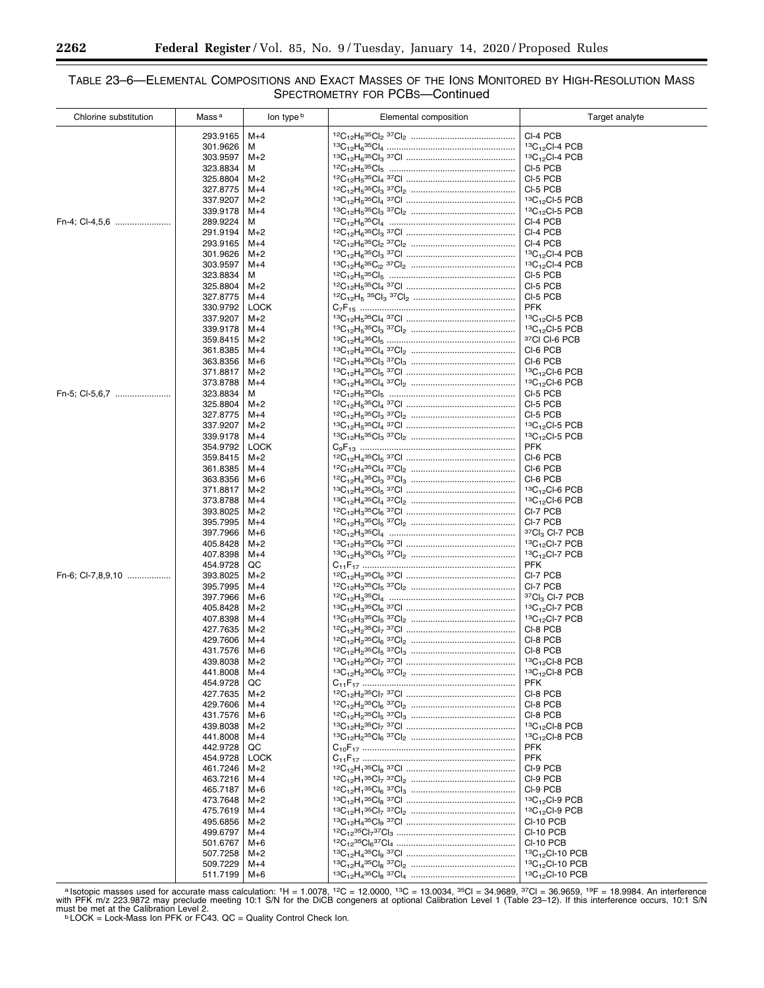# TABLE 23–6—ELEMENTAL COMPOSITIONS AND EXACT MASSES OF THE IONS MONITORED BY HIGH-RESOLUTION MASS SPECTROMETRY FOR PCBS—Continued

| Chlorine substitution | Mass <sup>a</sup>    | lon type b     | Elemental composition                                                                   | Target analyte                                             |
|-----------------------|----------------------|----------------|-----------------------------------------------------------------------------------------|------------------------------------------------------------|
|                       | 293.9165             | $M+4$          |                                                                                         | CI-4 PCB                                                   |
|                       | 301.9626             | M              |                                                                                         | $13C_{12}$ CI-4 PCB                                        |
|                       | 303.9597             | $M+2$          |                                                                                         | ${}^{13}C_{12}$ CI-4 PCB                                   |
|                       | 323.8834             | м              |                                                                                         | CI-5 PCB                                                   |
|                       | 325.8804             | $M+2$          |                                                                                         | CI-5 PCB                                                   |
|                       | 327.8775             | $M+4$          |                                                                                         | CI-5 PCB                                                   |
|                       | 337.9207             | $M+2$          |                                                                                         | ${}^{13}C_{12}$ CI-5 PCB                                   |
|                       | 339.9178             | $M+4$          |                                                                                         | ${}^{13}C_{12}$ CI-5 PCB                                   |
| Fn-4; Cl-4,5,6        | 289.9224             | м              |                                                                                         | CI-4 PCB                                                   |
|                       | 291.9194             | $M+2$          |                                                                                         | CI-4 PCB                                                   |
|                       | 293.9165             | $M+4$          |                                                                                         | CI-4 PCB                                                   |
|                       | 301.9626             | $M+2$          |                                                                                         | $13C_{12}$ CI-4 PCB                                        |
|                       | 303.9597             | $M+4$          |                                                                                         | 13C <sub>12</sub> Cl-4 PCB                                 |
|                       | 323.8834             | м              |                                                                                         | CI-5 PCB                                                   |
|                       | 325.8804             | $M+2$          |                                                                                         | CI-5 PCB                                                   |
|                       | 327.8775             | $M+4$          |                                                                                         | CI-5 PCB                                                   |
|                       | 330.9792             | <b>LOCK</b>    |                                                                                         | <b>PFK</b>                                                 |
|                       | 337.9207<br>339.9178 | $M+2$<br>$M+4$ | $^{13}{\rm C}_{12}{\rm H}_{5}^{35}{\rm Cl}_{3}~^{37}{\rm Cl}_{2}~\\}.$                  | ${}^{13}C_{12}$ CI-5 PCB<br>$13C_{12}$ CI-5 PCB            |
|                       | 359.8415             | $M+2$          |                                                                                         | 37CI CI-6 PCB                                              |
|                       | 361.8385             | $M+4$          |                                                                                         | CI-6 PCB                                                   |
|                       | 363.8356             | $M+6$          |                                                                                         | CI-6 PCB                                                   |
|                       | 371.8817             | $M+2$          |                                                                                         | $13C_{12}$ CI-6 PCB                                        |
|                       | 373.8788             | $M+4$          |                                                                                         | $13C_{12}$ CI-6 PCB                                        |
| Fn-5; Cl-5.6.7        | 323.8834             | м              |                                                                                         | CI-5 PCB                                                   |
|                       | 325.8804             | $M+2$          |                                                                                         | CI-5 PCB                                                   |
|                       | 327.8775             | $M+4$          |                                                                                         | CI-5 PCB                                                   |
|                       | 337.9207             | $M+2$          |                                                                                         | $13C_{12}$ CI-5 PCB                                        |
|                       | 339.9178             | $M+4$          |                                                                                         | ${}^{13}C_{12}$ CI-5 PCB                                   |
|                       | 354.9792             | <b>LOCK</b>    |                                                                                         | <b>PFK</b>                                                 |
|                       | 359.8415             | $M+2$          |                                                                                         | CI-6 PCB                                                   |
|                       | 361.8385             | $M+4$          |                                                                                         | CI-6 PCB                                                   |
|                       | 363.8356             | $M+6$          |                                                                                         | CI-6 PCB                                                   |
|                       | 371.8817             | $M+2$          |                                                                                         | ${}^{13}C_{12}$ CI-6 PCB                                   |
|                       | 373.8788             | $M+4$          |                                                                                         | $13C_{12}$ CI-6 PCB                                        |
|                       | 393.8025             | $M+2$          |                                                                                         | CI-7 PCB                                                   |
|                       | 395.7995             | $M+4$          |                                                                                         | CI-7 PCB<br><sup>37</sup> Cl <sub>3</sub> Cl-7 PCB         |
|                       | 397.7966<br>405.8428 | M+6<br>$M+2$   |                                                                                         | ${}^{13}C_{12}$ CI-7 PCB                                   |
|                       | 407.8398             | $M+4$          |                                                                                         | $13C_{12}$ CI-7 PCB                                        |
|                       | 454.9728             | QC             |                                                                                         | PFK                                                        |
| Fn-6; Cl-7,8,9,10     | 393.8025             | $M+2$          |                                                                                         | CI-7 PCB                                                   |
|                       | 395.7995             | $M+4$          |                                                                                         | CI-7 PCB                                                   |
|                       | 397.7966             | $M+6$          |                                                                                         | ${}^{37}$ Cl <sub>3</sub> Cl-7 PCB                         |
|                       | 405.8428             | $M+2$          |                                                                                         | ${}^{13}C_{12}$ CI-7 PCB                                   |
|                       | 407.8398             | M+4            |                                                                                         | 13C <sub>12</sub> Cl-7 PCB                                 |
|                       | 427.7635             | $M+2$          |                                                                                         | CI-8 PCB                                                   |
|                       | 429.7606             | $M+4$          |                                                                                         | CI-8 PCB                                                   |
|                       | 431.7576             | $M+6$          |                                                                                         | CI-8 PCB                                                   |
|                       | 439.8038             | $M+2$          | ${}^{13}C_{12}H_2{}^{35}Cl_7{}^{37}Cl$ .                                                | $13C_{12}$ CI-8 PCB                                        |
|                       | 441.8008             | $M+4$          |                                                                                         | ${}^{13}C_{12}$ CI-8 PCB                                   |
|                       | 454.9728             | QC             |                                                                                         | <b>PFK</b>                                                 |
|                       | 427.7635             | $M+2$          |                                                                                         | CI-8 PCB                                                   |
|                       | 429.7606             | $M+4$          |                                                                                         | CI-8 PCB<br>CI-8 PCB                                       |
|                       | 431.7576<br>439.8038 | $M+6$<br>$M+2$ | ${^{12}{\rm C}_{12}}{\rm H}_{2} {^{35}{\rm C}}{\rm I}_{5}~{^{37}{\rm C}}{\rm I}_{3}~\\$ | ${}^{13}C_{12}$ CI-8 PCB                                   |
|                       | 441.8008             | $M+4$          |                                                                                         | $13C_{12}$ CI-8 PCB                                        |
|                       | 442.9728             | QC             |                                                                                         | <b>PFK</b>                                                 |
|                       | 454.9728             | <b>LOCK</b>    |                                                                                         | <b>PFK</b>                                                 |
|                       | 461.7246             | $M+2$          |                                                                                         | CI-9 PCB                                                   |
|                       | 463.7216             | $M+4$          |                                                                                         | CI-9 PCB                                                   |
|                       | 465.7187             | $M+6$          |                                                                                         | CI-9 PCB                                                   |
|                       | 473.7648             | $M+2$          |                                                                                         | $13C_{12}$ CI-9 PCB                                        |
|                       | 475.7619             | $M+4$          |                                                                                         | ${}^{13}C_{12}$ CI-9 PCB                                   |
|                       | 495.6856             | $M+2$          |                                                                                         | CI-10 PCB                                                  |
|                       | 499.6797             | $M+4$          |                                                                                         | CI-10 PCB                                                  |
|                       | 501.6767             | M+6            |                                                                                         | CI-10 PCB                                                  |
|                       | 507.7258             | $M+2$          |                                                                                         | ${}^{13}C_{12}$ CI-10 PCB                                  |
|                       | 509.7229             | $M+4$          |                                                                                         | 13C <sub>12</sub> Cl-10 PCB<br>13C <sub>12</sub> Cl-10 PCB |
|                       | 511.7199             | $M+6$          |                                                                                         |                                                            |

<sup>a</sup>lsotopic masses used for accurate mass calculation:  $1H = 1.0078$ ,  $12C = 12.0000$ ,  $13C = 13.0034$ ,  $35C = 34.9689$ ,  $37C = 36.9659$ ,  $19F = 18.9984$ . An interference with PFK m/z 223.9872 may preclude meeting 10:1 S/N for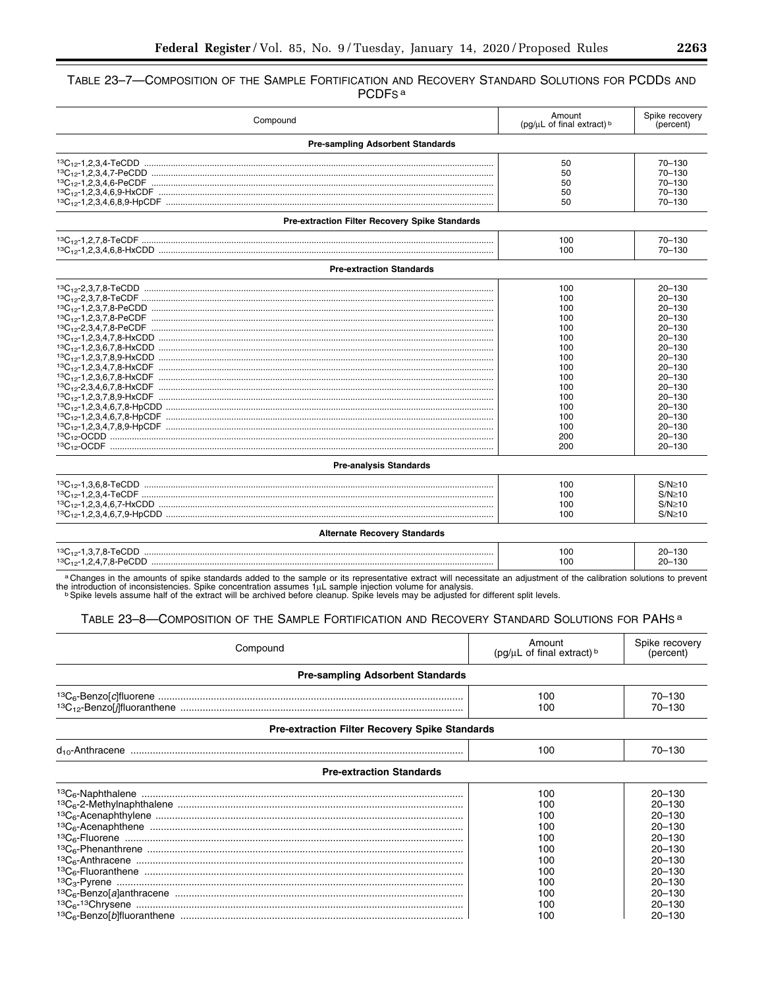# TABLE 23-7-COMPOSITION OF THE SAMPLE FORTIFICATION AND RECOVERY STANDARD SOLUTIONS FOR PCDDS AND PCDF<sub>S</sub><sup>a</sup>

| Compound                                       | Amount<br>(pq/uL of final extract) b                                                                                | Spike recovery<br>(percent)                                                                                                                                                                                                                |
|------------------------------------------------|---------------------------------------------------------------------------------------------------------------------|--------------------------------------------------------------------------------------------------------------------------------------------------------------------------------------------------------------------------------------------|
| <b>Pre-sampling Adsorbent Standards</b>        |                                                                                                                     |                                                                                                                                                                                                                                            |
|                                                | 50<br>50<br>50<br>50<br>50                                                                                          | $70 - 130$<br>$70 - 130$<br>$70 - 130$<br>$70 - 130$<br>$70 - 130$                                                                                                                                                                         |
| Pre-extraction Filter Recovery Spike Standards |                                                                                                                     |                                                                                                                                                                                                                                            |
|                                                | 100<br>100                                                                                                          | 70-130<br>$70 - 130$                                                                                                                                                                                                                       |
| <b>Pre-extraction Standards</b>                |                                                                                                                     |                                                                                                                                                                                                                                            |
|                                                | 100<br>100<br>100<br>100<br>100<br>100<br>100<br>100<br>100<br>100<br>100<br>100<br>100<br>100<br>100<br>200<br>200 | $20 - 130$<br>$20 - 130$<br>$20 - 130$<br>$20 - 130$<br>$20 - 130$<br>$20 - 130$<br>$20 - 130$<br>$20 - 130$<br>$20 - 130$<br>$20 - 130$<br>$20 - 130$<br>$20 - 130$<br>$20 - 130$<br>$20 - 130$<br>$20 - 130$<br>$20 - 130$<br>$20 - 130$ |
| <b>Pre-analysis Standards</b>                  |                                                                                                                     |                                                                                                                                                                                                                                            |
| <b>Alternate Recovery Standards</b>            | 100<br>100<br>100<br>100                                                                                            | $S/N \geq 10$<br>$S/N \geq 10$<br>$S/N \geq 10$<br>$S/N \geq 10$                                                                                                                                                                           |
|                                                | 100<br>100                                                                                                          | $20 - 130$<br>$20 - 130$                                                                                                                                                                                                                   |

a Changes in the amounts of spike standards added to the sample or its representative extract will necessitate an adjustment of the calibration solutions to prevent<br>the introduction of inconsistencies. Spike concentration

# TABLE 23-8-COMPOSITION OF THE SAMPLE FORTIFICATION AND RECOVERY STANDARD SOLUTIONS FOR PAHS<sup>a</sup>

| Compound                                              | Amount<br>( $pq/uL$ of final extract) $b$                   | Spike recovery<br>(percent)                                                                                                |
|-------------------------------------------------------|-------------------------------------------------------------|----------------------------------------------------------------------------------------------------------------------------|
| <b>Pre-sampling Adsorbent Standards</b>               |                                                             |                                                                                                                            |
|                                                       | 100<br>100                                                  | 70-130<br>70-130                                                                                                           |
| <b>Pre-extraction Filter Recovery Spike Standards</b> |                                                             |                                                                                                                            |
|                                                       | 100                                                         | 70-130                                                                                                                     |
| <b>Pre-extraction Standards</b>                       |                                                             |                                                                                                                            |
|                                                       | 100<br>100<br>100<br>100<br>100<br>100<br>100<br>100<br>100 | $20 - 130$<br>$20 - 130$<br>$20 - 130$<br>$20 - 130$<br>$20 - 130$<br>$20 - 130$<br>$20 - 130$<br>$20 - 130$<br>$20 - 130$ |
|                                                       | 100<br>100<br>100                                           | $20 - 130$<br>$20 - 130$<br>$20 - 130$                                                                                     |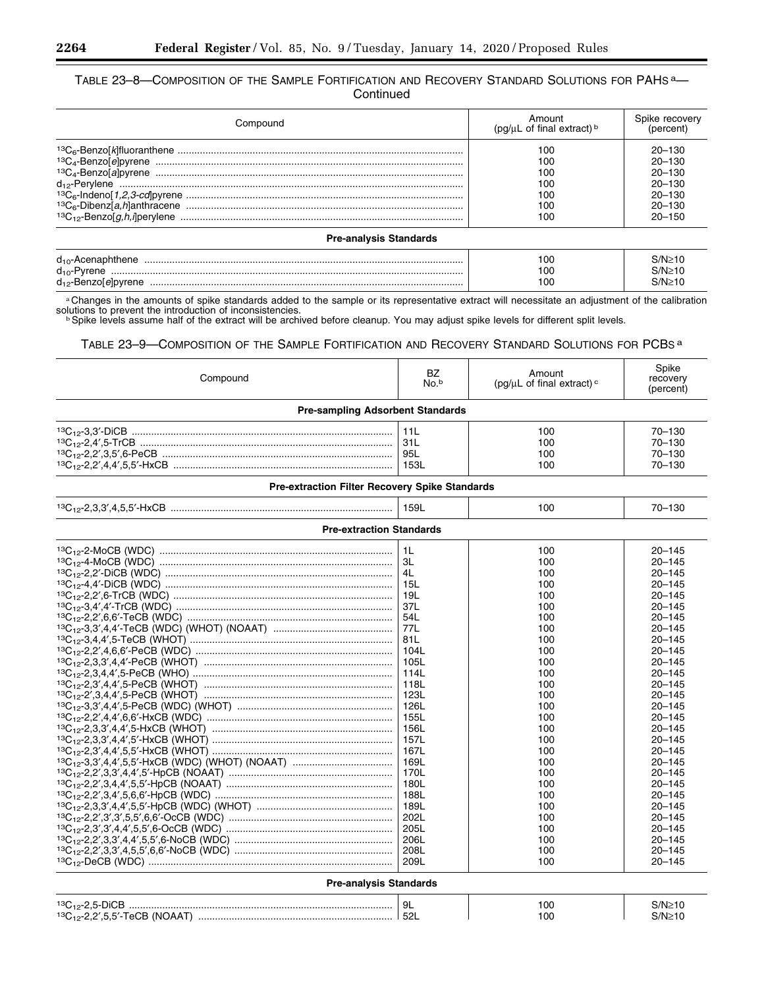# TABLE 23–8—COMPOSITION OF THE SAMPLE FORTIFICATION AND RECOVERY STANDARD SOLUTIONS FOR PAHS a— **Continued**

| Compound | Amount<br>( $pq/µL$ of final extract) $b$ | Spike recovery<br>(percent) |
|----------|-------------------------------------------|-----------------------------|
|          | 10C                                       | $20 - 130$                  |
|          | 10C                                       | $20 - 130$                  |
|          | 100                                       | $20 - 130$                  |
|          | 10C                                       | $20 - 130$                  |
|          | 100                                       | 20-130                      |
|          | 10C                                       | $20 - 130$                  |
|          | 10C                                       | $20 - 150$                  |

# **Pre-analysis Standards**

| $d_{10}$ -Ac | 100 |  |
|--------------|-----|--|
| $d_{10}$ -F  | 100 |  |
| die Beri     | 100 |  |

a Changes in the amounts of spike standards added to the sample or its representative extract will necessitate an adjustment of the calibration solutions to prevent the introduction of inconsistencies.<br>b Spike levels assume half of the extract will be archived before cleanup. You may adjust spike levels for different split levels.

# TABLE 23–9—COMPOSITION OF THE SAMPLE FORTIFICATION AND RECOVERY STANDARD SOLUTIONS FOR PCBS a

| Compound                                       | BZ<br>No. <sup>b</sup>                                                                                                                                                                                                   | Amount<br>(pg/ $\mu$ L of final extract) <sup>c</sup>                                                                                                                                                   | Spike<br>recovery<br>(percent)                                                                                                                                                                                                                                                                                                                                                                                     |
|------------------------------------------------|--------------------------------------------------------------------------------------------------------------------------------------------------------------------------------------------------------------------------|---------------------------------------------------------------------------------------------------------------------------------------------------------------------------------------------------------|--------------------------------------------------------------------------------------------------------------------------------------------------------------------------------------------------------------------------------------------------------------------------------------------------------------------------------------------------------------------------------------------------------------------|
| <b>Pre-sampling Adsorbent Standards</b>        |                                                                                                                                                                                                                          |                                                                                                                                                                                                         |                                                                                                                                                                                                                                                                                                                                                                                                                    |
|                                                | 11L<br>31L<br>95L<br>153L                                                                                                                                                                                                | 100<br>100<br>100<br>100                                                                                                                                                                                | $70 - 130$<br>$70 - 130$<br>$70 - 130$<br>70-130                                                                                                                                                                                                                                                                                                                                                                   |
| Pre-extraction Filter Recovery Spike Standards |                                                                                                                                                                                                                          |                                                                                                                                                                                                         |                                                                                                                                                                                                                                                                                                                                                                                                                    |
|                                                | 159L                                                                                                                                                                                                                     | 100                                                                                                                                                                                                     | $70 - 130$                                                                                                                                                                                                                                                                                                                                                                                                         |
| <b>Pre-extraction Standards</b>                |                                                                                                                                                                                                                          |                                                                                                                                                                                                         |                                                                                                                                                                                                                                                                                                                                                                                                                    |
|                                                | 1L<br>ЗL<br>4L<br>15L<br>19L<br>37L<br>54L<br>77L<br>81L<br>104L<br>105L<br>114L<br>118L<br>123L<br>126L<br>155L<br>156L<br>157L<br>167L<br>169L<br>170L<br>180L<br>188L<br>189L<br>202L<br>205L<br>206L<br>208L<br>209L | 100<br>100<br>100<br>100<br>100<br>100<br>100<br>100<br>100<br>100<br>100<br>100<br>100<br>100<br>100<br>100<br>100<br>100<br>100<br>100<br>100<br>100<br>100<br>100<br>100<br>100<br>100<br>100<br>100 | $20 - 145$<br>$20 - 145$<br>$20 - 145$<br>$20 - 145$<br>$20 - 145$<br>$20 - 145$<br>$20 - 145$<br>$20 - 145$<br>$20 - 145$<br>$20 - 145$<br>$20 - 145$<br>$20 - 145$<br>$20 - 145$<br>$20 - 145$<br>$20 - 145$<br>$20 - 145$<br>$20 - 145$<br>$20 - 145$<br>$20 - 145$<br>$20 - 145$<br>$20 - 145$<br>$20 - 145$<br>$20 - 145$<br>$20 - 145$<br>$20 - 145$<br>$20 - 145$<br>$20 - 145$<br>$20 - 145$<br>$20 - 145$ |
| <b>Pre-analysis Standards</b>                  |                                                                                                                                                                                                                          |                                                                                                                                                                                                         |                                                                                                                                                                                                                                                                                                                                                                                                                    |
|                                                | 9L                                                                                                                                                                                                                       | 100<br>100                                                                                                                                                                                              | $S/N \geq 10$<br>$S/N \geq 10$                                                                                                                                                                                                                                                                                                                                                                                     |

п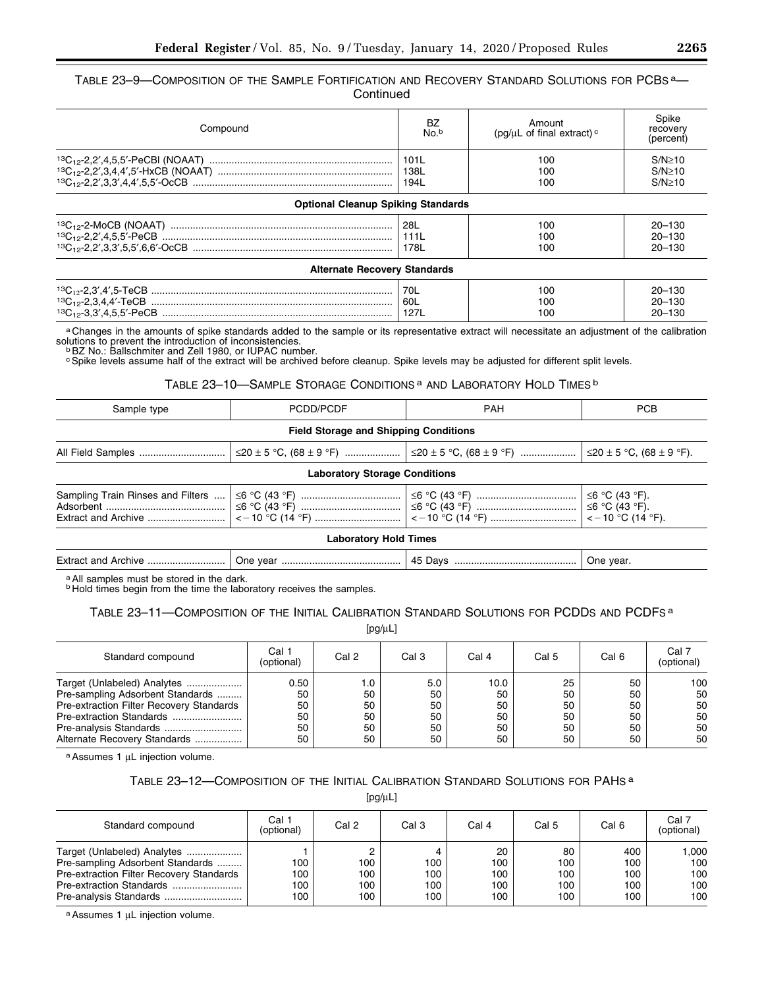TABLE 23-9-COMPOSITION OF THE SAMPLE FORTIFICATION AND RECOVERY STANDARD SOLUTIONS FOR PCBS<sup>a</sup>-**Continued** 

| Compound                                  | BZ<br>No. <sup>b</sup> | Amount<br>(pq/ $\mu$ L of final extract) <sup>c</sup> | Spike<br>recovery<br>(percent) |
|-------------------------------------------|------------------------|-------------------------------------------------------|--------------------------------|
|                                           | 101L                   | 100                                                   | $S/N \geq 10$                  |
|                                           | 138L                   | 100                                                   | $S/N \geq 10$                  |
|                                           | 194L                   | 100                                                   | $S/N \geq 10$                  |
| <b>Optional Cleanup Spiking Standards</b> |                        |                                                       |                                |
|                                           | 28L                    | 100                                                   | $20 - 130$                     |
|                                           | 111L                   | 100                                                   | $20 - 130$                     |
|                                           | 178L                   | 100                                                   | $20 - 130$                     |
| <b>Alternate Recovery Standards</b>       |                        |                                                       |                                |
|                                           | 70L                    | 100                                                   | $20 - 130$                     |
|                                           | 60L                    | 100                                                   | $20 - 130$                     |
|                                           | 127L                   | 100                                                   | $20 - 130$                     |

a Changes in the amounts of spike standards added to the sample or its representative extract will necessitate an adjustment of the calibration

solutions to prevent the introduction of inconsistencies.<br>bBZ No.: Ballschmiter and Zell 1980, or IUPAC number.<br>°Spike levels assume half of the extract will be archived before cleanup. Spike levels may be adjusted for dif

# TABLE 23-10-SAMPLE STORAGE CONDITIONS<sup>a</sup> AND LABORATORY HOLD TIMES<sup>b</sup>

| Sample type                                  | PCDD/PCDF                            | <b>PAH</b>                                                                                                       | <b>PCB</b> |  |  |  |
|----------------------------------------------|--------------------------------------|------------------------------------------------------------------------------------------------------------------|------------|--|--|--|
| <b>Field Storage and Shipping Conditions</b> |                                      |                                                                                                                  |            |  |  |  |
|                                              |                                      | $\vert$ ≤20 ± 5 °C, (68 ± 9 °F) ………………… $\vert$ ≤20 ± 5 °C, (68 ± 9 °F) ………………… $\vert$ ≤20 ± 5 °C, (68 ± 9 °F). |            |  |  |  |
|                                              | <b>Laboratory Storage Conditions</b> |                                                                                                                  |            |  |  |  |
|                                              | Lahoratory Hold Times                | │ <一10 °C (14 °F)  │ <一10 °C (14 °F)  │ <一10 °C (14 °F).                                                         |            |  |  |  |

#### **Laboratory Hold Times**

| Extr | . JN'<br>.car<br>___ | av s<br>21 F<br>$\sim$ | . Jne<br>ear<br>.<br>$\sim$ |
|------|----------------------|------------------------|-----------------------------|
|      |                      |                        |                             |

a All samples must be stored in the dark.<br><sup>b</sup> Hold times begin from the time the laboratory receives the samples.

# TABLE 23-11-COMPOSITION OF THE INITIAL CALIBRATION STANDARD SOLUTIONS FOR PCDDS AND PCDFS<sup>a</sup>

 $[pg/\mu L]$ 

| Standard compound                        | Cal 1<br>(optional) | Cal 2 | Cal 3 | Cal 4 | Cal 5 | Cal 6 | Cal 7<br>(optional) |
|------------------------------------------|---------------------|-------|-------|-------|-------|-------|---------------------|
| Target (Unlabeled) Analytes              | 0.50                | 1.0   | 5.0   | 10.0  | 25    | 50    | 100                 |
| Pre-sampling Adsorbent Standards         | 50                  | 50    | 50    | 50    | 50    | 50    | 50                  |
| Pre-extraction Filter Recovery Standards | 50                  | 50    | 50    | 50    | 50    | 50    | 50                  |
| Pre-extraction Standards                 | 50                  | 50    | 50    | 50    | 50    | 50    | 50                  |
|                                          | 50                  | 50    | 50    | 50    | 50    | 50    | 50                  |
| Alternate Recovery Standards             | 50                  | 50    | 50    | 50    | 50    | 50    | 50                  |

a Assumes 1 μL injection volume.

# TABLE 23–12—COMPOSITION OF THE INITIAL CALIBRATION STANDARD SOLUTIONS FOR PAHS a

[pg/μL]

| Standard compound                                                                                           | Cal 1<br>(optional)      | Cal 2                         | Cal 3                    | Cal 4                          | Cal 5                          | Cal 6                           | Cal 7<br>(optional)              |
|-------------------------------------------------------------------------------------------------------------|--------------------------|-------------------------------|--------------------------|--------------------------------|--------------------------------|---------------------------------|----------------------------------|
| Target (Unlabeled) Analytes<br>Pre-sampling Adsorbent Standards<br>Pre-extraction Filter Recovery Standards | 100<br>100<br>100<br>100 | 2<br>100<br>100<br>100<br>100 | 100<br>100<br>100<br>100 | 20<br>100<br>100<br>100<br>100 | 80<br>100<br>100<br>100<br>100 | 400<br>100<br>100<br>100<br>100 | .000<br>100<br>100<br>100<br>100 |

a Assumes 1 μL injection volume.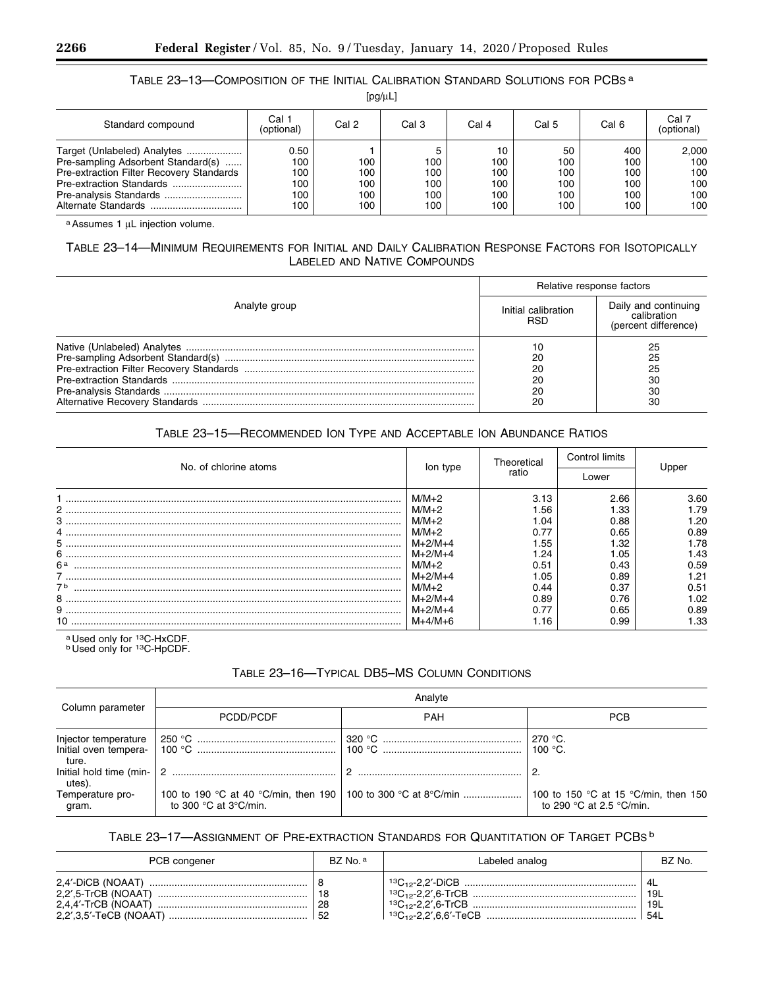# TABLE 23–13—COMPOSITION OF THE INITIAL CALIBRATION STANDARD SOLUTIONS FOR PCBS a

| $[pg/\mu L]$ |  |  |
|--------------|--|--|
|              |  |  |

| Standard compound                                                                                                                         | Cal 1<br>(optional)                     | Cal 2                           | Cal 3                           | Cal 4                                 | Cal 5                                 | Cal 6                                  | Cal 7<br>(optional)                      |
|-------------------------------------------------------------------------------------------------------------------------------------------|-----------------------------------------|---------------------------------|---------------------------------|---------------------------------------|---------------------------------------|----------------------------------------|------------------------------------------|
| Target (Unlabeled) Analytes<br>Pre-sampling Adsorbent Standard(s)<br>Pre-extraction Filter Recovery Standards<br>Pre-extraction Standards | 0.50<br>100<br>100<br>100<br>100<br>100 | 100<br>100<br>100<br>100<br>100 | 100<br>100<br>100<br>100<br>100 | 10<br>100<br>100<br>100<br>100<br>100 | 50<br>100<br>100<br>100<br>100<br>100 | 400<br>100<br>100<br>100<br>100<br>100 | 2,000<br>100<br>100<br>100<br>100<br>100 |

a Assumes 1 μL injection volume.

# TABLE 23–14—MINIMUM REQUIREMENTS FOR INITIAL AND DAILY CALIBRATION RESPONSE FACTORS FOR ISOTOPICALLY LABELED AND NATIVE COMPOUNDS

|               | Relative response factors  |                                                             |  |
|---------------|----------------------------|-------------------------------------------------------------|--|
| Analyte group | Initial calibration<br>RSD | Daily and continuing<br>calibration<br>(percent difference) |  |
|               | 20<br>20<br>20<br>20<br>20 | 25<br>25<br>25<br>30<br>30<br>30                            |  |

# TABLE 23–15—RECOMMENDED ION TYPE AND ACCEPTABLE ION ABUNDANCE RATIOS

| No. of chlorine atoms                                                                                                                                                                                                                                                                                                                                                                                      |                        | Theoretical  | Control limits | - Inner      |
|------------------------------------------------------------------------------------------------------------------------------------------------------------------------------------------------------------------------------------------------------------------------------------------------------------------------------------------------------------------------------------------------------------|------------------------|--------------|----------------|--------------|
|                                                                                                                                                                                                                                                                                                                                                                                                            | lon type               | ratio        | Lower          |              |
|                                                                                                                                                                                                                                                                                                                                                                                                            | $M/M+2$<br>$M/M+2$     | 3.13<br>1.56 | 2.66<br>1.33   | 3.60<br>1.79 |
| $3 \, \, \ldots \, \, \ldots \, \, \ldots \, \, \, \ldots \, \, \, \ldots \, \, \, \ldots \, \, \, \ldots \, \, \, \ldots \, \, \, \ldots \, \, \, \ldots \, \, \, \ldots \, \, \, \ldots \, \, \, \ldots \, \, \, \ldots \, \, \, \ldots \, \, \, \ldots \, \, \, \ldots \, \, \, \ldots \, \, \, \ldots \, \, \, \ldots \, \, \, \ldots \, \, \, \ldots \, \, \, \ldots \, \, \ldots \, \, \ldots \, \,$ | $M/M+2$<br>$M/M+2$     | 1.04<br>0.77 | 0.88<br>0.65   | 1.20<br>0.89 |
|                                                                                                                                                                                                                                                                                                                                                                                                            | $M+2/M+4$              | 1.55         | 1.32           | 1.78         |
| 6 <sup>a</sup>                                                                                                                                                                                                                                                                                                                                                                                             | $M+2/M+4$<br>$M/M+2$   | 1.24<br>0.51 | .05<br>0.43    | 1.43<br>0.59 |
| 7 <sup>b</sup>                                                                                                                                                                                                                                                                                                                                                                                             | $M+2/M+4$<br>$M/M+2$   | 1.05<br>0.44 | 0.89<br>0.37   | 1.21<br>0.51 |
|                                                                                                                                                                                                                                                                                                                                                                                                            | $M+2/M+4$              | 0.89         | 0.76           | 1.02         |
|                                                                                                                                                                                                                                                                                                                                                                                                            | $M+2/M+4$<br>$M+4/M+6$ | 0.77<br>1.16 | 0.65<br>0.99   | 0.89<br>1.33 |

a Used only for <sup>13</sup>C-HxCDF.<br><sup>b</sup> Used only for <sup>13</sup>C-HpCDF.

# TABLE 23–16—TYPICAL DB5–MS COLUMN CONDITIONS

|                                                        | Analyte                                  |            |                                                                                    |  |  |  |
|--------------------------------------------------------|------------------------------------------|------------|------------------------------------------------------------------------------------|--|--|--|
| Column parameter                                       | PCDD/PCDF                                | <b>PAH</b> | <b>PCB</b>                                                                         |  |  |  |
| Injector temperature<br>Initial oven tempera-<br>ture. | 250 °C ……………………………………………                 |            | 270 °C.<br>100 $^{\circ}$ C.                                                       |  |  |  |
| Initial hold time (min-<br>utes).                      |                                          |            |                                                                                    |  |  |  |
| Temperature pro-<br>gram.                              | to 300 $\degree$ C at 3 $\degree$ C/min. |            | 100 to 150 °C at 15 °C/min, then 150<br>to 290 $\degree$ C at 2.5 $\degree$ C/min. |  |  |  |

# TABLE 23–17—ASSIGNMENT OF PRE-EXTRACTION STANDARDS FOR QUANTITATION OF TARGET PCBS b

| PCB congener | BZ No. a  | Labeled analog | BZ No.                    |
|--------------|-----------|----------------|---------------------------|
|              | 28<br>-52 |                | ' 4L<br>19L<br>19L<br>541 |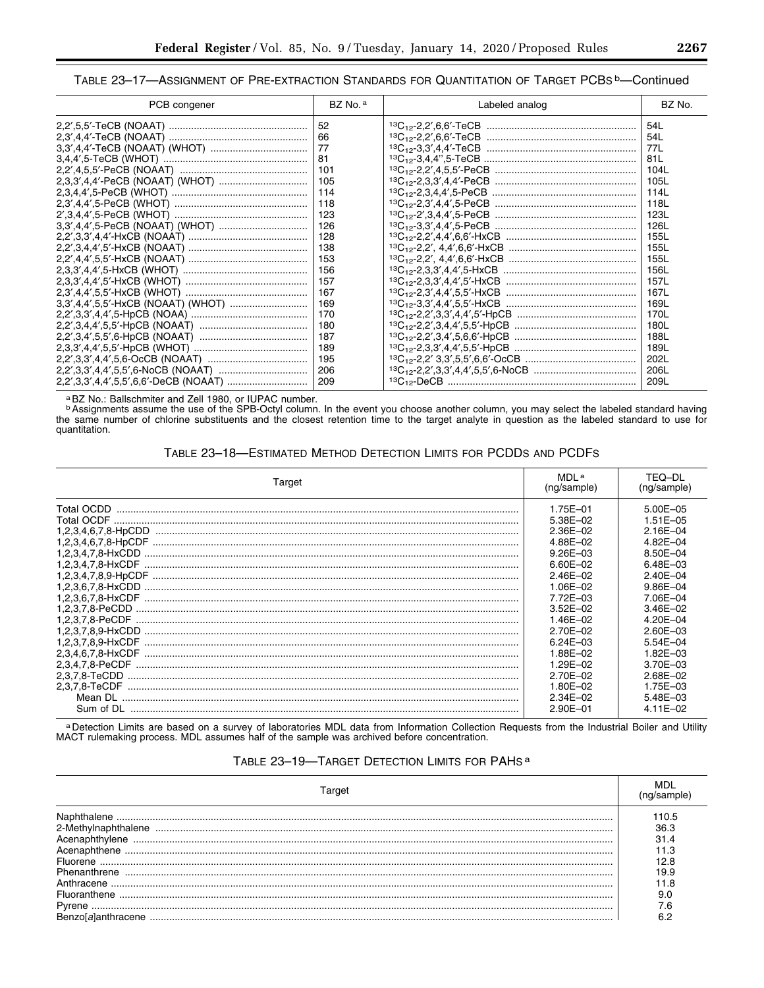# TABLE 23-17-ASSIGNMENT OF PRE-EXTRACTION STANDARDS FOR QUANTITATION OF TARGET PCBS b-Continued

| PCB congener | BZ No. a | Labeled analog | BZ No. |
|--------------|----------|----------------|--------|
|              | 52       |                | 54L    |
|              | 66       |                | 54L    |
|              | -77      |                | 77L    |
|              | 81       |                | 81L    |
|              | 101      |                | 104L   |
|              | 105      |                | 105L   |
|              | 114      |                | 114L   |
|              | 118      |                | 118L   |
|              | 123      |                | 123L   |
|              | 126      |                | 126L   |
|              | 128      |                | 155L   |
|              | 138      |                | 155L   |
|              | 153      |                | 155L   |
|              | 156      |                | 156L   |
|              | 157      |                | 157L   |
|              | 167      |                | 167L   |
|              | 169      |                | 169L   |
|              | 170      |                | 170L   |
|              | 180      |                | 180L   |
|              | 187      |                | 188L   |
|              | 189      |                | 189L   |
|              | 195      |                | 202L   |
|              | 206      |                | 206L   |
|              | 209      |                | 209L   |

a BZ No.: Ballschmiter and Zell 1980, or IUPAC number.<br>
<sup>b</sup> Assignments assume the use of the SPB-Octyl column. In the event you choose another column, you may select the labeled standard having<br>
the same number of chlorin

# TABLE 23-18-ESTIMATED METHOD DETECTION LIMITS FOR PCDDS AND PCDFS

| Target    | MDL <sup>a</sup><br>(ng/sample) | TEQ-DL<br>(ng/sample) |  |
|-----------|---------------------------------|-----------------------|--|
|           | 1.75E-01                        | $5.00E - 05$          |  |
|           | 5.38E-02                        | $1.51E - 05$          |  |
|           | $2.36E - 02$                    | $2.16E - 04$          |  |
|           | 4.88E-02                        | 4.82E-04              |  |
|           | 9.26E-03                        | 8.50E-04              |  |
|           | 6.60E-02                        | $6.48E - 03$          |  |
|           | $2.46E - 02$                    | $2.40E - 04$          |  |
|           | $1.06E - 02$                    | $9.86E - 04$          |  |
|           | 7.72E-03                        | 7.06E-04              |  |
|           | $3.52E - 02$                    | $3.46E - 02$          |  |
|           | $1.46E - 02$                    | 4.20E-04              |  |
|           | 2.70E-02                        | $2.60E - 03$          |  |
|           | $6.24E - 03$                    | $5.54E - 04$          |  |
|           | 1.88E-02                        | 1.82E-03              |  |
|           | 1.29E-02                        | $3.70E - 03$          |  |
|           | 2.70E-02                        | $2.68E - 02$          |  |
|           | 1.80E-02                        | 1.75E-03              |  |
|           | $2.34E - 02$                    | $5.48E - 03$          |  |
| Sum of DL | $2.90E - 01$                    | $4.11E - 02$          |  |

a Detection Limits are based on a survey of laboratories MDL data from Information Collection Requests from the Industrial Boiler and Utility MACT rulemaking process. MDL assumes half of the sample was archived before conc

# TABLE 23-19-TARGET DETECTION LIMITS FOR PAHS<sup>a</sup>

| Target       |               |  |  |  |
|--------------|---------------|--|--|--|
|              | 110.5<br>36.3 |  |  |  |
|              |               |  |  |  |
|              |               |  |  |  |
|              | 12 R          |  |  |  |
| Phenanthrene | 19.9<br>1 R   |  |  |  |
| Fluoranthene | 9.0           |  |  |  |
|              |               |  |  |  |
|              |               |  |  |  |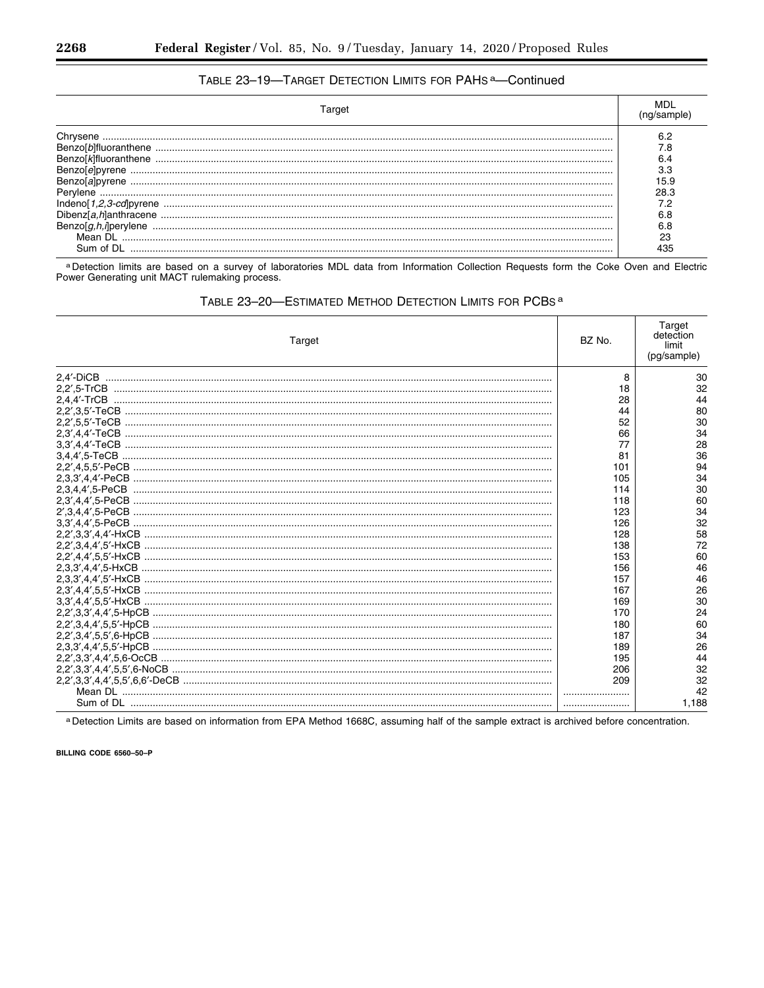# TABLE 23-19-TARGET DETECTION LIMITS FOR PAHS<sup>a</sup>-Continued

| olbifluoranthene<br>Indenol 1,2,3-cdlpyrene<br>Mean DI<br>∖⊔m of DI | 15.9<br>28.3<br>72<br>ิ คล<br>23 |
|---------------------------------------------------------------------|----------------------------------|

a Detection limits are based on a survey of laboratories MDL data from Information Collection Requests form the Coke Oven and Electric<br>Power Generating unit MACT rulemaking process.

# TABLE 23-20-ESTIMATED METHOD DETECTION LIMITS FOR PCBS<sup>a</sup>

| Target | BZ No. | Target<br>detection<br>limit<br>(pg/sample) |
|--------|--------|---------------------------------------------|
|        | 8      | 30                                          |
|        | 18     | 32                                          |
|        | 28     | 44                                          |
|        | 44     | 80                                          |
|        | 52     | 30                                          |
|        | 66     | 34                                          |
|        | 77     | 28                                          |
|        | 81     | 36                                          |
|        | 101    | 94                                          |
|        | 105    | 34                                          |
|        | 114    | 30                                          |
|        | 118    | 60                                          |
|        | 123    | 34                                          |
|        | 126    | 32                                          |
|        | 128    | 58                                          |
|        | 138    | 72                                          |
|        | 153    | 60                                          |
|        | 156    | 46                                          |
|        | 157    | 46                                          |
|        | 167    | 26                                          |
|        | 169    | 30                                          |
|        | 170    | 24                                          |
|        | 180    | 60                                          |
|        | 187    | 34                                          |
|        | 189    | 26                                          |
|        | 195    | 44                                          |
|        | 206    | 32                                          |
|        | 209    | 32                                          |
|        |        | 42                                          |
|        |        | 1,188                                       |

a Detection Limits are based on information from EPA Method 1668C, assuming half of the sample extract is archived before concentration.

BILLING CODE 6560-50-P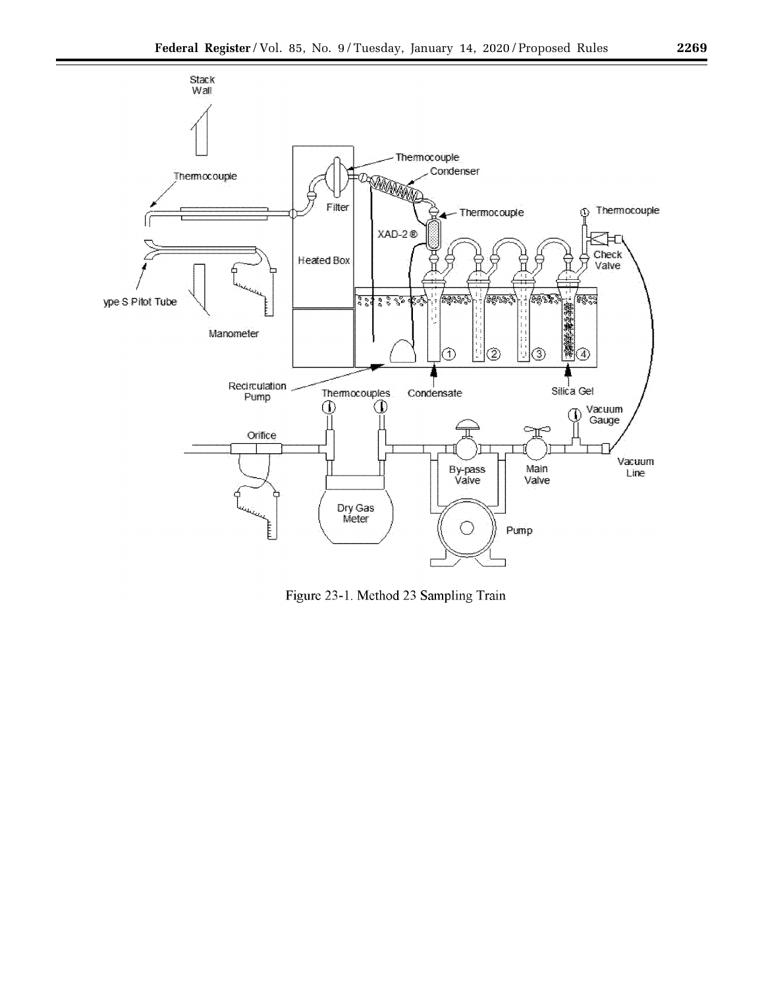



Figure 23-1. Method 23 Sampling Train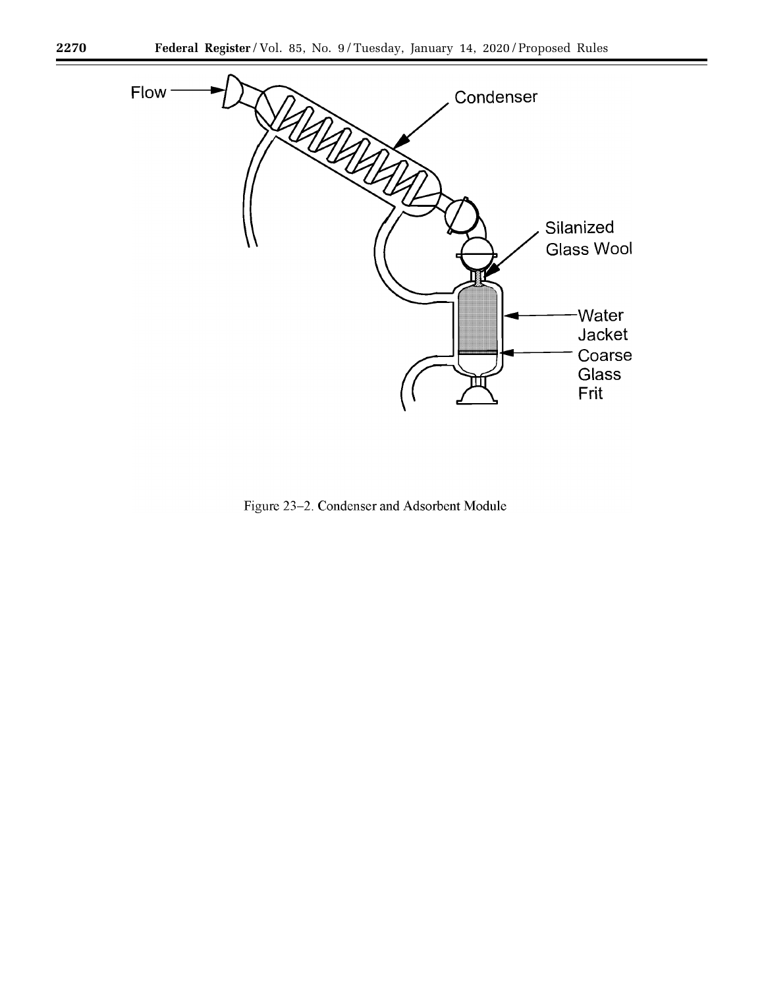

Figure 23-2. Condenser and Adsorbent Module

-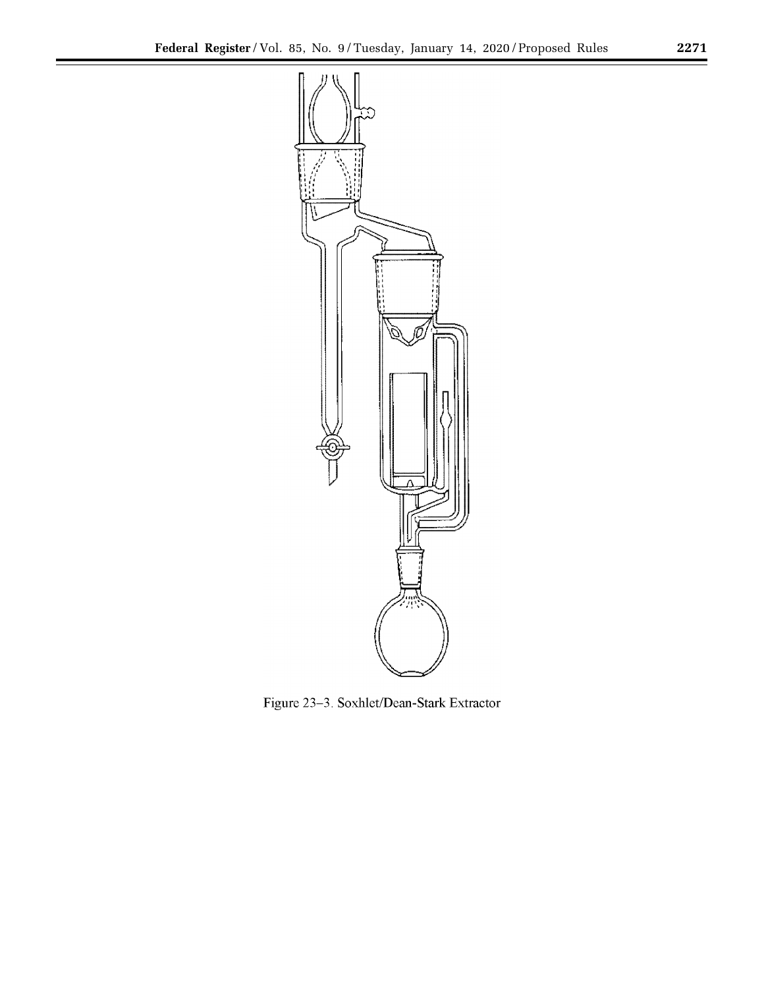

Figure 23-3. Soxhlet/Dean-Stark Extractor

t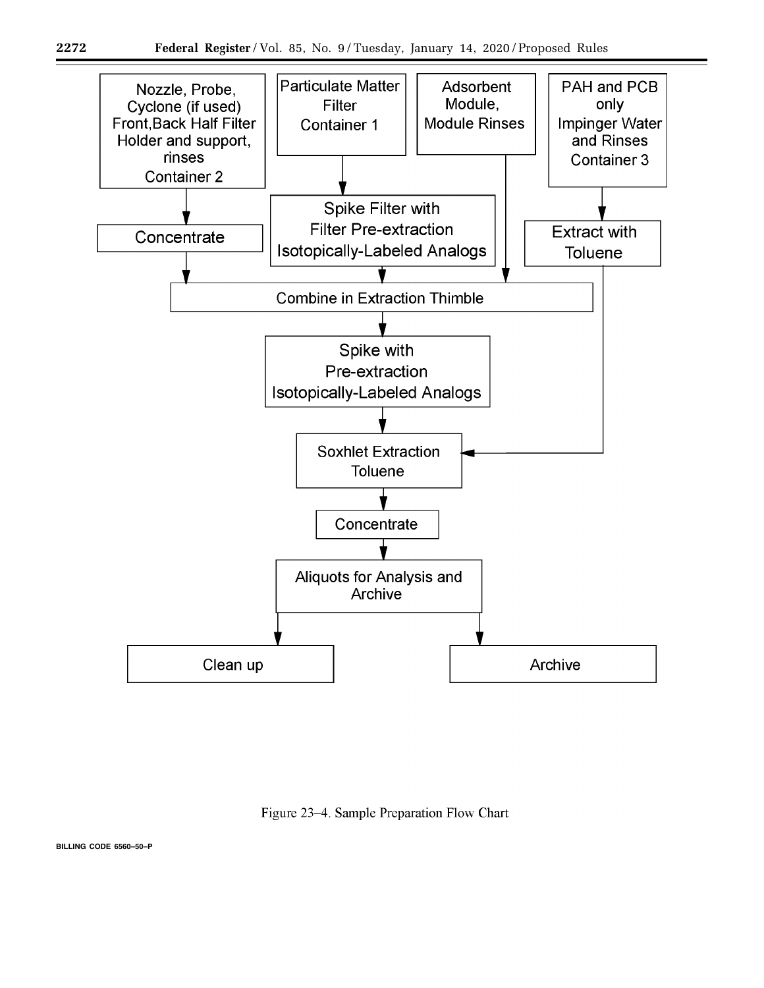

Figure 23-4. Sample Preparation Flow Chart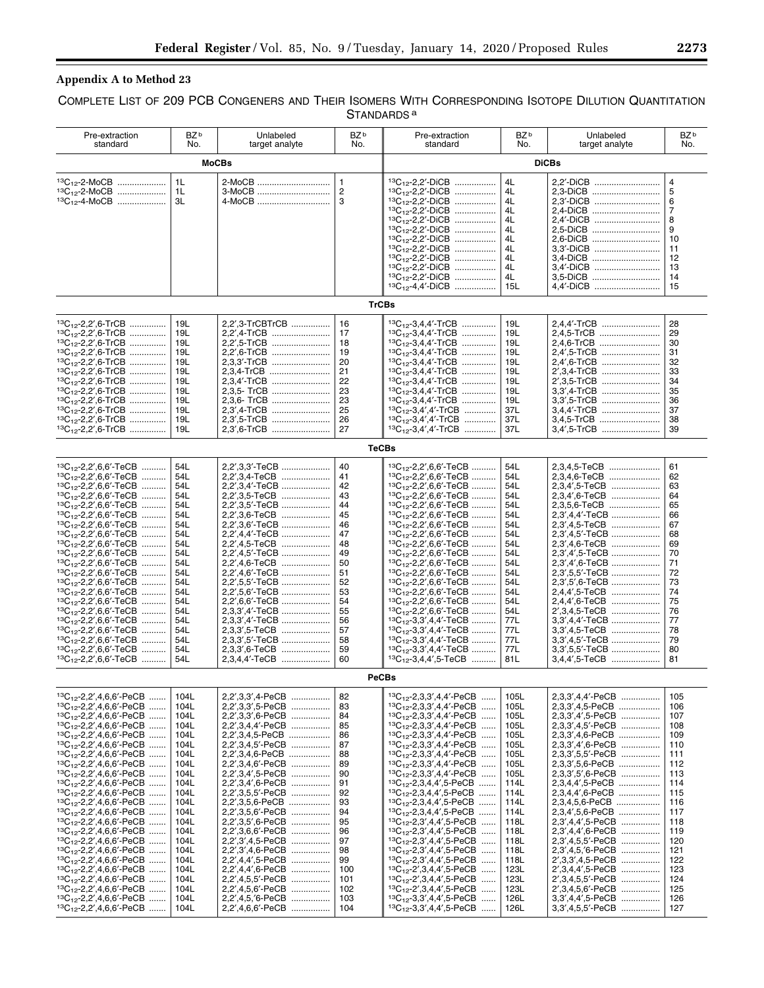# **Appendix A to Method 23**

# COMPLETE LIST OF 209 PCB CONGENERS AND THEIR ISOMERS WITH CORRESPONDING ISOTOPE DILUTION QUANTITATION STANDARDS<sup>a</sup>

| Pre-extraction<br>standard                                                                                                                                                                                                                                                                                                                                                                                                                                                                                                                                                                                                                                                                                                                                                                                                                                                                                                     | BZ <sup>b</sup><br>No.                                                                                                                                                       | Unlabeled<br>target analyte                                                                                                                                                                                                                                                                                                                                                                                                                                                                                  | BZ <sup>b</sup><br>No.                                                                                                               | Pre-extraction<br>standard                                                                                                                                                                                                                                                                                                                                                                                                                                                                                                                                                                                                                                                                                                                                                                                                                                                                                                                                 | BZ <sup>b</sup><br>No.                                                                                                                                                       | Unlabeled<br>target analyte                                                                                                                                                                                                                                                                                                                                                                                                                                                                         | BZ <sup>b</sup><br>No.                                                                                                                                 |
|--------------------------------------------------------------------------------------------------------------------------------------------------------------------------------------------------------------------------------------------------------------------------------------------------------------------------------------------------------------------------------------------------------------------------------------------------------------------------------------------------------------------------------------------------------------------------------------------------------------------------------------------------------------------------------------------------------------------------------------------------------------------------------------------------------------------------------------------------------------------------------------------------------------------------------|------------------------------------------------------------------------------------------------------------------------------------------------------------------------------|--------------------------------------------------------------------------------------------------------------------------------------------------------------------------------------------------------------------------------------------------------------------------------------------------------------------------------------------------------------------------------------------------------------------------------------------------------------------------------------------------------------|--------------------------------------------------------------------------------------------------------------------------------------|------------------------------------------------------------------------------------------------------------------------------------------------------------------------------------------------------------------------------------------------------------------------------------------------------------------------------------------------------------------------------------------------------------------------------------------------------------------------------------------------------------------------------------------------------------------------------------------------------------------------------------------------------------------------------------------------------------------------------------------------------------------------------------------------------------------------------------------------------------------------------------------------------------------------------------------------------------|------------------------------------------------------------------------------------------------------------------------------------------------------------------------------|-----------------------------------------------------------------------------------------------------------------------------------------------------------------------------------------------------------------------------------------------------------------------------------------------------------------------------------------------------------------------------------------------------------------------------------------------------------------------------------------------------|--------------------------------------------------------------------------------------------------------------------------------------------------------|
|                                                                                                                                                                                                                                                                                                                                                                                                                                                                                                                                                                                                                                                                                                                                                                                                                                                                                                                                | <b>MoCBs</b><br><b>DiCBs</b>                                                                                                                                                 |                                                                                                                                                                                                                                                                                                                                                                                                                                                                                                              |                                                                                                                                      |                                                                                                                                                                                                                                                                                                                                                                                                                                                                                                                                                                                                                                                                                                                                                                                                                                                                                                                                                            |                                                                                                                                                                              |                                                                                                                                                                                                                                                                                                                                                                                                                                                                                                     |                                                                                                                                                        |
| $^{13}C_{12}$ -2-MoCB<br>$^{13}C_{12}$ -2-MoCB<br>$^{13}C_{12}$ -4-MoCB                                                                                                                                                                                                                                                                                                                                                                                                                                                                                                                                                                                                                                                                                                                                                                                                                                                        | 1 <sub>L</sub><br>1L<br>3L                                                                                                                                                   | 2-MoCB<br>3-MoCB<br>4-MoCB                                                                                                                                                                                                                                                                                                                                                                                                                                                                                   | $\mathbf{1}$<br>$\overline{2}$<br>3                                                                                                  | $13C_{12} - 2.2' - DiCB$<br>$13C_{12} - 2.2' - DICB$<br>13C <sub>12</sub> -2,2'-DiCB<br>$13C_{12} - 2.2' - DICB$<br><sup>13</sup> C <sub>12</sub> -2,2'-DiCB<br>${}^{13}C_{12}$ -2,2'-DiCB<br>$13C_{12} - 2.2' - DiCB$<br>${}^{13}C_{12}$ -2,2'-DiCB<br><sup>13</sup> C <sub>12</sub> -2,2'-DiCB<br>${}^{13}C_{12}$ -2,2'-DiCB<br><sup>13</sup> C <sub>12</sub> -2,2'-DiCB<br>$13C_{12} - 4.4' - DICB$                                                                                                                                                                                                                                                                                                                                                                                                                                                                                                                                                     | 4L<br>4L<br>4L<br>4L<br>4L<br>4L<br>4L<br>4L<br>4L<br>4L<br>4L<br>15L                                                                                                        | 2.2'-DICB<br>2,3-DiCB<br>2.3'-DICB<br>2.4-DICB<br>2.4'-DICB<br>2.5-DICB<br>2.6-DiCB<br>3.3'-DICB<br>3.4-DICB<br>3.4'-DiCB<br>3.5-DICB<br>4.4'-DiCB                                                                                                                                                                                                                                                                                                                                                  | $\overline{4}$<br>5<br>6<br>$\overline{7}$<br>8<br>9<br>10<br>11<br>12<br>13<br>14<br>15                                                               |
|                                                                                                                                                                                                                                                                                                                                                                                                                                                                                                                                                                                                                                                                                                                                                                                                                                                                                                                                |                                                                                                                                                                              |                                                                                                                                                                                                                                                                                                                                                                                                                                                                                                              | <b>TrCBs</b>                                                                                                                         |                                                                                                                                                                                                                                                                                                                                                                                                                                                                                                                                                                                                                                                                                                                                                                                                                                                                                                                                                            |                                                                                                                                                                              |                                                                                                                                                                                                                                                                                                                                                                                                                                                                                                     |                                                                                                                                                        |
| ${}^{13}C_{12}$ -2,2',6-TrCB<br>${}^{13}C_{12}$ -2,2',6-TrCB<br>.<br>${}^{13}C_{12}$ -2,2',6-TrCB<br>$^{13}C_{12}$ -2,2',6-TrCB<br>${}^{13}C_{12}$ -2,2',6-TrCB<br>${}^{13}C_{12}$ -2,2',6-TrCB<br>${}^{13}C_{12}$ -2,2',6-TrCB<br>${}^{13}C_{12}$ -2,2',6-TrCB<br>13C <sub>12</sub> -2,2',6-TrCB<br>${}^{13}C_{12}$ -2,2',6-TrCB<br>$^{13}C_{12}$ -2,2',6-TrCB                                                                                                                                                                                                                                                                                                                                                                                                                                                                                                                                                                | 19L<br>19L<br>19L<br>19L<br>19L<br>19L<br>19L<br>19L<br>19L<br>19L<br>19L                                                                                                    | 2.2'.3-TrCBTrCB<br>2,2',4-TrCB<br>2.2'.5-TrCB<br>2.2'.6-TrCB<br>2.3.3'-TrCB<br>2.3.4-TrCB<br>2.3.4'-TrCB<br>2,3,6- TrCB<br>2.3',4-TrCB<br>2.3'.5-TrCB                                                                                                                                                                                                                                                                                                                                                        | 16<br>17<br>18<br>19<br>20<br>21<br>22<br>23<br>23<br>25<br>26                                                                       | $13C_{12} - 3.4.4'$ -TrCB<br>${}^{13}C_{12}$ -3,4,4'-TrCB<br>.<br>${}^{13}C_{12}$ -3,4,4'-TrCB<br>$13C_{12} - 3.4.4'$ -TrCB<br>13C <sub>12</sub> -3,4,4'-TrCB<br><sup>13</sup> C <sub>12</sub> -3.4.4'-TrCB<br>$13C_{12} - 3.4.4'$ TrCB<br>${}^{13}C_{12}$ -3,4,4'-TrCB<br>$13C_{12} - 3.4.4'$ TrCB<br>${}^{13}C_{12}$ -3,4',4'-TrCB<br>13C <sub>12</sub> -3.4'.4'-TrCB<br>.                                                                                                                                                                                                                                                                                                                                                                                                                                                                                                                                                                               | 19L<br>19L<br>19L<br>19L<br>19L<br>19L<br>19L<br>19L<br>19L<br>37L<br>37L                                                                                                    | 2,4,4'-TrCB<br>2,4,5-TrCB<br>2,4,6-TrCB<br>2,4',5-TrCB<br>2.4'.6-TrCB<br>2', 3, 4-TrCB<br>2'.3.5-TrCB<br>3.3'.4-TrCB<br>3,3',5-TrCB<br>3.4.4'-TrCB<br>3,4,5-TrCB                                                                                                                                                                                                                                                                                                                                    | 28<br>29<br>30<br>31<br>32<br>33<br>34<br>35<br>36<br>37<br>38                                                                                         |
| $13C_{12} - 2.2'$ .6-TrCB                                                                                                                                                                                                                                                                                                                                                                                                                                                                                                                                                                                                                                                                                                                                                                                                                                                                                                      | 19L                                                                                                                                                                          | 2.3'.6-TrCB                                                                                                                                                                                                                                                                                                                                                                                                                                                                                                  | 27<br><b>TeCBs</b>                                                                                                                   | $13C_{12} - 3.4'$ , 4'-TrCB                                                                                                                                                                                                                                                                                                                                                                                                                                                                                                                                                                                                                                                                                                                                                                                                                                                                                                                                | 37L                                                                                                                                                                          | 3,4',5-TrCB                                                                                                                                                                                                                                                                                                                                                                                                                                                                                         | 39                                                                                                                                                     |
| ${}^{13}C_{12}$ -2,2',6,6'-TeCB<br>${}^{13}C_{12}$ -2,2',6,6'-TeCB<br>13C <sub>12</sub> -2,2',6,6'-TeCB<br>${}^{13}C_{12}$ -2,2',6,6'-TeCB<br>${}^{13}C_{12}$ -2,2',6,6'-TeCB<br>${}^{13}C_{12}$ -2,2',6,6'-TeCB<br>${}^{13}C_{12}$ -2,2',6,6'-TeCB<br>${}^{13}C_{12}$ -2,2',6,6'-TeCB<br>${}^{13}C_{12}$ -2,2',6,6'-TeCB<br>${}^{13}C_{12}$ -2,2',6,6'-TeCB<br>${}^{13}C_{12}$ -2,2',6,6'-TeCB<br>${}^{13}C_{12}$ -2,2',6,6'-TeCB<br><sup>13</sup> C <sub>12</sub> -2,2',6,6'-TeCB<br>${}^{13}C_{12}$ -2,2',6,6'-TeCB<br>${}^{13}C_{12}$ -2,2',6,6'-TeCB<br>${}^{13}C_{12}$ -2,2',6,6'-TeCB<br>${}^{13}C_{12}$ -2,2',6,6'-TeCB<br>${}^{13}C_{12}$ -2,2',6,6'-TeCB<br>${}^{13}C_{12}$ -2,2',6,6'-TeCB<br>${}^{13}C_{12}$ -2,2',6,6'-TeCB<br>${}^{13}C_{12}$ -2,2',6,6'-TeCB                                                                                                                                                    | 54L<br>54L<br>54L<br>54L<br>54L<br>54L<br>54L<br>54L<br>54L<br>54L<br>54L<br>54L<br>54L<br>54L<br>54L<br>54L<br>54L<br>54L<br>54L<br>54L<br>54L                              | 2.2'.3,3'-TeCB<br>2,2',3,4-TeCB<br>2.2'.3.4'-TeCB<br>2,2',3,5-TeCB<br>2,2',3,5'-TeCB<br>2,2',3,6-TeCB<br>2,2',3,6'-TeCB<br>2.2',4,4'-TeCB<br>2.2',4,5-TeCB<br>2.2',4,5'-TeCB<br>2,2',4,6-TeCB<br>2,2',4,6'-TeCB<br>2,2',5,5'-TeCB<br>2,2',5,6'-TeCB<br>2,2',6,6'-TeCB<br>2.3.3'.4'-TeCB<br>2,3,3',4'-TeCB<br>2,3,3',5-TeCB<br>2,3,3',5'-TeCB<br>2.3.3'.6-TeCB<br>2,3,4,4'-TeCB                                                                                                                               | 40<br>41<br>42<br>43<br>44<br>45<br>46<br>47<br>48<br>49<br>50<br>51<br>52<br>53<br>54<br>55<br>56<br>57<br>58<br>59<br>60           | $13C_{12} - 2.2'$ , 6.6' - TeCB<br>${}^{13}C_{12}$ -2,2',6,6'-TeCB<br>${}^{13}C_{12}$ -2,2',6,6'-TeCB<br>${}^{13}C_{12}$ -2,2',6,6'-TeCB<br>$13C_{12} - 2.2'$ , 6.6' - TeCB<br><sup>13</sup> C <sub>12</sub> -2,2',6,6'-TeCB<br>$13C_{12} - 2.2'$ , 6.6' - TeCB<br>13C <sub>12</sub> -2,2',6,6'-TeCB<br>${}^{13}C_{12}$ -2,2',6,6'-TeCB<br>$13C_{12} - 2.2'$ , 6.6' - TeCB<br>${}^{13}C_{12}$ -2,2',6,6'-TeCB<br>$13C_{12} - 2.2'$ , 6.6' - TeCB<br><sup>13</sup> C <sub>12</sub> -2,2',6,6'-TeCB<br>$13C_{12} - 2.2'$ , 6.6' - TeCB<br>${}^{13}C_{12}$ -2,2',6,6'-TeCB<br>$13C_{12} - 2, 2', 6, 6'$ -TeCB<br>${}^{13}C_{12}$ -3.3'.4.4'-TeCB<br>${}^{13}C_{12}$ -3,3',4,4'-TeCB<br>${}^{13}C_{12}$ -3,3',4,4'-TeCB<br><sup>13</sup> C <sub>12</sub> -3,3',4,4'-TeCB<br>${}^{13}C_{12}$ -3,4,4',5-TeCB                                                                                                                                                     | 54L<br>54L<br>54L<br>54L<br>54L<br>54L<br>54L<br>54L<br>54L<br>54L<br>54L<br>54L<br>54L<br>54L<br>54L<br>54L<br>77L<br>77L<br>77L<br>77L<br>81L                              | 2.3.4.5-TeCB<br>2,3,4,6-TeCB<br>2,3,4',5-TeCB<br>2,3,4',6-TeCB<br>2,3,5,6-TeCB<br>2,3',4,4'-TeCB<br>2,3',4,5-TeCB<br>2,3',4,5'-TeCB<br>2,3',4,6-TeCB<br>2,3',4',5-TeCB<br>2,3',4',6-TeCB<br>2,3',5,5'-TeCB<br>2,3',5',6-TeCB<br>2,4,4',5-TeCB<br>2,4,4',6-TeCB<br>2'.3.4.5-TeCB<br>3.3',4,4'-TeCB<br>3.3'.4.5-TeCB<br>3.3',4,5'-TeCB<br>3.3'.5.5'-TeCB<br>3,4,4',5-TeCB                                                                                                                             | 61<br>62<br>63<br>64<br>65<br>66<br>67<br>68<br>69<br>70<br>71<br>72<br>73<br>74<br>75<br>76<br>77<br>78<br>79<br>80<br>81                             |
|                                                                                                                                                                                                                                                                                                                                                                                                                                                                                                                                                                                                                                                                                                                                                                                                                                                                                                                                |                                                                                                                                                                              |                                                                                                                                                                                                                                                                                                                                                                                                                                                                                                              | <b>PeCBs</b>                                                                                                                         |                                                                                                                                                                                                                                                                                                                                                                                                                                                                                                                                                                                                                                                                                                                                                                                                                                                                                                                                                            |                                                                                                                                                                              |                                                                                                                                                                                                                                                                                                                                                                                                                                                                                                     |                                                                                                                                                        |
| ${}^{13}C_{12}$ -2,2',4,6,6'-PeCB<br>${}^{13}C_{12}$ -2,2',4,6,6'-PeCB<br>.<br>${}^{13}C_{12}$ -2,2',4,6,6'-PeCB<br>.<br>${}^{13}C_{12}$ -2,2',4,6,6'-PeCB<br>${}^{13}C_{12}$ -2,2',4,6,6'-PeCB<br>.<br>${}^{13}C_{12}$ -2,2',4,6,6'-PeCB<br>.<br>${}^{13}C_{12}$ -2,2',4,6,6'-PeCB<br>.<br>${}^{13}C_{12}$ -2,2',4,6,6'-PeCB<br>.<br>${}^{13}C_{12}$ -2,2',4,6,6'-PeCB<br>${}^{13}C_{12}$ -2,2',4,6,6'-PeCB<br>.<br>${}^{13}C_{12}$ -2,2',4,6,6'-PeCB<br>${}^{13}C_{12}$ -2,2',4,6,6'-PeCB<br>.<br>${}^{13}C_{12}$ -2,2',4,6,6'-PeCB<br>${}^{13}C_{12}$ -2,2',4,6,6'-PeCB<br>.<br>${}^{13}C_{12}$ -2,2',4,6,6'-PeCB<br>$\cdots$<br>${}^{13}C_{12}$ -2,2',4,6,6'-PeCB<br>.<br>${}^{13}C_{12}$ -2,2',4,6,6'-PeCB<br>.<br>${}^{13}C_{12}$ -2,2',4,6,6'-PeCB<br>${}^{13}C_{12}$ -2,2',4,6,6'-PeCB<br>.<br>${}^{13}C_{12}$ -2,2',4,6,6'-PeCB<br>${}^{13}C_{12}$ -2,2',4,6,6'-PeCB<br>${}^{13}C_{12}$ -2,2',4,6,6'-PeCB<br>$\ldots$ | 104L<br>104L<br>104L<br>104L<br>104L<br>104L<br>104L<br>104L<br>104L<br>104L<br>104L<br>104L<br>104L<br>104L<br>104L<br>104L<br>104L<br>104L<br>104L<br>104L<br>104L<br>104L | 2,2',3,3',4-PeCB<br>2,2',3,3',5-PeCB<br>2,2',3,3',6-PeCB<br>2,2',3,4,4'-PeCB<br>2,2',3,4,5-PeCB<br>2.2', 3.4.5'-PeCB<br>2,2',3,4,6-PeCB<br><br>2.2'.3.4.6'-PeCB<br>$\ldots \ldots \ldots \ldots$<br>2,2',3,4',5-PeCB<br>2,2',3,4',6-PeCB<br>2.2', 3.5.5'-PeCB<br>2,2',3,5,6-PeCB<br>2,2',3,5,6'-PeCB<br>2,2',3,5',6-PeCB<br>2,2',3,6,6'-PeCB<br>.<br>2,2',3',4,5-PeCB<br>.<br>2,2',3',4,6-PeCB<br>.<br>2,2',4,4',5-PeCB<br>2,2',4,4',6-PeCB<br>2,2',4,5,5'-PeCB<br>2,2',4,5,6'-PeCB<br>2,2',4,5,'6-PeCB<br>. | 82<br>83<br>84<br>85<br>86<br>87<br>88<br>89<br>90<br>91<br>92<br>93<br>94<br>95<br>96<br>97<br>98<br>99<br>100<br>101<br>102<br>103 | ${}^{13}C_{12}$ -2,3,3',4,4'-PeCB<br>${}^{13}C_{12}$ -2,3,3',4,4'-PeCB<br><b></b><br>${}^{13}C_{12}$ -2,3,3',4,4'-PeCB<br><br>${}^{13}C_{12}$ -2,3,3',4,4'-PeCB<br>${}^{13}C_{12}$ -2,3,3',4,4'-PeCB<br>${}^{13}C_{12}$ -2,3,3',4,4'-PeCB<br>$\cdots$<br>${}^{13}C_{12}$ -2,3,3',4,4'-PeCB<br><sup>13</sup> C <sub>12</sub> -2.3.3'.4.4'-PeCB<br>$\cdots$<br>${}^{13}C_{12}$ -2,3,3',4,4'-PeCB<br>${}^{13}C_{12}$ -2,3,4,4',5-PeCB<br>1.1.1.1.1<br>${}^{13}C_{12}$ -2,3,4,4',5-PeCB<br>.<br>${}^{13}C_{12}$ -2,3,4,4',5-PeCB<br>.<br>${}^{13}C_{12}$ -2,3,4,4',5-PeCB<br>.<br>${}^{13}C_{12}$ -2,3',4,4',5-PeCB<br>${}^{13}C_{12}$ -2,3',4,4',5-PeCB<br>${}^{13}C_{12}$ -2,3',4,4',5-PeCB<br>$\ldots$<br>${}^{13}C_{12}$ -2,3',4,4',5-PeCB<br>1.1.1.1<br>${}^{13}C_{12}$ -2,3',4,4',5-PeCB<br>${}^{13}C_{12}$ -2', 3, 4, 4', 5-PeCB<br>${}^{13}C_{12}$ -2', 3, 4, 4', 5-PeCB<br>${}^{13}C_{12}$ -2', 3, 4, 4', 5-PeCB<br>${}^{13}C_{12}$ -3,3',4,4',5-PeCB | 105L<br>105L<br>105L<br>105L<br>105L<br>105L<br>105L<br>105L<br>105L<br>114L<br>114L<br>114L<br>114L<br>118L<br>118L<br>118L<br>118L<br>118L<br>123L<br>123L<br>123L<br>126L | 2,3,3',4,4'-PeCB<br>2,3,3',4,5-PeCB<br>2,3,3',4',5-PeCB<br>2,3,3',4,5'-PeCB<br>2,3,3',4,6-PeCB<br>.<br>2,3,3',4',6-PeCB<br><br>2,3,3',5,5'-PeCB<br>2,3,3',5,6-PeCB<br>.<br>2,3,3',5',6-PeCB<br>.<br>2,3,4,4',5-PeCB<br>2,3,4,4',6-PeCB<br>2,3,4,5,6-PeCB<br>2,3,4',5,6-PeCB<br>2,3',4,4',5-PeCB<br>2,3',4,4',6-PeCB<br>.<br>2,3',4,5,5'-PeCB<br>2,3',4,5,'6-PeCB<br>.<br>2', 3, 3', 4, 5-PeCB<br>2', 3, 4, 4', 5-PeCB<br>2', 3, 4, 5, 5'-PeCB<br>.<br>2', 3, 4, 5, 6'-PeCB<br>3,3',4,4',5-PeCB<br>. | 105<br>106<br>107<br>108<br>109<br>110<br>111<br>112<br>113<br>114<br>115<br>116<br>117<br>118<br>119<br>120<br>121<br>122<br>123<br>124<br>125<br>126 |

e<br>B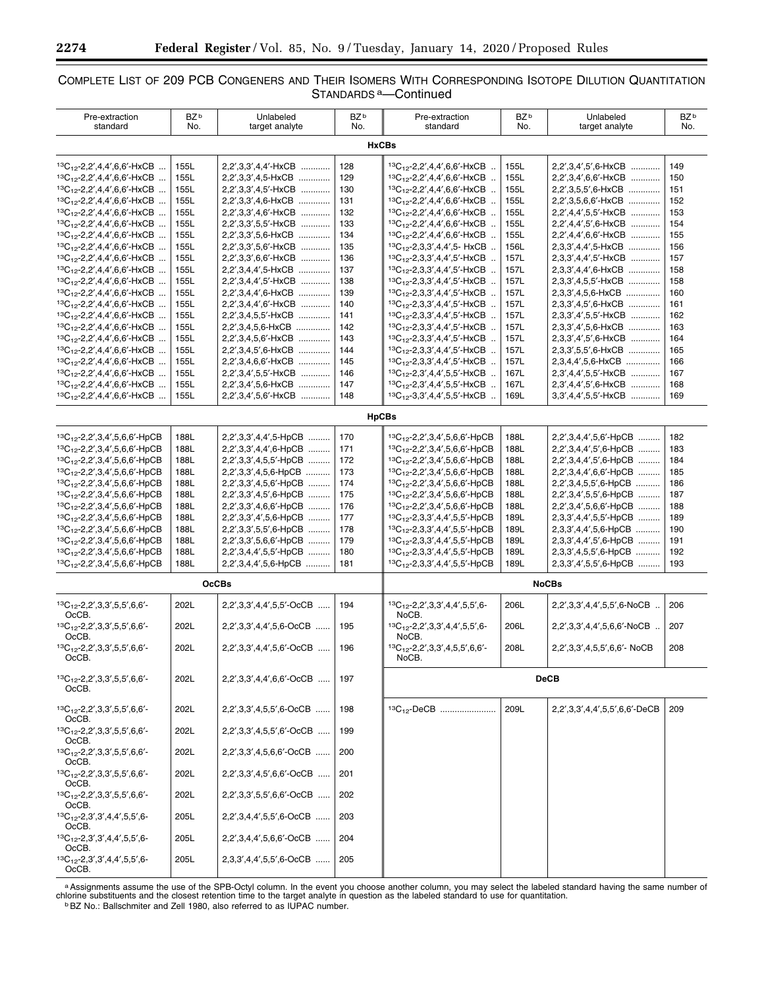# COMPLETE LIST OF 209 PCB CONGENERS AND THEIR ISOMERS WITH CORRESPONDING ISOTOPE DILUTION QUANTITATION STANDARDS a—Continued

| Pre-extraction<br>standard                                                       | BZ <sup>b</sup><br>No. | Unlabeled<br>target analyte                    | BZ <sup>b</sup><br>No. | Pre-extraction<br>standard                                                                 | BZ <sup>b</sup><br>No. | Unlabeled<br>target analyte                   | BZ <sup>b</sup><br>No. |
|----------------------------------------------------------------------------------|------------------------|------------------------------------------------|------------------------|--------------------------------------------------------------------------------------------|------------------------|-----------------------------------------------|------------------------|
| <b>HxCBs</b>                                                                     |                        |                                                |                        |                                                                                            |                        |                                               |                        |
| ${}^{13}C_{12}$ -2,2',4,4',6,6'-HxCB                                             | 155L                   | 2,2',3,3',4,4'-HxCB                            | 128                    | ${}^{13}C_{12}$ -2,2',4,4',6,6'-HxCB                                                       | 155L                   | 2,2',3,4',5',6-HxCB                           | 149                    |
| ${}^{13}C_{12}$ -2,2',4,4',6,6'-HxCB                                             | 155L                   | 2,2',3,3',4,5-HxCB                             | 129                    | <sup>13</sup> C <sub>12</sub> -2,2',4,4',6,6'-HxCB                                         | 155L                   | 2,2',3,4',6,6'-HxCB                           | 150                    |
| ${}^{13}C_{12}$ -2,2',4,4',6,6'-HxCB                                             | 155L                   | 2,2',3,3',4,5'-HxCB                            | 130                    | ${}^{13}C_{12}$ -2,2',4,4',6,6'-HxCB                                                       | 155L                   | 2,2',3,5,5',6-HxCB                            | 151                    |
| ${}^{13}C_{12}$ -2,2',4,4',6,6'-HxCB                                             | 155L                   | 2,2',3,3',4,6-HxCB                             | 131                    | ${}^{13}C_{12}$ -2,2',4,4',6,6'-HxCB                                                       | 155L                   | 2,2',3,5,6,6'-HxCB                            | 152                    |
| ${}^{13}C_{12}$ -2,2',4,4',6,6'-HxCB                                             | 155L                   | 2,2',3,3',4,6'-HxCB                            | 132                    | ${}^{13}C_{12}$ -2,2',4,4',6,6'-HxCB                                                       | 155L                   | 2,2',4,4',5,5'-HxCB                           | 153                    |
| ${}^{13}C_{12}$ -2,2',4,4',6,6'-HxCB                                             | 155L                   | 2,2',3,3',5,5'-HxCB                            | 133                    | ${}^{13}C_{12}$ -2,2',4,4',6,6'-HxCB                                                       | 155L                   | 2,2',4,4',5',6-HxCB                           | 154                    |
| ${}^{13}C_{12}$ -2,2',4,4',6,6'-HxCB                                             | 155L                   | 2,2',3,3',5,6-HxCB                             | 134                    | ${}^{13}C_{12}$ -2,2',4,4',6,6'-HxCB                                                       | 155L                   | 2,2',4,4',6,6'-HxCB                           | 155                    |
| ${}^{13}C_{12}$ -2,2',4,4',6,6'-HxCB                                             | 155L                   | 2,2',3,3',5,6'-HxCB                            | 135                    | ${}^{13}C_{12}$ -2,3,3',4,4',5- HxCB                                                       | 156L                   | 2,3,3',4,4',5-HxCB                            | 156                    |
| <sup>13</sup> C <sub>12</sub> -2,2',4,4',6,6'-HxCB                               | 155L                   | 2,2',3,3',6,6'-HxCB                            | 136                    | ${}^{13}C_{12}$ -2,3,3',4,4',5'-HxCB                                                       | 157L                   | 2,3,3',4,4',5'-HxCB                           | 157                    |
| ${}^{13}C_{12}$ -2,2',4,4',6,6'-HxCB                                             | 155L                   | 2,2',3,4,4',5-HxCB<br>2,2',3,4,4',5'-HxCB      | 137<br>138             | ${}^{13}C_{12}$ -2,3,3',4,4',5'-HxCB                                                       | 157L<br>157L           | 2,3,3',4,4',6-HxCB                            | 158<br>158             |
| ${}^{13}C_{12}$ -2,2',4,4',6,6'-HxCB<br>${}^{13}C_{12}$ -2,2',4,4',6,6'-HxCB     | 155L<br>155L           | 2,2',3,4,4',6-HxCB                             | 139                    | <sup>13</sup> C <sub>12</sub> -2,3,3',4,4',5'-HxCB<br>${}^{13}C_{12}$ -2,3,3',4,4',5'-HxCB | 157L                   | 2,3,3',4,5,5'-HxCB<br>2,3,3',4,5,6-HxCB       | 160                    |
| ${}^{13}C_{12}$ -2,2',4,4',6,6'-HxCB                                             | 155L                   | 2,2',3,4,4',6'-HxCB                            | 140                    | ${}^{13}C_{12}$ -2,3,3',4,4',5'-HxCB                                                       | 157L                   | 2,3,3',4,5',6-HxCB                            | 161                    |
| ${}^{13}C_{12}$ -2,2',4,4',6,6'-HxCB                                             | 155L                   | 2,2',3,4,5,5'-HxCB                             | 141                    | ${}^{13}C_{12}$ -2,3,3',4,4',5'-HxCB                                                       | 157L                   | 2,3,3',4',5,5'-HxCB                           | 162                    |
| ${}^{13}C_{12}$ -2,2',4,4',6,6'-HxCB                                             | 155L                   | 2,2',3,4,5,6-HxCB                              | 142                    | <sup>13</sup> C <sub>12</sub> -2,3,3',4,4',5'-HxCB                                         | 157L                   | 2,3,3',4',5,6-HxCB                            | 163                    |
| ${}^{13}C_{12}$ -2,2',4,4',6,6'-HxCB                                             | 155L                   | 2,2',3,4,5,6'-HxCB                             | 143                    | ${}^{13}C_{12}$ -2,3,3',4,4',5'-HxCB                                                       | 157L                   | 2,3,3',4',5',6-HxCB                           | 164                    |
| ${}^{13}C_{12}$ -2,2',4,4',6,6'-HxCB                                             | 155L                   | 2,2',3,4,5',6-HxCB                             | 144                    | <sup>13</sup> C <sub>12</sub> -2,3,3',4,4',5'-HxCB                                         | 157L                   | 2.3.3'.5.5'.6-HxCB                            | 165                    |
| ${}^{13}C_{12}$ -2,2',4,4',6,6'-HxCB                                             | 155L                   | 2,2',3,4,6,6'-HxCB                             | 145                    | ${}^{13}C_{12}$ -2,3,3',4,4',5'-HxCB                                                       | 157L                   | 2,3,4,4',5,6-HxCB                             | 166                    |
| ${}^{13}C_{12}$ -2,2',4,4',6,6'-HxCB                                             | 155L                   | 2,2',3,4',5,5'-HxCB                            | 146                    | ${}^{13}C_{12}$ -2,3',4,4',5,5'-HxCB                                                       | 167L                   | 2,3',4,4',5,5'-HxCB                           | 167                    |
| <sup>13</sup> C <sub>12</sub> -2,2',4,4',6,6'-HxCB                               | 155L                   | 2.2'.3.4'.5.6-HxCB                             | 147                    | <sup>13</sup> C <sub>12</sub> -2,3',4,4',5,5'-HxCB                                         | 167L                   | 2.3'.4.4'.5'.6-HxCB                           | 168                    |
| ${}^{13}C_{12}$ -2,2',4,4',6,6'-HxCB                                             | 155L                   | 2.2'.3.4'.5.6'-HxCB                            | 148                    | ${}^{13}C_{12}$ -3,3',4,4',5,5'-HxCB                                                       | 169L                   | 3,3',4,4',5,5'-HxCB                           | 169                    |
|                                                                                  |                        |                                                | <b>HpCBs</b>           |                                                                                            |                        |                                               |                        |
|                                                                                  |                        |                                                |                        |                                                                                            |                        |                                               |                        |
| ${}^{13}C_{12}$ -2,2',3,4',5,6,6'-HpCB                                           | 188L                   | 2,2',3,3',4,4',5-HpCB                          | 170                    | ${}^{13}C_{12}$ -2,2',3,4',5,6,6'-HpCB                                                     | 188L                   | 2,2',3,4,4',5,6'-HpCB                         | 182                    |
| ${}^{13}C_{12}$ -2,2',3,4',5,6,6'-HpCB                                           | 188L                   | 2,2',3,3',4,4',6-HpCB                          | 171                    | ${}^{13}C_{12}$ -2,2',3,4',5,6,6'-HpCB                                                     | 188L                   | 2,2',3,4,4',5',6-HpCB                         | 183                    |
| <sup>13</sup> C <sub>12</sub> -2,2',3,4',5,6,6'-HpCB                             | 188L                   | 2,2',3,3',4,5,5'-HpCB                          | 172                    | ${}^{13}C_{12}$ -2,2',3,4',5,6,6'-HpCB                                                     | 188L                   | 2,2',3,4,4',5',6-HpCB                         | 184                    |
| ${}^{13}C_{12}$ -2,2',3,4',5,6,6'-HpCB                                           | 188L                   | 2,2',3,3',4,5,6-HpCB                           | 173                    | ${}^{13}C_{12}$ -2,2',3,4',5,6,6'-HpCB                                                     | 188L                   | 2,2',3,4,4',6,6'-HpCB                         | 185                    |
| ${}^{13}C_{12}$ -2,2',3,4',5,6,6'-HpCB<br>${}^{13}C_{12}$ -2,2',3,4',5,6,6'-HpCB | 188L<br>188L           | 2,2',3,3',4,5,6'-HpCB<br>2,2',3,3',4,5',6-HpCB | 174<br>175             | ${}^{13}C_{12}$ -2,2',3,4',5,6,6'-HpCB<br>${}^{13}C_{12}$ -2,2',3,4',5,6,6'-HpCB           | 188L<br>188L           | 2,2',3,4,5,5',6-HpCB<br>2,2',3,4',5,5',6-HpCB | 186<br>187             |
| ${}^{13}C_{12}$ -2,2',3,4',5,6,6'-HpCB                                           | 188L                   | 2,2',3,3',4,6,6'-HpCB                          | 176                    | ${}^{13}C_{12}$ -2,2',3,4',5,6,6'-HpCB                                                     | 188L                   | 2,2',3,4',5,6,6'-HpCB                         | 188                    |
| ${}^{13}C_{12}$ -2,2',3,4',5,6,6'-HpCB                                           | 188L                   | 2,2',3,3',4',5,6-HpCB                          | 177                    | ${}^{13}C_{12}$ -2,3,3',4,4',5,5'-HpCB                                                     | 189L                   | 2,3,3',4,4',5,5'-HpCB                         | 189                    |
| ${}^{13}C_{12}$ -2,2',3,4',5,6,6'-HpCB                                           | 188L                   | 2,2',3,3',5,5',6-HpCB                          | 178                    | ${}^{13}C_{12}$ -2,3,3',4,4',5,5'-HpCB                                                     | 189L                   | 2,3,3',4,4',5,6-HpCB                          | 190                    |
| ${}^{13}C_{12}$ -2,2',3,4',5,6,6'-HpCB                                           | 188L                   | 2,2',3,3',5,6,6'-HpCB                          | 179                    | ${}^{13}C_{12}$ -2,3,3',4,4',5,5'-HpCB                                                     | 189L                   | 2,3,3',4,4',5',6-HpCB                         | 191                    |
| ${}^{13}C_{12}$ -2,2',3,4',5,6,6'-HpCB                                           | 188L                   | 2,2',3,4,4',5,5'-HpCB                          | 180                    | ${}^{13}C_{12}$ -2,3,3',4,4',5,5'-HpCB                                                     | 189L                   | 2,3,3',4,5,5',6-HpCB                          | 192                    |
| ${}^{13}C_{12}$ -2,2',3,4',5,6,6'-HpCB                                           | 188L                   | 2,2',3,4,4',5,6-HpCB                           | 181                    | ${}^{13}C_{12}$ -2,3,3',4,4',5,5'-HpCB                                                     | 189L                   | 2,3,3',4',5,5',6-HpCB                         | 193                    |
|                                                                                  |                        | <b>OcCBs</b>                                   |                        | <b>NoCBs</b>                                                                               |                        |                                               |                        |
| ${}^{13}C_{12}$ -2,2',3,3',5,5',6,6'-                                            | 202L                   | 2,2',3,3',4,4',5,5'-OcCB                       | 194                    | ${}^{13}C_{12}$ -2,2',3,3',4,4',5,5',6-                                                    | 206L                   | 2,2',3,3',4,4',5,5',6-NoCB                    | 206                    |
| OcCB.                                                                            |                        |                                                |                        | NoCB.                                                                                      |                        |                                               |                        |
| ${}^{13}C_{12}$ -2,2',3,3',5,5',6,6'-<br>$OcCB$ .                                | 202L                   | 2,2',3,3',4,4',5,6-OcCB                        | 195                    | ${}^{13}C_{12}$ -2,2',3,3',4,4',5,5',6-<br>NoCB.                                           | 206L                   | 2,2',3,3',4,4',5,6,6'-NoCB                    | 207                    |
| ${}^{13}C_{12}$ -2,2',3,3',5,5',6,6'-                                            | 202L                   | 2,2',3,3',4,4',5,6'-OcCB                       | 196                    | 13C <sub>12</sub> -2,2',3,3',4,5,5',6,6'-                                                  | 208L                   | 2,2',3,3',4,5,5',6,6'- NoCB                   | 208                    |
| OcCB.                                                                            |                        |                                                |                        | NoCB.                                                                                      |                        |                                               |                        |
| ${}^{13}C_{12}$ -2,2',3,3',5,5',6,6'-                                            | 202L                   | $2,2',3,3',4,4',6,6'-OcCB$                     | 197                    |                                                                                            |                        | <b>DeCB</b>                                   |                        |
| OcCB.                                                                            |                        |                                                |                        |                                                                                            |                        |                                               |                        |
|                                                                                  |                        |                                                |                        |                                                                                            |                        |                                               |                        |
| ${}^{13}C_{12}$ -2,2',3,3',5,5',6,6'-                                            | 202L                   | 2,2',3,3',4,5,5',6-OcCB                        | 198                    | ${}^{13}C_{12}$ -DeCB                                                                      | 209L                   | 2,2',3,3',4,4',5,5',6,6'-DeCB                 | 209                    |
| OcCB.<br>${}^{13}C_{12}$ -2,2',3,3',5,5',6,6'-                                   | 202L                   | 2,2',3,3',4,5,5',6'-OcCB                       | 199                    |                                                                                            |                        |                                               |                        |
| OcCB.                                                                            |                        |                                                |                        |                                                                                            |                        |                                               |                        |
| ${}^{13}C_{12}$ -2,2',3,3',5,5',6,6'-                                            | 202L                   | 2,2',3,3',4,5,6,6'-OcCB                        | 200                    |                                                                                            |                        |                                               |                        |
| OcCB.<br>${}^{13}C_{12}$ -2,2',3,3',5,5',6,6'-                                   | 202L                   | $2,2',3,3',4,5',6,6'-OcCB$                     | 201                    |                                                                                            |                        |                                               |                        |
| OcCB.                                                                            |                        |                                                |                        |                                                                                            |                        |                                               |                        |
| ${}^{13}C_{12}$ -2,2',3,3',5,5',6,6'-<br>OcCB.                                   | 202L                   | $2,2',3,3',5,5',6,6'-OcCB$                     | 202                    |                                                                                            |                        |                                               |                        |
| ${}^{13}C_{12}$ -2,3',3',4,4',5,5',6-                                            | 205L                   | 2,2',3,4,4',5,5',6-OcCB                        | 203                    |                                                                                            |                        |                                               |                        |
| OcCB.<br>${}^{13}C_{12}$ -2,3',3',4,4',5,5',6-                                   | 205L                   | $2,2',3,4,4',5,6,6'$ -OcCB                     | 204                    |                                                                                            |                        |                                               |                        |
| OcCB.                                                                            |                        |                                                |                        |                                                                                            |                        |                                               |                        |
| ${}^{13}C_{12}$ -2,3',3',4,4',5,5',6-<br>OcCB.                                   | 205L                   | 2,3,3',4,4',5,5',6-OcCB                        | 205                    |                                                                                            |                        |                                               |                        |

a Assignments assume the use of the SPB-Octyl column. In the event you choose another column, you may select the labeled standard having the same number of<br>chlorine substituents and the closest retention time to the target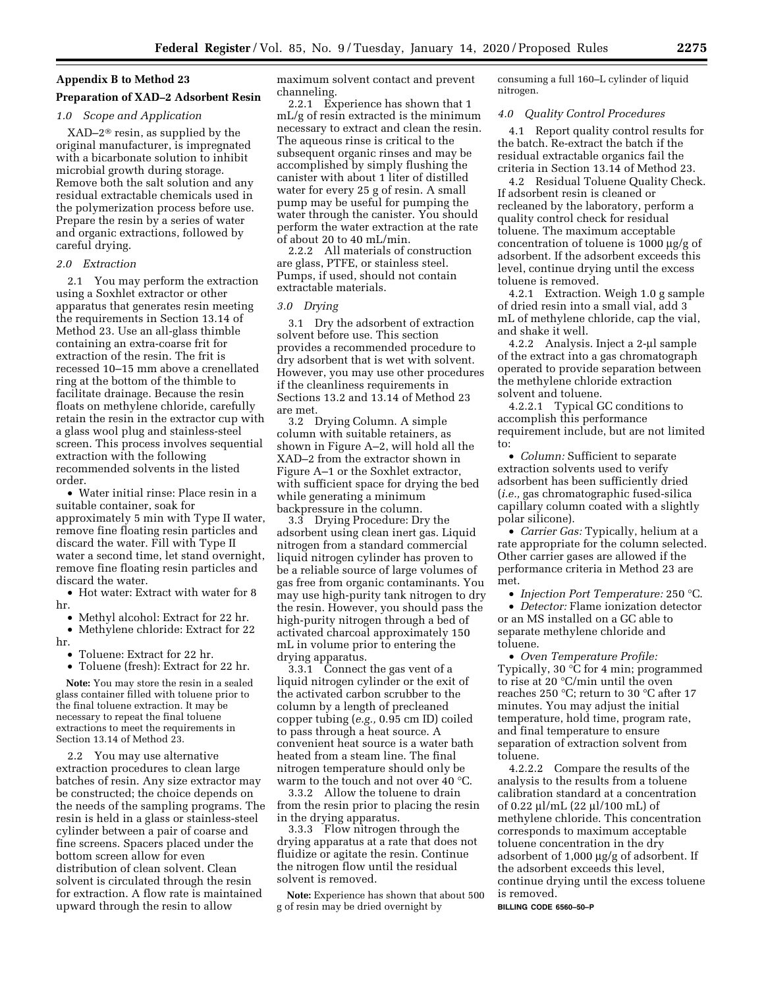#### **Appendix B to Method 23**

### **Preparation of XAD–2 Adsorbent Resin**

# *1.0 Scope and Application*

XAD–2® resin, as supplied by the original manufacturer, is impregnated with a bicarbonate solution to inhibit microbial growth during storage. Remove both the salt solution and any residual extractable chemicals used in the polymerization process before use. Prepare the resin by a series of water and organic extractions, followed by careful drying.

#### *2.0 Extraction*

2.1 You may perform the extraction using a Soxhlet extractor or other apparatus that generates resin meeting the requirements in Section 13.14 of Method 23. Use an all-glass thimble containing an extra-coarse frit for extraction of the resin. The frit is recessed 10–15 mm above a crenellated ring at the bottom of the thimble to facilitate drainage. Because the resin floats on methylene chloride, carefully retain the resin in the extractor cup with a glass wool plug and stainless-steel screen. This process involves sequential extraction with the following recommended solvents in the listed order.

• Water initial rinse: Place resin in a suitable container, soak for approximately 5 min with Type II water, remove fine floating resin particles and discard the water. Fill with Type II water a second time, let stand overnight, remove fine floating resin particles and discard the water.

• Hot water: Extract with water for 8 hr.

• Methyl alcohol: Extract for 22 hr.

• Methylene chloride: Extract for 22 hr.

• Toluene: Extract for 22 hr.

• Toluene (fresh): Extract for 22 hr.

**Note:** You may store the resin in a sealed glass container filled with toluene prior to the final toluene extraction. It may be necessary to repeat the final toluene extractions to meet the requirements in Section 13.14 of Method 23.

2.2 You may use alternative extraction procedures to clean large batches of resin. Any size extractor may be constructed; the choice depends on the needs of the sampling programs. The resin is held in a glass or stainless-steel cylinder between a pair of coarse and fine screens. Spacers placed under the bottom screen allow for even distribution of clean solvent. Clean solvent is circulated through the resin for extraction. A flow rate is maintained upward through the resin to allow

maximum solvent contact and prevent channeling.

2.2.1 Experience has shown that 1 mL/g of resin extracted is the minimum necessary to extract and clean the resin. The aqueous rinse is critical to the subsequent organic rinses and may be accomplished by simply flushing the canister with about 1 liter of distilled water for every 25 g of resin. A small pump may be useful for pumping the water through the canister. You should perform the water extraction at the rate of about 20 to 40 mL/min.

2.2.2 All materials of construction are glass, PTFE, or stainless steel. Pumps, if used, should not contain extractable materials.

#### *3.0 Drying*

3.1 Dry the adsorbent of extraction solvent before use. This section provides a recommended procedure to dry adsorbent that is wet with solvent. However, you may use other procedures if the cleanliness requirements in Sections 13.2 and 13.14 of Method 23 are met.

3.2 Drying Column. A simple column with suitable retainers, as shown in Figure A–2, will hold all the XAD–2 from the extractor shown in Figure A–1 or the Soxhlet extractor, with sufficient space for drying the bed while generating a minimum backpressure in the column.

3.3 Drying Procedure: Dry the adsorbent using clean inert gas. Liquid nitrogen from a standard commercial liquid nitrogen cylinder has proven to be a reliable source of large volumes of gas free from organic contaminants. You may use high-purity tank nitrogen to dry the resin. However, you should pass the high-purity nitrogen through a bed of activated charcoal approximately 150 mL in volume prior to entering the drying apparatus.

3.3.1 Connect the gas vent of a liquid nitrogen cylinder or the exit of the activated carbon scrubber to the column by a length of precleaned copper tubing (*e.g.,* 0.95 cm ID) coiled to pass through a heat source. A convenient heat source is a water bath heated from a steam line. The final nitrogen temperature should only be warm to the touch and not over 40 °C.

3.3.2 Allow the toluene to drain from the resin prior to placing the resin in the drying apparatus.

3.3.3 Flow nitrogen through the drying apparatus at a rate that does not fluidize or agitate the resin. Continue the nitrogen flow until the residual solvent is removed.

**Note:** Experience has shown that about 500 g of resin may be dried overnight by

consuming a full 160–L cylinder of liquid nitrogen.

#### *4.0 Quality Control Procedures*

4.1 Report quality control results for the batch. Re-extract the batch if the residual extractable organics fail the criteria in Section 13.14 of Method 23.

4.2 Residual Toluene Quality Check. If adsorbent resin is cleaned or recleaned by the laboratory, perform a quality control check for residual toluene. The maximum acceptable concentration of toluene is 1000  $\mu$ g/g of adsorbent. If the adsorbent exceeds this level, continue drying until the excess toluene is removed.

4.2.1 Extraction. Weigh 1.0 g sample of dried resin into a small vial, add 3 mL of methylene chloride, cap the vial, and shake it well.

4.2.2 Analysis. Inject a 2-µl sample of the extract into a gas chromatograph operated to provide separation between the methylene chloride extraction solvent and toluene.

4.2.2.1 Typical GC conditions to accomplish this performance requirement include, but are not limited to:

• *Column:* Sufficient to separate extraction solvents used to verify adsorbent has been sufficiently dried (*i.e.,* gas chromatographic fused-silica capillary column coated with a slightly polar silicone).

• *Carrier Gas:* Typically, helium at a rate appropriate for the column selected. Other carrier gases are allowed if the performance criteria in Method 23 are met.

• *Injection Port Temperature:* 250 °C.

• *Detector:* Flame ionization detector or an MS installed on a GC able to separate methylene chloride and toluene.

• *Oven Temperature Profile:*  Typically, 30 °C for 4 min; programmed to rise at 20 °C/min until the oven reaches 250 °C; return to 30 °C after 17 minutes. You may adjust the initial temperature, hold time, program rate, and final temperature to ensure separation of extraction solvent from toluene.

4.2.2.2 Compare the results of the analysis to the results from a toluene calibration standard at a concentration of 0.22  $\mu$ l/mL (22  $\mu$ l/100 mL) of methylene chloride. This concentration corresponds to maximum acceptable toluene concentration in the dry adsorbent of  $1,000 \mu g/g$  of adsorbent. If the adsorbent exceeds this level, continue drying until the excess toluene is removed.

**BILLING CODE 6560–50–P**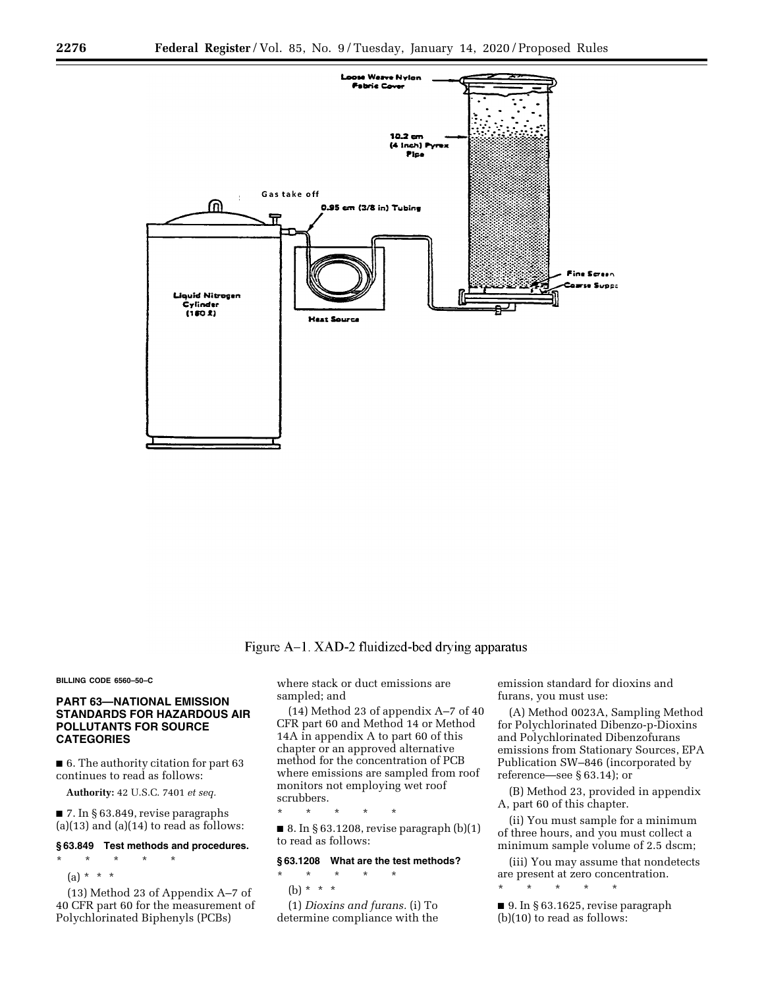

# Figure A-1. XAD-2 fluidized-bed drying apparatus

#### **BILLING CODE 6560–50–C**

# **PART 63—NATIONAL EMISSION STANDARDS FOR HAZARDOUS AIR POLLUTANTS FOR SOURCE CATEGORIES**

■ 6. The authority citation for part 63 continues to read as follows:

**Authority:** 42 U.S.C. 7401 *et seq.* 

■ 7. In § 63.849, revise paragraphs  $(a)(13)$  and  $(a)(14)$  to read as follows:

#### **§ 63.849 Test methods and procedures.**

\* \* \* \* \*  $(a) * * * *$ 

(13) Method 23 of Appendix A–7 of 40 CFR part 60 for the measurement of Polychlorinated Biphenyls (PCBs)

where stack or duct emissions are sampled; and

(14) Method 23 of appendix A–7 of 40 CFR part 60 and Method 14 or Method 14A in appendix A to part 60 of this chapter or an approved alternative method for the concentration of PCB where emissions are sampled from roof monitors not employing wet roof scrubbers.

\* \* \* \* \*  $\blacksquare$  8. In § 63.1208, revise paragraph  $(b)(1)$ to read as follows:

#### **§ 63.1208 What are the test methods?**

\* \* \* \* \* (b)  $* * * *$ 

(1) *Dioxins and furans.* (i) To determine compliance with the emission standard for dioxins and furans, you must use:

(A) Method 0023A, Sampling Method for Polychlorinated Dibenzo-p-Dioxins and Polychlorinated Dibenzofurans emissions from Stationary Sources, EPA Publication SW–846 (incorporated by reference—see § 63.14); or

(B) Method 23, provided in appendix A, part 60 of this chapter.

(ii) You must sample for a minimum of three hours, and you must collect a minimum sample volume of 2.5 dscm;

(iii) You may assume that nondetects are present at zero concentration. \* \* \* \* \*

■ 9. In § 63.1625, revise paragraph (b)(10) to read as follows: